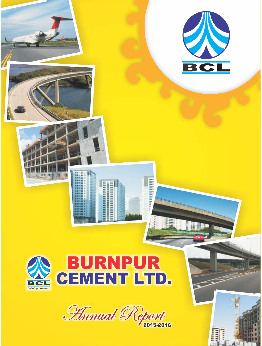



# **BURNPUR<br>CEMENT LTD.**



 $\mathbb{R}$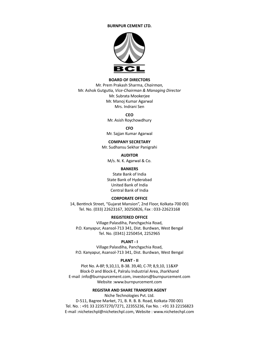#### **BURNPUR CEMENT LTD.**



## **BOARD OF DIRECTORS**

Mr. Prem Prakash Sharma, *Chairman,* Mr. Ashok GutguƟa, *Vice-Chairman & Managing Director* Mr. Subrata Mookerjee Mr. Manoj Kumar Agarwal Mrs. Indrani Sen

> **CEO** Mr. Asish Roychowdhury

> > **CFO**

Mr. Sajjan Kumar Agarwal

#### **COMPANY SECRETARY**

Mr. Sudhansu Sekhar Panigrahi

**AUDITOR**

M/s. N. K. Agarwal & Co.

## **BANKERS**

State Bank of India State Bank of Hyderabad United Bank of India Central Bank of India

#### **CORPORATE OFFICE**

14, Bentinck Street, "Gujarat Mansion", 2nd Floor, Kolkata-700 001 Tel. No. (033) 22623167, 30250826, Fax : 033-22623168

# **REGISTERED OFFICE**

Village:Palasdiha, Panchgachia Road, P.O. Kanyapur, Asansol-713 341, Dist. Burdwan, West Bengal Tel. No. (0341) 2250454, 2252965

## **PLANT - I**

Village:Palasdiha, Panchgachia Road, P.O. Kanyapur, Asansol-713 341, Dist. Burdwan, West Bengal

#### **PLANT - II**

Plot No. A-8P, 9,10,11, B-38. 39,40, C-7P, 8,9,10, 11&XP Block-D and Block-E, Palralu Industrial Area, Jharkhand E-mail :info@burnpurcement.com, investors@burnpurcement.com Website :www.burnpurcement.com

#### **REGISTAR AND SHARE TRANSFER AGENT**

Niche Technologies Pvt. Ltd.

D-511, Bagree Market, 71, B. R. B. B. Road, Kolkata-700 001 Tel. No. : +91 33 22357270/7271, 22355236, Fax No. : +91 33 22156823 E-mail :nichetechpl@nichetechpl.com, Website : www.nichetechpl.com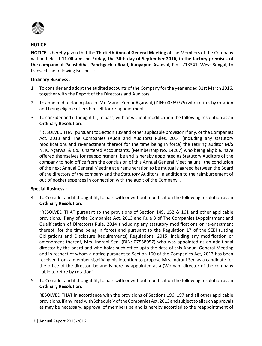

**NOTICE** is hereby given that the **Thirtieth Annual General Meeting** of the Members of the Company will be held at **11.00 a.m. on Friday, the 30th day of September 2016, in the factory premises of the company at Palashdiha, Panchgachia Road, Kanyapur, Asansol**, Pin. -713341, **West Bengal**, to transact the following Business:

# **Ordinary Business :**

- 1. To consider and adopt the audited accounts of the Company for the year ended 31st March 2016, together with the Report of the Directors and Auditors.
- 2. To appoint director in place of Mr. Manoj Kumar Agarwal, (DIN: 00569775) who retires by rotation and being eligible offers himself for re-appointment.
- 3. To consider and if thought fit, to pass, with or without modification the following resolution as an **Ordinary Resolution**:

 "RESOLVED THAT pursuant to Section 139 and other applicable provision if any, of the Companies Act, 2013 and The Companies (Audit and Auditors) Rules, 2014 (including any statutory modifications and re-enactment thereof for the time being in force) the retiring auditor M/S N. K. Agarwal & Co., Chartered Accountants, (Membership No. 14267) who being eligible, have offered themselves for reappointment, be and is hereby appointed as Statutory Auditors of the company to hold office from the conclusion of this Annual General Meeting until the conclusion of the next Annual General Meeting at a remuneration to be mutually agreed between the Board of the directors of the company and the Statutory Auditors, in addition to the reimbursement of out of pocket expenses in connection with the audit of the Company".

# **Special Business :**

4. To Consider and if thought fit, to pass with or without modification the following resolution as an **Ordinary Resolution**:

 "RESOLVED THAT pursuant to the provisions of Section 149, 152 & 161 and other applicable provisions, if any of the Companies Act, 2013 and Rule 3 of The Companies (Appointment and Qualification of Directors) Rule, 2014 (including any statutory modifications or re-enactment thereof, for the time being in force) and pursuant to the Regulation 17 of the SEBI (Listing Obligations and Disclosure Requirements) Regulations, 2015, including any modification or amendment thereof, Mrs. Indrani Sen, (DIN: 07558057) who was appointed as an additional director by the board and who holds such office upto the date of this Annual General Meeting and in respect of whom a notice pursuant to Section 160 of the Companies Act, 2013 has been received from a member signifying his intention to propose Mrs. Indrani Sen as a candidate for the office of the director, be and is here by appointed as a (Woman) director of the company liable to retire by rotation".

5. To Consider and if thought fit, to pass with or without modification the following resolution as an **Ordinary Resolution**:

 RESOLVED THAT in accordance with the provisions of Sections 196, 197 and all other applicable provisions, if any, read with Schedule V of the Companies Act, 2013 and subject to all such approvals as may be necessary, approval of members be and is hereby accorded to the reappointment of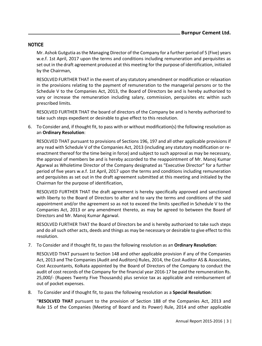Mr. Ashok Gutgutia as the Managing Director of the Company for a further period of 5 (Five) years w.e.f. 1st April, 2017 upon the terms and conditions including remuneration and perquisites as set out in the draft agreement produced at this meeting for the purpose of identification, initialed by the Chairman,

 RESOLVED FURTHER THAT in the event of any statutory amendment or modification or relaxation in the provisions relating to the payment of remuneration to the managerial persons or to the Schedule V to the Companies Act, 2013, the Board of Directors be and is hereby authorized to vary or increase the remuneration including salary, commission, perquisites etc within such prescribed limits.

 RESOLVED FURTHER THAT the board of directors of the Company be and is hereby authorized to take such steps expedient or desirable to give effect to this resolution.

6. To Consider and, if thought fit, to pass with or without modification(s) the following resolution as an **Ordinary Resolution**:

 RESOLVED THAT pursuant to provisions of Sections 196, 197 and all other applicable provisions if any read with Schedule V of the Companies Act, 2013 (including any statutory modification or reenactment thereof for the time being in force) and subject to such approval as may be necessary, the approval of members be and is hereby accorded to the reappointment of Mr. Manoj Kumar Agarwal as Wholetime Director of the Company designated as "Executive Director" for a further period of five years w.e.f. 1st April, 2017 upon the terms and conditions including remuneration and perquisites as set out in the draft agreement submitted at this meeting and initialed by the Chairman for the purpose of identification,

 RESOLVED FURTHER THAT the draft agreement is hereby specifically approved and sanctioned with liberty to the Board of Directors to alter and to vary the terms and conditions of the said appointment and/or the agreement so as not to exceed the limits specified in Schedule V to the Companies Act, 2013 or any amendment thereto, as may be agreed to between the Board of Directors and Mr. Manoj Kumar Agarwal.

 RESOLVED FURTHER THAT the Board of Directors be and is hereby authorized to take such steps and do all such other acts, deeds and things as may be necessary or desirable to give effect to this resolution.

7. To Consider and if thought fit, to pass the following resolution as an **Ordinary Resolution**:

 RESOLVED THAT pursuant to Section 148 and other applicable provision if any of the Companies Act, 2013 and The Companies (Audit and Auditors) Rules, 2014, the Cost Auditor AS & Associates, Cost Accountants, Kolkata appointed by the Board of Directors of the Company to conduct the audit of cost records of the Company for the financial year 2016-17 be paid the remuneration Rs. 25,000/- (Rupees Twenty Five Thousands) plus service tax as applicable and reimbursement of out of pocket expenses.

8. To Consider and if thought fit, to pass the following resolution as a **Special Resolution**:

 "**RESOLVED THAT** pursuant to the provision of Section 188 of the Companies Act, 2013 and Rule 15 of the Companies (Meeting of Board and its Power) Rule, 2014 and other applicable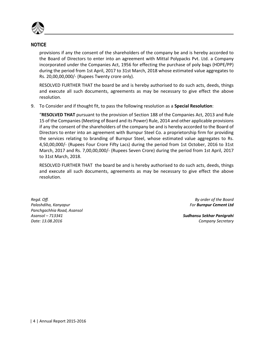

provisions if any the consent of the shareholders of the company be and is hereby accorded to the Board of Directors to enter into an agreement with Mittal Polypacks Pvt. Ltd. a Company incorporated under the Companies Act, 1956 for effecting the purchase of poly bags (HDPE/PP) during the period from 1st April, 2017 to 31st March, 2018 whose estimated value aggregates to Rs. 20,00,00,000/- (Rupees Twenty crore only).

 RESOLVED FURTHER THAT the board be and is hereby authorised to do such acts, deeds, things and execute all such documents, agreements as may be necessary to give effect the above resolution.

9. To Consider and if thought fit, to pass the following resolution as a **Special Resolution**:

 "**RESOLVED THAT** pursuant to the provision of Section 188 of the Companies Act, 2013 and Rule 15 of the Companies (Meeting of Board and its Power) Rule, 2014 and other applicable provisions if any the consent of the shareholders of the company be and is hereby accorded to the Board of Directors to enter into an agreement with Burnpur Steel Co. a proprietorship firm for providing the services relating to branding of Burnpur Steel, whose estimated value aggregates to Rs. 4,50,00,000/- (Rupees Four Crore Fifty Lacs) during the period from 1st October, 2016 to 31st March, 2017 and Rs. 7,00,00,000/- (Rupees Seven Crore) during the period from 1st April, 2017 to 31st March, 2018.

 RESOLVED FURTHER THAT the board be and is hereby authorised to do such acts, deeds, things and execute all such documents, agreements as may be necessary to give effect the above resolution.

*Regd. Off. By order of the Board Palashdiha, Kanyapur For Burnpur Cement Ltd Panchgachhia Road, Asansol Asansol – 713341 Sudhansu Sekhar Panigrahi Date: 13.08.2016 Company Secretary*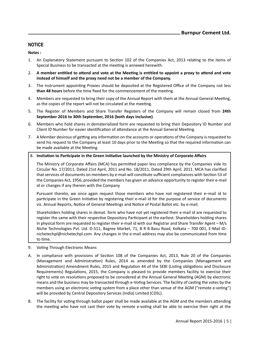**Notes :**

- 1. An Explanatory Statement pursuant to Section 102 of the Companies Act, 2013 relating to the items of Special Business to be transacted at the meeting is annexed herewith.
- 2. A member entitled to attend and vote at the Meeting is entitled to appoint a proxy to attend and vote **instead of himself and the proxy need not be a member of the Company.**
- 3. The instrument appointing Proxies should be deposited at the Registered Office of the Company not less than 48 hours before the time fixed for the commencement of the meeting.
- 4. Members are requested to bring their copy of the Annual Report with them at the Annual General Meeting, as the copies of the report will not be circulated at the meeting.
- 5. The Register of Members and Share Transfer Registers of the Company will remain closed from **24th September 2016 to 30th September, 2016 (both days inclusive)**.
- 6. Members who hold shares in dematerialized form are requested to bring their Depository ID Number and Client ID Number for easier identification of attendance at the Annual General Meeting.
- 7. A Member desirous of getting any information on the accounts or operations of the Company is requested to send his request to the Company at least 10 days prior to the Meeting so that the required information can be made available at the Meeting.

## 8. **InvitaƟon to ParƟcipate in the Green IniƟaƟve launched by the Ministry of Corporate Affairs**

The Ministry of Corporate Affairs (MCA) has permitted paper less compliance by the Companies vide its Circular No. 17/2011, Dated 21st April, 2011 and No. 18/2011, Dated 29th April, 2011. MCA has clarified that services of documents on members by e-mail will constitute sufficient compliances with Section 53 of the Companies Act, 1956, provided the members has given an advance opportunity to register their e-mail id or changes if any therein with the Company

 Pursuant thereto, we once again request those members who have not registered their e–mail id to participate in the Green Initiative by registering their e-mail id for the purpose of service of documents viz. Annual Reports, Notice of General Meetings and Notice of Postal Ballot etc. by e-mail.

 Shareholders holding shares in demat. form who have not yet registered their e-mail id are requested to register the same with their respective Depository Participant at the earliest. Shareholders holding shares in physical form are requested to register their e-mail id with our Registrar and Share Transfer Agent – M/s Niche Technologies Pvt. Ltd. D-511, Bagree Market, 71, B R B Basu Road, Kolkata – 700 001, E-Mail ID: nichetechpl@nichetechpl.com. Any changes in the e-mail address may also be communicated from time to time.

- 9. Voting Through Electronic Means
- A. In compliance with provisions of Section 108 of the Companies Act, 2013, Rule 20 of the Companies (Management and Administration) Rules, 2014 as amended by the Companies (Management and Administration) Amendment Rules, 2015 and Regulation 44 of the SEBI (Listing obligations and Disclosure Requirements) Regulations, 2015, the Company is pleased to provide members facility to exercise their right to vote on resolutions proposed to be considered at the Annual General Meeting (AGM) by electronic means and the business may be transacted through e-Voting Services. The facility of casting the votes by the members using an electronic voting system from a place other than venue of the AGM ("remote e-voting") will be provided by Central Depository Services (India) Limited (CDSL).
- B. The facility for voting through ballot paper shall be made available at the AGM and the members attending the meeting who have not cast their vote by remote e-voting shall be able to exercise their right at the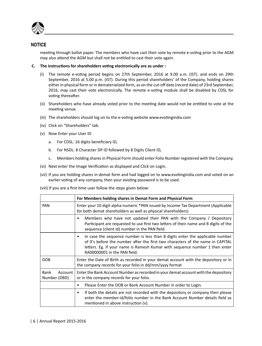

meeting through ballot paper. The members who have cast their vote by remote e-voting prior to the AGM may also attend the AGM but shall not be entitled to cast their vote again.

- **C. The instrucƟons for shareholders voƟng electronically are as under :**
	- (i) The remote e-voting period begins on 27th September, 2016 at 9.00 a.m. (IST). and ends on 29th September, 2016 at 5.00 p.m. (IST). During this period shareholders' of the Company, holding shares either in physical form or in dematerialized form, as on the cut-off date (record date) of 23rd September, 2016, may cast their vote electronically. The remote e-voting module shall be disabled by CDSL for voting thereafter.
	- (ii) Shareholders who have already voted prior to the meeting date would not be entitled to vote at the meeting venue.
	- (iii) The shareholders should log on to the e-voting website www.evotingindia.com
	- (iv) Click on "Shareholders" tab.
	- (v) Now Enter your User ID
		- a. For CDSL: 16 digits beneficiary ID,
		- b. For NSDL: 8 Character DP ID followed by 8 Digits Client ID,
		- c. Members holding shares in Physical Form should enter Folio Number registered with the Company.
	- (vi) Next enter the Image Verification as displayed and Click on Login.
	- (vii) If you are holding shares in demat form and had logged on to www.evotingindia.com and voted on an earlier voting of any company, then your existing password is to be used.

(viii) If you are a first time user follow the steps given below:

|                                 | For Members holding shares in Demat Form and Physical Form                                                                                                                                                                                                                     |
|---------------------------------|--------------------------------------------------------------------------------------------------------------------------------------------------------------------------------------------------------------------------------------------------------------------------------|
| <b>PAN</b>                      | Enter your 10 digit alpha-numeric *PAN issued by Income Tax Department (Applicable<br>for both demat shareholders as well as physical shareholders)                                                                                                                            |
|                                 | Members who have not updated their PAN with the Company / Depository<br>Participant are requested to use first two letters of their name and 8 digits of the<br>sequence (client id) number in the PAN field.                                                                  |
|                                 | In case the sequence number is less than 8 digits enter the applicable number<br>of 0's before the number after the first two characters of the name in CAPITAL<br>letters. Eg. If your name is Ramesh Kumar with sequence number 1 then enter<br>RA00000001 in the PAN field. |
| <b>DOB</b>                      | Enter the Date of Birth as recorded in your demat account with the depository or in<br>the company records for your folio in dd/mm/yyyy format                                                                                                                                 |
| Bank<br>Account<br>Number (DBD) | Enter the Bank Account Number as recorded in your demat account with the depository<br>or in the company records for your folio.                                                                                                                                               |
|                                 | Please Enter the DOB or Bank Account Number in order to Login.<br>٠                                                                                                                                                                                                            |
|                                 | If both the details are not recorded with the depository or company then please<br>٠<br>enter the member-id/folio number in the Bank Account Number details field as<br>mentioned in above instruction (v).                                                                    |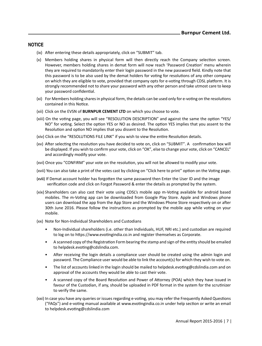- (ix) After entering these details appropriately, click on "SUBMIT" tab.
- $(x)$  Members holding shares in physical form will then directly reach the Company selection screen. However, members holding shares in demat form will now reach 'Password Creation' menu wherein they are required to mandatorily enter their login password in the new password field. Kindly note that this password is to be also used by the demat holders for voting for resolutions of any other company on which they are eligible to vote, provided that company opts for e-voting through CDSL platform. It is strongly recommended not to share your password with any other person and take utmost care to keep your password confidential.
- (xi) For Members holding shares in physical form, the details can be used only for e-voting on the resolutions contained in this Notice.
- (xii) Click on the EVSN of **BURNPUR CEMENT LTD** on which you choose to vote.
- (xiii) On the voting page, you will see "RESOLUTION DESCRIPTION" and against the same the option "YES/ NO" for voting. Select the option YES or NO as desired. The option YES implies that you assent to the Resolution and option NO implies that you dissent to the Resolution.
- (xiv) Click on the "RESOLUTIONS FILE LINK" if you wish to view the entire Resolution details.
- (xv) After selecting the resolution you have decided to vote on, click on "SUBMIT". A confirmation box will be displayed. If you wish to confirm your vote, click on "OK", else to change your vote, click on "CANCEL" and accordingly modify your vote.
- (xvi) Once you "CONFIRM" your vote on the resolution, you will not be allowed to modify your vote.
- (xvii) You can also take a print of the votes cast by clicking on "Click here to print" option on the Voting page.
- (xviii) If Demat account holder has forgotten the same password then Enter the User ID and the image verification code and click on Forgot Password & enter the details as prompted by the system.
- (xix) Shareholders can also cast their vote using CDSL's mobile app m-Voting available for android based mobiles. The m-Voting app can be downloaded from Google Play Store. Apple and Windows phone users can download the app from the App Store and the Windows Phone Store respectively on or after 30th June 2016. Please follow the instructions as prompted by the mobile app while voting on your mobile.
- (xx) Note for Non-Individual Shareholders and Custodians
	- Non-Individual shareholders (i.e. other than Individuals, HUF, NRI etc.) and custodian are required to log on to https://www.evotingindia.co.in and register themselves as Corporate.
	- A scanned copy of the Registration Form bearing the stamp and sign of the entity should be emailed to helpdesk.evoting@cdslindia.com.
	- After receiving the login details a compliance user should be created using the admin login and password. The Compliance user would be able to link the account(s) for which they wish to vote on.
	- The list of accounts linked in the login should be mailed to helpdesk.evoting@cdslindia.com and on approval of the accounts they would be able to cast their vote.
	- A scanned copy of the Board Resolution and Power of Attorney (POA) which they have issued in favour of the Custodian, if any, should be uploaded in PDF format in the system for the scrutinizer to verify the same.
- (xxi) In case you have any queries or issues regarding e-voting, you may refer the Frequently Asked Questions ("FAQs") and e-voting manual available at www.evotingindia.co.in under help section or write an email to helpdesk.evoting@cdslindia.com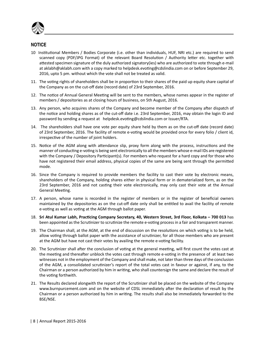

- 10 Institutional Members / Bodies Corporate (i.e. other than individuals, HUF, NRI etc.) are required to send scanned copy (PDF/JPG Format) of the relevant Board Resolution / Authority letter etc. together with attested specimen signature of the duly authorized signatory(ies) who are authorized to vote through e-mail at aklabh@aklabh.com with a copy marked to helpdesk.evoting@cdslindia.com on or before September 29, 2016, upto 5 pm. without which the vote shall not be treated as valid.
- 11. The voting rights of shareholders shall be in proportion to their shares of the paid up equity share capital of the Company as on the cut-off date (record date) of 23rd September, 2016.
- 12. The notice of Annual General Meeting will be sent to the members, whose names appear in the register of members / depositories as at closing hours of business, on 5th August, 2016.
- 13. Any person, who acquires shares of the Company and become member of the Company after dispatch of the notice and holding shares as of the cut-off date i.e. 23rd September, 2016, may obtain the login ID and password by sending a request at helpdesk.evoting@cdslindia.com or Issuer/RTA.
- 14. The shareholders shall have one vote per equity share held by them as on the cut-off date (record date) of 23rd September, 2016. The facility of remote e-voting would be provided once for every folio / client id, irrespective of the number of joint holders.
- 15. Notice of the AGM along with attendance slip, proxy form along with the process, instructions and the manner of conducting e-voting is being sent electronically to all the members whose e-mail IDs are registered with the Company / Depository Participant(s). For members who request for a hard copy and for those who have not registered their email address, physical copies of the same are being sent through the permitted mode.
- 16. Since the Company is required to provide members the facility to cast their vote by electronic means, shareholders of the Company, holding shares either in physical form or in dematerialized form, as on the 23rd September, 2016 and not casting their vote electronically, may only cast their vote at the Annual General Meeting.
- 17. A person, whose name is recorded in the register of members or in the register of beneficial owners maintained by the depositories as on the cut-off date only shall be entitled to avail the facility of remote e-voting as well as voting at the AGM through ballot paper.
- 18. **Sri Atul Kumar Labh, PracƟcing Company Secretary, 40, Western Street, 3rd Floor, Kolkata 700 013** has been appointed as the Scrutinizer to scrutinize the remote e-voting process in a fair and transparent manner.
- 19. The Chairman shall, at the AGM, at the end of discussion on the resolutions on which voting is to be held, allow voting through ballot paper with the assistance of scrutinizer, for all those members who are present at the AGM but have not cast their votes by availing the remote e-voting facility.
- 20. The Scrutinizer shall after the conclusion of voting at the general meeting, will first count the votes cast at the meeting and thereafter unblock the votes cast through remote e-voting in the presence of at least two witnesses not in the employment of the Company and shall make, not later than three days of the conclusion of the AGM, a consolidated scrutinizer's report of the total votes cast in favour or against, if any, to the Chairman or a person authorized by him in writing, who shall countersign the same and declare the result of the voting forthwith.
- 21. The Results declared alongwith the report of the Scrutinizer shall be placed on the website of the Company www.burnpurcement.com and on the website of CDSL immediately after the declaration of result by the Chairman or a person authorized by him in writing. The results shall also be immediately forwarded to the BSE/NSE.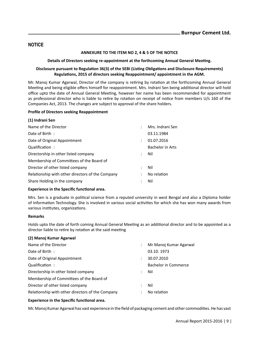#### **ANNEXURE TO THE ITEM NO 2, 4 & 5 OF THE NOTICE**

#### **Details of Directors seeking re-appointment at the forthcoming Annual General Meeting.**

## **Disclosure pursuant to RegulaƟon 36(3) of the SEBI (LisƟng ObligaƟons and Disclosure Requirements) RegulaƟons, 2015 of directors seeking Reappointment/ appointment in the AGM.**

Mr. Manoj Kumar Agarwal, Director of the company is retiring by rotation at the forthcoming Annual General Meeting and being eligible offers himself for reappointment. Mrs. Indrani Sen being additional director will hold office upto the date of Annual General Meeting, however her name has been recommended for appointment as professional director who is liable to retire by rotation on receipt of notice from members U/s 160 of the Companies Act, 2013. The changes are subject to approval of the share holders.

#### **Profile of Directors seeking Reappointment**

| (1) Indrani Sen                                  |                      |                  |
|--------------------------------------------------|----------------------|------------------|
| Name of the Director                             | $\ddot{\cdot}$       | Mrs. Indrani Sen |
| Date of Birth:                                   |                      | 03.11.1984       |
| Date of Original Appointment                     | $\ddot{\cdot}$       | 01.07.2016       |
| Qualification:                                   |                      | Bachelor in Arts |
| Directorship in other listed company             | $\mathcal{L}$        | Nil              |
| Membership of Committees of the Board of         |                      |                  |
| Director of other listed company                 | $\ddot{\phantom{a}}$ | Nil              |
| Relationship with other directors of the Company | $\ddot{\phantom{0}}$ | No relation      |
| Share Holding in the company                     | :                    | Nil              |

#### **Experience in the Specific functional area.**

Mrs. Sen is a graduate in political science from a reputed university in west Bengal and also a Diploma holder of Information Technology. She is involved in various social activities for which she has won many awards from various institutes, organizations.

## **Remarks**

Holds upto the date of forth coming Annual General Meeting as an additional director and to be appointed as a director liable to retire by rotation at the said meeting

#### **(2) Manoj Kumar Agarwal**

| Name of the Director                             |                      | Mr Manoj Kumar Agarwal      |
|--------------------------------------------------|----------------------|-----------------------------|
| Date of Birth:                                   |                      | 03.10.1973                  |
| Date of Original Appointment                     | $\ddot{\cdot}$       | 30.07.2010                  |
| Qualification:                                   |                      | <b>Bachelor in Commerce</b> |
| Directorship in other listed company             | $\ddot{\phantom{0}}$ | Nil                         |
| Membership of Committees of the Board of         |                      |                             |
| Director of other listed company                 | $\ddot{\phantom{0}}$ | Nil                         |
| Relationship with other directors of the Company |                      | No relation                 |
|                                                  |                      |                             |

#### **Experience in the Specific functional area.**

Mr. Manoj Kumar Agarwal has vast experience in the field of packaging cement and other commodities. He has vast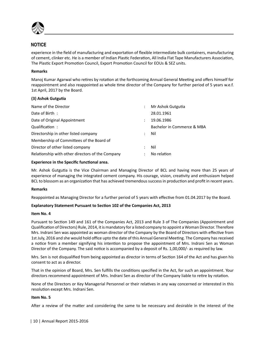

experience in the field of manufacturing and exportation of flexible intermediate bulk containers, manufacturing of cement, clinker etc. He is a member of Indian Plastic Federation, All India Flat Tape Manufacturers Association, The Plastic Export Promotion Council, Export Promotion Council for EOUs & SEZ units.

## **Remarks**

Manoj Kumar Agarwal who retires by rotation at the forthcoming Annual General Meeting and offers himself for reappointment and also reappointed as whole time director of the Company for further period of 5 years w.e.f. 1st April, 2017 by the Board.

# **(3) Ashok GutguƟa**

| Name of the Director                             |                      | Mr Ashok Gutgutia          |
|--------------------------------------------------|----------------------|----------------------------|
| Date of Birth:                                   |                      | 28.01.1961                 |
| Date of Original Appointment                     | $\ddot{\phantom{0}}$ | 19.06.1986                 |
| Qualification:                                   |                      | Bachelor in Commerce & MBA |
| Directorship in other listed company             | $\mathcal{L}$        | Nil                        |
| Membership of Committees of the Board of         |                      |                            |
| Director of other listed company                 | $\mathcal{L}$        | Nil                        |
| Relationship with other directors of the Company | $\ddot{\phantom{a}}$ | No relation                |

# **Experience in the Specific functional area.**

Mr. Ashok Gutgutia is the Vice Chairman and Managing Director of BCL and having more than 25 years of experience of managing the integrated cement company. His courage, vision, creativity and enthusiasm helped BCL to blossom as an organization that has achieved tremendous success in production and profit in recent years.

## **Remarks**

Reappointed as Managing Director for a further period of 5 years with effective from 01.04.2017 by the Board.

## **Explanatory Statement Pursuant to Section 102 of the Companies Act, 2013**

## **Item No. 4**

Pursuant to Section 149 and 161 of the Companies Act, 2013 and Rule 3 of The Companies (Appointment and Qualification of Directors) Rule, 2014, it is mandatory for a listed company to appoint a Woman Director. Therefore Mrs. Indrani Sen was appointed as woman director of the Company by the Board of Directors with effective from 1st July, 2016 and she would hold office upto the date of this Annual General Meeting. The Company has received a notice from a member signifying his intention to propose the appointment of Mrs. Indrani Sen as Woman Director of the Company. The said notice is accompanied by a deposit of Rs. 1,00,000/- as required by law.

Mrs. Sen is not disqualified from being appointed as director in terms of Section 164 of the Act and has given his consent to act as a director.

That in the opinion of Board, Mrs. Sen fulfills the conditions specified in the Act, for such an appointment. Your directors recommend appointment of Mrs. Indrani Sen as director of the Company liable to retire by rotation.

None of the Directors or Key Managerial Personnel or their relatives in any way concerned or interested in this resolution except Mrs. Indrani Sen.

## **Item No. 5**

After a review of the matter and considering the same to be necessary and desirable in the interest of the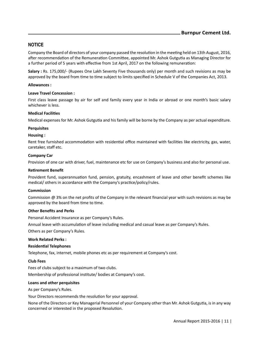Company the Board of directors of your company passed the resolution in the meeting held on 13th August, 2016, after recommendation of the Remuneration Committee, appointed Mr. Ashok Gutgutia as Managing Director for a further period of 5 years with effective from 1st April, 2017 on the following remuneration:

**Salary :** Rs. 175,000/- (Rupees One Lakh Seventy Five thousands only) per month and such revisions as may be approved by the board from time to time subject to limits specified in Schedule V of the Companies Act, 2013.

#### **Allowances :**

#### **Leave Travel Concession :**

First class leave passage by air for self and family every year in India or abroad or one month's basic salary whichever is less.

## **Medical FaciliƟes**

Medical expenses for Mr. Ashok Gutgutia and his family will be borne by the Company as per actual expenditure.

#### **Perquisites**

#### **Housing :**

Rent free furnished accommodation with residential office maintained with facilities like electricity, gas, water, caretaker, staff etc.

#### **Company Car**

Provision of one car with driver, fuel, maintenance etc for use on Company's business and also for personal use.

#### **ReƟrement Benefit**

Provident fund, superannuation fund, pension, gratuity, encashment of leave and other benefit schemes like medical/ others in accordance with the Company's practice/policy/rules.

#### **Commission**

Commission @ 3% on the net profits of the Company in the relevant financial year with such revisions as may be approved by the board from time to time.

#### **Other Benefits and Perks**

Personal Accident Insurance as per Company's Rules.

Annual leave with accumulation of leave including medical and casual leave as per Company's Rules.

Others as per Company's Rules.

#### **Work Related Perks :**

#### **ResidenƟal Telephones**

Telephone, fax, internet, mobile phones etc as per requirement at Company's cost.

#### **Club Fees**

Fees of clubs subject to a maximum of two clubs.

Membership of professional institute/ bodies at Company's cost.

#### **Loans and other perquisites**

As per Company's Rules.

Your Directors recommends the resolution for your approval.

None of the Directors or Key Managerial Personnel of your Company other than Mr. Ashok Gutgutia, is in any way concerned or interested in the proposed Resolution.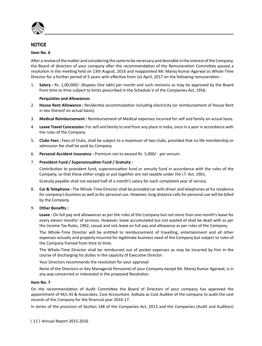

#### **Item No. 6**

After a review of the matter and considering the same to be necessary and desirable in the interest of the Company, the Board of directors of your company after the recommendation of the Remuneration Committee passed a resolution in the meeting held on 13th August, 2016 and reappointed Mr. Manoj Kumar Agarwal as Whole Time Director for a further period of 5 years with effective from 1st April, 2017 on the following remuneration :

1. **Salary :** Rs. 1,00,000/- (Rupees One lakh) per month and such revisions as may be approved by the Board from time to time subject to limits prescribed in the Schedule V of the Companies Act, 1956.

#### **Perquisites and Allowances**

- 2. **House Rent Allowance :** Residential accommodation including electricity (or reimbursement of House Rent in lieu thereof on actual basis).
- 3. **Medical Reimbursement :** Reimbursement of Medical expenses incurred for self and family on actual basis.
- 4. **Leave Travel Concession:** For self and family to and from any place in India, once in a year in accordance with the rules of the Company.
- 5. **Clubs Fees :** Fees of Clubs, shall be subject to a maximum of two clubs, provided that no life membership or admission fee shall be paid by Company.
- 6. **Personal Accident Insurance :** Premium not to exceed Rs. 5,000/ per annum.
- 7. **Provident Fund / SuperannuaƟon Fund / Gratuity :**

Contribution to provident fund, superannuation fund or annuity fund in accordance with the rules of the Company, so that these either singly or put together are not taxable under the I.T. Act, 1961.

Gratuity payable shall not exceed half of a month's salary for each completed year of service.

8. **Car & Telephone :** The Whole-Time Director shall be provided car with driver and telephones at his residence for company's business as well as for personal use. However, long distance calls for personal use will be billed by the Company.

#### 9. **Other Benefits :**

**Leave :** On full pay and allowances as per the rules of the Company but not more than one month's leave for every eleven months' of services. However, leave accumulated but not availed of shall be dealt with as per the Income Tax Rules, 1962, casual and sick leave on full pay and allowance as per rules of the Company.

The Whole-Time Director will be entitled to reimbursement of travelling, entertainment and all other expenses actually and properly incurred for legitimate business need of the Company but subject to rules of the Company framed from time to time.

 The Whole-Time Director shall be reimbursed out of pocket expenses as may be incurred by him in the course of discharging his duties in the capacity of Executive Director.

Your Directors recommends the resolution for your approval.

 None of the Directors or Key Managerial Personnel of your Company except Mr. Manoj Kumar Agarwal, is in any way concerned or interested in the proposed Resolution.

#### **Item No. 7**

On the recommendation of Audit Committee the Board of Directors of your company has approved the appointment of M/s AS & Associates, Cost Accountant, Kolkata as Cost Auditor of the company to audit the cost records of the Company for the financial year 2016-17.

In terms of the provision of Section 148 of the Companies Act, 2013 and the Companies (Audit and Auditors)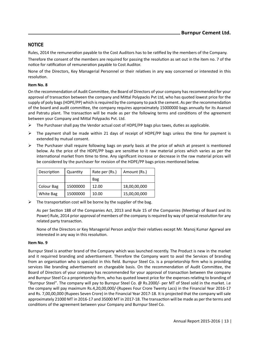Rules, 2014 the remuneration payable to the Cost Auditors has to be ratified by the members of the Company.

Therefore the consent of the members are required for passing the resolution as set out in the item no. 7 of the notice for ratification of remuneration payable to Cost Auditor.

None of the Directors, Key Managerial Personnel or their relatives in any way concerned or interested in this resolution.

# **Item No. 8**

On the recommendation of Audit Committee, the Board of Directors of your company has recommended for your approval of transaction between the company and Mittal Polypacks Pvt Ltd, who has quoted lowest price for the supply of poly bags (HDPE/PP) which is required by the company to pack the cement. As per the recommendation of the board and audit committee, the company requires approximately 15000000 bags annually for its Asansol and Patratu plant. The transaction will be made as per the following terms and conditions of the agreement between your Company and Mittal Polypacks Pvt. Ltd.

- $\triangleright$  The Purchaser shall pay the Vendor actual cost of HDPE/PP bags plus taxes, duties as applicable.
- $\triangleright$  The payment shall be made within 21 days of receipt of HDPE/PP bags unless the time for payment is extended by mutual consent.
- $\triangleright$  The Purchaser shall require following bags on yearly basis at the price of which at present is mentioned below. As the price of the HDPE/PP bags are sensitive to it raw material prices which varies as per the international market from time to time. Any significant increase or decrease in the raw material prices will be considered by the purchaser for revision of the HDPE/PP bags prices mentioned below.

| Description | Quantity | Rate per (Rs.) | Amount (Rs.) |
|-------------|----------|----------------|--------------|
|             |          | Bag            |              |
| Colour Bag  | 15000000 | 12.00          | 18,00,00,000 |
| White Bag   | 15000000 | 10.00          | 15,00,00,000 |

 $\triangleright$  The transportation cost will be borne by the supplier of the bag.

As per Section 188 of the Companies Act, 2013 and Rule 15 of the Companies (Meetings of Board and its Power) Rule, 2014 prior approval of members of the company is required by way of special resolution for any related party transaction.

None of the Directors or Key Managerial Person and/or their relatives except Mr. Manoj Kumar Agarwal are interested in any way in this resolution.

## **Item No. 9**

Burnpur Steel is another brand of the Company which was launched recently. The Product is new in the market and it requirred branding and advertisement. Therefore the Company want to avail the Services of branding from an organisation who is specialist in this field. Burnpur Steel Co. is a proprietorship firm who is providing services like branding advertisement on chargeable basis. On the recommendation of Audit Committee, the Board of Directors of your company has recommended for your approval of transaction between the company and Burnpur Steel Co a proprietorship firm, who has quoted lowest price for the expenses relating to branding of "Burnpur Steel". The company will pay to Burnpur Steel Co. @ Rs.2000/- per MT of Steel sold in the market. i.e the company will pay maximum Rs.4,20,00,000/-(Rupees Four Crore Twenty Lacs) in the Financial Year 2016-17 and Rs. 7,00,00,000 (Rupees Seven Crore) in the Financial Year 2017-18. It is projected that the company will sale approximately 21000 MT in 2016-17 and 35000 MT in 2017-18. The transaction will be made as per the terms and conditions of the agreement between your Company and Burnpur Steel Co.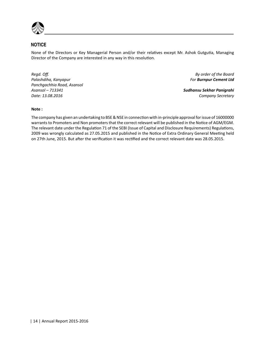

None of the Directors or Key Managerial Person and/or their relatives except Mr. Ashok Gutgutia, Managing Director of the Company are interested in any way in this resolution.

*Regd. Off. By order of the Board Palashdiha, Kanyapur For Burnpur Cement Ltd Panchgachhia Road, Asansol Asansol – 713341 Sudhansu Sekhar Panigrahi Date: 13.08.2016 Company Secretary*

# **Note :**

The company has given an undertaking to BSE & NSE in connection with in-principle approval for issue of 16000000 warrants to Promoters and Non promoters that the correct relevant will be published in the Notice of AGM/EGM. The relevant date under the Regulation 71 of the SEBI (Issue of Capital and Disclosure Requirements) Regulations, 2009 was wrongly calculated as 27.05.2015 and published in the Notice of Extra Ordinary General Meeting held on 27th June, 2015. But after the verification it was rectified and the correct relevant date was 28.05.2015.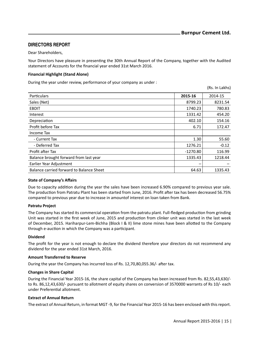# **DIRECTORS REPORT**

Dear Shareholders,

Your Directors have pleasure in presenting the 30th Annual Report of the Company, together with the Audited statement of Accounts for the financial year ended 31st March 2016.

#### **Financial Highlight (Stand Alone)**

During the year under review, performance of your company as under :

(Rs. In Lakhs)

| Particulars                              | 2015-16    | 2014-15 |
|------------------------------------------|------------|---------|
| Sales (Net)                              | 8799.23    | 8231.54 |
| <b>EBDIT</b>                             | 1740.23    | 780.83  |
| Interest                                 | 1331.42    | 454.20  |
| Depreciation                             | 402.10     | 154.16  |
| Profit before Tax                        | 6.71       | 172.47  |
| Income Tax                               |            |         |
| - Current Tax                            | 1.30       | 55.60   |
| - Deferred Tax                           | 1276.21    | $-0.12$ |
| Profit after Tax                         | $-1270.80$ | 116.99  |
| Balance brought forward from last year   | 1335.43    | 1218.44 |
| Earlier Year Adjustment                  |            |         |
| Balance carried forward to Balance Sheet | 64.63      | 1335.43 |
|                                          |            |         |

## **State of Company's Affairs**

Due to capacity addition during the year the sales have been increased 6.90% compared to previous year sale. The production from Patratu Plant has been started from June, 2016. Profit after tax has been decreased 56.75% compared to previous year due to increase in amountof interest on loan taken from Bank.

## **Patratu Project**

The Company has started its commercial operation from the patratu plant. Full-fledged production from grinding Unit was started in the first week of June, 2015 and production from clinker unit was started in the last week of December, 2015. Hariharpur-Lem-Bichha (Block I & II) lime stone mines have been allotted to the Company through e-auction in which the Company was a participant.

## **Dividend**

The profit for the year is not enough to declare the dividend therefore your directors do not recommend any dividend for the year ended 31st March, 2016.

#### **Amount Transferred to Reserve**

During the year the Company has incurred loss of Rs. 12,70,80,055.36/- after tax.

#### **Changes in Share Capital**

During the Financial Year 2015-16, the share capital of the Company has been increased from Rs. 82,55,43,630/ to Rs. 86,12,43,630/- pursuant to allotment of equity shares on conversion of 3570000 warrants of Rs 10/- each under Preferential allotment.

#### **Extract of Annual Return**

The extract of Annual Return, in format MGT -9, for the Financial Year 2015-16 has been enclosed with this report.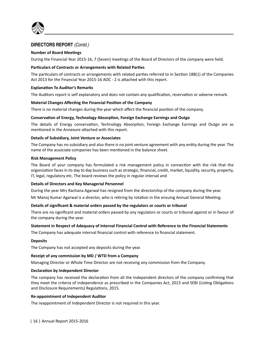

# **Number of Board Meetings**

During the Financial Year 2015-16, 7 (Seven) meetings of the Board of Directors of the company were held.

## **Particulars of Contracts or Arrangements with Related Parties**

The particulars of contracts or arrangements with related parties referred to in Section 188(1) of the Companies Act 2013 for the Financial Year 2015-16 AOC - 2 is attached with this report.

## **ExplanaƟon To Auditor's Remarks**

The Auditors report is self explanatory and does not contain any qualification, reservation or adverse remark.

# **Material Changes AffecƟng the Financial PosiƟon of the Company**

There is no material changes during the year which affect the financial position of the company.

# **ConservaƟon of Energy, Technology AbsorpƟon, Foreign Exchange Earnings and Outgo**

The details of Energy conservation, Technology Absorption, Foreign Exchange Earnings and Outgo are as mentioned in the Annexure attached with this report.

# **Details of Subsidiary, Joint Venture or Associates**

The Company has no subsidiary and also there is no joint venture agreement with any entity during the year. The name of the associate companies has been mentioned in the balance sheet.

## **Risk Management Policy**

The Board of your company has formulated a risk management policy in connection with the risk that the organization faces in its day to day business such as strategic, financial, credit, market, liquidity, security, property, IT, legal, regulatory etc. The board reviews the policy in regular interval and

## **Details of Directors and Key Managerial Personnel**

During the year Mrs Rachana Agarwal has resigned from the directorship of the company during the year.

Mr Manoj Kumar Agarwal is a director, who is retiring by rotation in the ensuing Annual General Meeting.

## **Details of significant & material orders passed by the regulators or courts or tribunal**

There are no significant and material orders passed by any regulators or courts or tribunal against or in favour of the company during the year.

## **Statement in Respect of Adequacy of Internal Financial Control with Reference to the Financial Statements**

The Company has adequate internal financial control with reference to financial statement.

## **Deposits**

The Company has not accepted any deposits during the year.

## **Receipt of any commission by MD / WTD from a Company**

Managing Director or Whole Time Director are not receiving any commission from the Company.

## **DeclaraƟon by Independent Director**

The company has received the declaration from all the Independent directors of the company confirming that they meet the criteria of independence as prescribed in the Companies Act, 2013 and SEBI (Listing Obligations and Disclosure Requirements) Regulations, 2015.

## **Re-appointment of Independent Auditor**

The reappointment of Independent Director is not required in this year.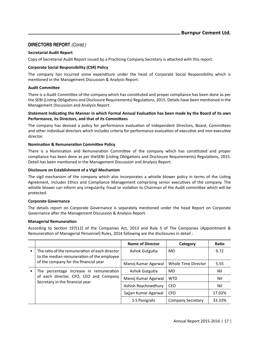# **Secretarial Audit Report**

Copy of Secretarial Audit Report issued by a Practicing Company Secretary is attached with this report.

# **Corporate Social Responsibility (CSR) Policy**

The company has incurred some expenditure under the head of Corporate Social Responsibility which is mentioned in the Management Discussion & Analysis Report.

# **Audit CommiƩee**

There is a Audit Committee of the company which has constituted and proper compliance has been done as per the SEBI (Listing Obligations and Disclosure Requirements) Regulations, 2015. Details have been mentioned in the Management Discussion and Analysis Report.

## **Statement IndicaƟng the Manner in which Formal Annual EvaluaƟon has been made by the Board of its own Performance, its Directors, and that of its Committees**

The company has devised a policy for performance evaluation of Independent Directors, Board, Committees and other individual directors which includes criteria for performance evaluation of executive and non-executive director.

# **NominaƟon & RemuneraƟon CommiƩee Policy**

There is a Nomination and Remuneration Committee of the company which has constituted and proper compliance has been done as per theSEBI (Listing Obligations and Disclosure Requirements) Regulations, 2015. Detail has been mentioned in the Management Discussion and Analysis Report.

# **Disclosure on Establishment of a Vigil Mechanism**

The vigil mechanism of the company which also incorporates a whistle blower policy in terms of the Listing Agreement, includes Ethics and Compliance Management comprising senior executives of the company. The whistle blower can inform any irregularity, fraud or violation to Chairman of the Audit committee which will be protected.

## **Corporate Governance**

The details report on Corporate Governance is separately mentioned under the head Report on Corporate Governance after the Management Discussion & Analysis Report.

## **Managerial RemuneraƟon**

According to Section 197(12) of the Companies Act, 2013 and Rule 5 of The Companies (Appointment & Remuneration of Managerial Personnel) Rules, 2014 following are the disclosures in detail :

|                                                                                              | <b>Name of Director</b> | Category                 | Ratio  |
|----------------------------------------------------------------------------------------------|-------------------------|--------------------------|--------|
| The ratio of the remuneration of each director<br>to the median remuneration of the employee | Ashok Gutgutia          | MD                       | 9.72   |
| of the company for the financial year                                                        | Manoj Kumar Agarwal     | Whole Time Director      | 5.55   |
| The percentage increase in remuneration                                                      | Ashok Gutgutia          | MD                       | Nil    |
| of each director, CFO, CEO and Company<br>Secretary in the financial year                    | Manoj Kumar Agarwal     | <b>WTD</b>               | Nil    |
|                                                                                              | Ashish Roychowdhury     | CEO                      | Nil    |
|                                                                                              | Sajjan Kumar Agarwal    | <b>CFO</b>               | 17.02% |
|                                                                                              | S S Panigrahi           | <b>Company Secretary</b> | 33.33% |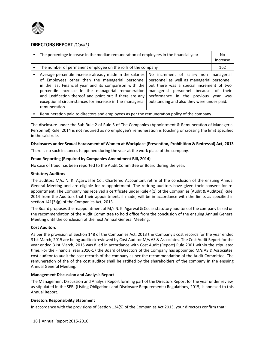

| The percentage increase in the median remuneration of employees in the financial year                                                                                                                                                                                                                                                                                                                                                                                                                                                                                                                                                  |  | No.<br>Increase |
|----------------------------------------------------------------------------------------------------------------------------------------------------------------------------------------------------------------------------------------------------------------------------------------------------------------------------------------------------------------------------------------------------------------------------------------------------------------------------------------------------------------------------------------------------------------------------------------------------------------------------------------|--|-----------------|
| The number of permanent employee on the rolls of the company                                                                                                                                                                                                                                                                                                                                                                                                                                                                                                                                                                           |  | 162             |
| Average percentile increase already made in the salaries<br>No increment of salary non managerial<br>of Employees other than the managerial personnel<br>personnel as well as managerial personnel,<br>in the last Financial year and its comparison with the<br>but there was a special increment of two<br>percentile increase In the managerial remuneration<br>managerial personnel because of their<br>and justification thereof and point out if there are any<br>performance in the previous year was<br>exceptional circumstances for increase in the managerial<br>outstanding and also they were under paid.<br>remuneration |  |                 |
|                                                                                                                                                                                                                                                                                                                                                                                                                                                                                                                                                                                                                                        |  |                 |

• Remuneration paid to directors and employees as per the remuneration policy of the company.

The disclosure under the Sub Rule 2 of Rule 5 of The Companies (Appointment & Remuneration of Managerial Personnel) Rule, 2014 is not required as no employee's remuneration is touching or crossing the limit specified in the said rule.

#### **Disclosures under Sexual Harassment of Women at Workplace (PrevenƟon, ProhibiƟon & Redressal) Act, 2013**

There is no such instances happened during the year at the work place of the company.

#### **Fraud Reporting (Required by Companies Amendment Bill, 2014)**

No case of fraud has been reported to the Audit Committee or Board during the year.

#### **Statutory Auditors**

The auditors M/s. N. K. Agarwal & Co., Chartered Accountant retire at the conclusion of the ensuing Annual General Meeting and are eligible for re-appointment. The retiring auditors have given their consent for reappointment. The Company has received a certificate under Rule 4(1) of the Companies (Audit & Auditors) Rule, 2014 from the Auditors that their appointment, if made, will be in accordance with the limits as specified in section  $141(3)(g)$  of the Companies Act, 2013.

The Board proposes the reappointment of M/s N. K. Agarwal & Co. as statutory auditors of the company based on the recommendation of the Audit Committee to hold office from the conclusion of the ensuing Annual General Meeting until the conclusion of the next Annual General Meeting.

## **Cost Auditors**

As per the provision of Section 148 of the Companies Act, 2013 the Company's cost records for the year ended 31st March, 2015 are being audited/reviewed by Cost Auditor M/s AS & Associates. The Cost Audit Report for the year ended 31st March, 2015 was filled in accordance with Cost Audit (Report) Rule 2001 within the stipulated time. For the Financial Year 2016-17 the Board of Directors of the Company has appointed M/s AS & Associates, cost auditor to audit the cost records of the company as per the recommendation of the Audit Committee. The remuneration of the of the cost auditor shall be ratified by the shareholders of the company in the ensuing Annual General Meeting.

#### **Management Discussion and Analysis Report**

The Management Discussion and Analysis Report forming part of the Directors Report for the year under review, as stipulated in the SEBI (Listing Obligations and Disclosure Requirements) Regulations, 2015, is annexed to this Annual Report.

## **Directors Responsibility Statement**

In accordance with the provisions of Section 134(5) of the Companies Act 2013, your directors confirm that: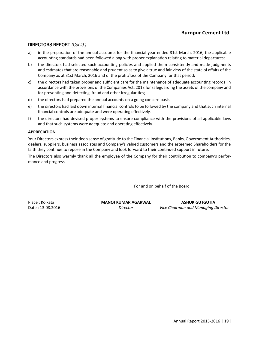- a) in the preparation of the annual accounts for the financial year ended 31st March, 2016, the applicable accounting standards had been followed along with proper explanation relating to material departures;
- b) the directors had selected such accounting policies and applied them consistently and made judgments and estimates that are reasonable and prudent so as to give a true and fair view of the state of affairs of the Company as at 31st March, 2016 and of the profit/loss of the Company for that period;
- c) the directors had taken proper and sufficient care for the maintenance of adequate accounting records in accordance with the provisions of the Companies Act, 2013 for safeguarding the assets of the company and for preventing and detecting fraud and other irregularities;
- d) the directors had prepared the annual accounts on a going concern basis;
- e) the directors had laid down internal financial controls to be followed by the company and that such internal financial controls are adequate and were operating effectively.
- f) the directors had devised proper systems to ensure compliance with the provisions of all applicable laws and that such systems were adequate and operating effectively.

#### **APPRECIATION**

Your Directors express their deep sense of gratitude to the Financial Institutions, Banks, Government Authorities, dealers, suppliers, business associates and Company's valued customers and the esteemed Shareholders for the faith they continue to repose in the Company and look forward to their continued support in future.

The Directors also warmly thank all the employee of the Company for their contribution to company's performance and progress.

For and on behalf of the Board

Place : Kolkata **MANOJ KUMAR AGARWAL MANOJ KUMAR AGARWAL ASHOK GUTGUTIA**<br>*Director Vice Chairman and Manaaina I* **Director** *Director Vice Chairman and Managing Director*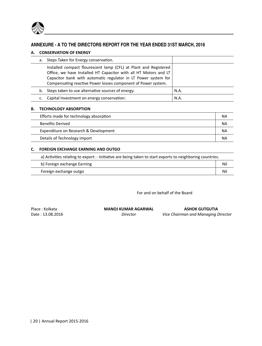

# **ANNEXURE - A TO THE DIRECTORS REPORT FOR THE YEAR ENDED 31ST MARCH, 2016**

#### **A. CONSERVATION OF ENERGY**

|    | a. Steps Taken for Energy conservation.                                                                                                                                                                                                                                 |      |
|----|-------------------------------------------------------------------------------------------------------------------------------------------------------------------------------------------------------------------------------------------------------------------------|------|
|    | Installed compact flourescent lamp (CFL) at Plant and Registered<br>Office, we have Installed HT Capacitor with all HT Motors and LT<br>Capacitor bank with automatic regulator in LT Power system for<br>Compensating reactive Power losses component of Power system. |      |
|    | b. Steps taken to use alternative sources of energy.                                                                                                                                                                                                                    | N.A. |
| c. | Capital Investment on energy conservation:                                                                                                                                                                                                                              | N.A. |

#### **B. TECHNOLOGY ABSORPTION**

| Efforts made for technology absorption | ΝA |
|----------------------------------------|----|
| <b>Benefits Derived</b>                | ΝA |
| Expenditure on Research & Development  | NА |
| Details of Technology import           | ΝA |

# **C. FOREIGN EXCHANGE EARNING AND OUTGO**

a) Activities relating to export: - Initiative are being taken to start exports to neighboring countries.

| approcurates relating to export. Initiative are being taken to start exports to neighboring countries. |     |
|--------------------------------------------------------------------------------------------------------|-----|
| b) Foreign exchange Earning                                                                            | Nil |
| Foreign exchange outgo                                                                                 | Nil |
|                                                                                                        |     |

For and on behalf of the Board

Place : Kolkata **MANOJ KUMAR AGARWAL MANOJ KUMAR AGARWAL ASHOK GUTGUTIA**<br>Director *Vice Chairman and Managing L* 

**Director** *Director Vice Chairman and Managing Director*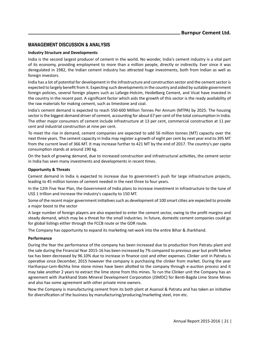# **MANAGEMENT DISCUSSION & ANALYSIS**

## **Industry Structure and Developments**

India is the second largest producer of cement in the world. No wonder, India's cement industry is a vital part of its economy, providing employment to more than a million people, directly or indirectly. Ever since it was deregulated in 1982, the Indian cement industry has attracted huge investments, both from Indian as well as foreign investors.

India has a lot of potential for development in the infrastructure and construction sector and the cement sector is expected to largely benefit from it. Expecting such developments in the country and aided by suitable government foreign policies, several foreign players such as Lafarge-Holcim, Heidelberg Cement, and Vicat have invested in the country in the recent past. A significant factor which aids the growth of this sector is the ready availability of the raw materials for making cement, such as limestone and coal.

India's cement demand is expected to reach 550-600 Million Tonnes Per Annum (MTPA) by 2025. The housing sector is the biggest demand driver of cement, accounting for about 67 per cent of the total consumption in India. The other major consumers of cement include infrastructure at 13 per cent, commercial construction at 11 per cent and industrial construction at nine per cent.

To meet the rise in demand, cement companies are expected to add 56 million tonnes (MT) capacity over the next three years. The cement capacity in India may register a growth of eight per cent by next year end to 395 MT from the current level of 366 MT. It may increase further to 421 MT by the end of 2017. The country's per capita consumption stands at around 190 kg.

On the back of growing demand, due to increased construction and infrastructural activities, the cement sector in India has seen many investments and developments in recent times.

# **Opportunity & Threats**

Cement demand in India is expected to increase due to government's push for large infrastructure projects, leading to 45 million tonnes of cement needed in the next three to four years.

In the 12th Five Year Plan, the Government of India plans to increase investment in infrastructure to the tune of US\$ 1 trillion and increase the industry's capacity to 150 MT.

Some of the recent major government initiatives such as development of 100 smart cities are expected to provide a major boost to the sector

A large number of foreign players are also expected to enter the cement sector, owing to the profit margins and steady demand, which may be a threat for the small industries. In future, domestic cement companies could go for global listings either through the FCCB route or the GDR route.

The Company has opportunity to expand its marketing net-work into the entire Bihar & Jharkhand.

## **Performance**

During the Year the performance of the company has been increased due to production from Patratu plant and the sale during the Financial Year 2015-16 has been increased by 7% compared to previous year but profit before tax has been decreased by 96.10% due to increase in finance cost and other expenses. Clinker unit in Patratu is operative since December, 2015 however the company is purchasing the clinker from market. During the year Hariharpur-Lem-Bichha lime stone mines have been allotted to the company through e-auction process and it may take another 2 years to extract the lime stone from this mines. To run the Clinker unit the Company has an agreement with Jharkhand State Mineral Development Corporation (JSMDC) for Benti-Bagda Lime Stone Mines and also has some agreement with other private mine owners.

Now the Company is manufacturing cement from its both plant at Asansol & Patratu and has taken an initiative for diversification of the business by manufacturing/producing/marketing steel, iron etc.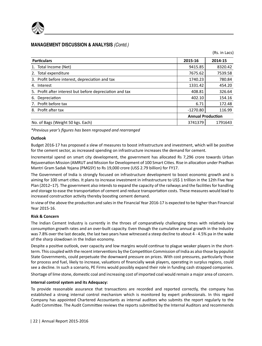

# **MANAGEMENT DISCUSSION & ANALYSIS** *(Contd.)*

| <b>Particulars</b>                                       | 2015-16                  | 2014-15 |
|----------------------------------------------------------|--------------------------|---------|
| 1. Total Income (Net)                                    | 9415.85                  | 8320.42 |
| 2. Total expenditure                                     | 7675.62                  | 7539.58 |
| 3. Profit before interest, depreciation and tax          | 1740.23                  | 780.84  |
| Interest<br>4.                                           | 1331.42                  | 454.20  |
| 5. Profit after interest but before depreciation and tax | 408.81                   | 326.64  |
| 6. Depreciation                                          | 402.10                   | 154.16  |
| 7. Profit before tax                                     | 6.71                     | 172.48  |
| 8. Profit after tax                                      | $-1270.80$               | 116.99  |
|                                                          | <b>Annual Production</b> |         |
| No. of Bags (Weight 50 kgs. Each)                        | 3741379                  | 1791643 |

(Rs. in Lacs)

*\*Previous year's figures has been regrouped and rearranged*

#### **Outlook**

Budget 2016-17 has proposed a slew of measures to boost infrastructure and investment, which will be positive for the cement sector, as increased spending on infrastructure increases the demand for cement.

Incremental spend on smart city development, the government has allocated Rs 7,296 crore towards Urban Rejuvenation Mission (AMRUT and Mission for Development of 100 Smart Cities. Rise in allocation under Pradhan Mantri Gram Sadak Yojana (PMGSY) to Rs 19,000 crore (US\$ 2.79 billion) for FY17.

The Government of India is strongly focused on infrastructure development to boost economic growth and is aiming for 100 smart cities. It plans to increase investment in infrastructure to US\$ 1 trillion in the 12th Five Year Plan (2012–17). The government also intends to expand the capacity of the railways and the facilities for handling and storage to ease the transportation of cement and reduce transportation costs. These measures would lead to increased construction activity thereby boosting cement demand.

In view of the above the production and sales in the Financial Year 2016-17 is expected to be higher than Financial Year 2015-16.

## **Risk & Concern**

The Indian Cement Industry is currently in the throes of comparatively challenging times with relatively low consumption growth rates and an over-built capacity. Even though the cumulative annual growth in the Industry was 7.8% over the last decade, the last two years have witnessed a steep decline to about 4 - 4.5% pa in the wake of the sharp slowdown in the Indian economy.

Despite a positive outlook, over capacity and low margins would continue to plague weaker players in the shortterm. This coupled with the recent interventions by the Competition Commission of India as also those by populist State Governments, could perpetuate the downward pressure on prices. With cost pressures, particularly those for process and fuel, likely to increase, valuations of financially weak players, operating in surplus regions, could see a decline. In such a scenario, PE Firms would possibly expand their role in funding cash strapped companies.

Shortage of lime stone, domestic coal and increasing cost of imported coal would remain a major area of concern.

#### **Internal control system and its Adequacy:**

To provide reasonable assurance that transactions are recorded and reported correctly, the company has established a strong internal control mechanism which is monitored by expert professionals. In this regard Company has appointed Chartered Accountants as internal auditors who submits the report regularly to the Audit Committee. The Audit Committee reviews the reports submitted by the Internal Auditors and recommends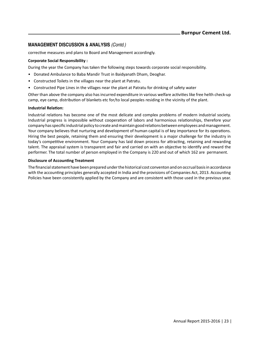# **MANAGEMENT DISCUSSION & ANALYSIS** *(Contd.)*

corrective measures and plans to Board and Management accordingly.

## **Corporate Social Responsibility :**

During the year the Company has taken the following steps towards corporate social responsibility.

- Donated Ambulance to Baba Mandir Trust in Baidyanath Dham, Deoghar.
- Constructed Toilets in the villages near the plant at Patratu.
- Constructed Pipe Lines in the villages near the plant at Patratu for drinking of safety water

Other than above the company also has incurred expenditure in various welfare activities like free helth check-up camp, eye camp, distribution of blankets etc for/to local peoples residing in the vicinity of the plant.

#### **Industrial RelaƟon:**

Industrial relations has become one of the most delicate and complex problems of modern industrial society. Industrial progress is impossible without cooperation of labors and harmonious relationships, therefore your company has specific industrial policy to create and maintain good relations between employees and management. Your company believes that nurturing and development of human capital is of key importance for its operations. Hiring the best people, retaining them and ensuring their development is a major challenge for the industry in today's competitive environment. Your Company has laid down process for attracting, retaining and rewarding talent. The appraisal system is transparent and fair and carried on with an objective to identify and reward the performer. The total number of person employed in the Company is 220 and out of which 162 are permanent.

#### **Disclosure of Accounting Treatment**

The financial statement have been prepared under the historical cost conventon and on occrual basis in accordance with the accounting principles generally accepted in India and the provisions of Companies Act, 2013. Accounting Policies have been consistently applied by the Company and are consistent with those used in the previous year.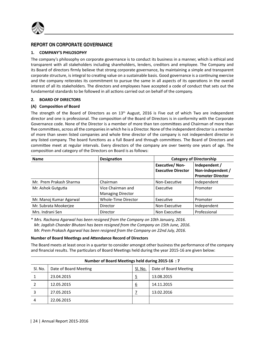

# **REPORT ON CORPORATE GOVERNANCE**

# **1. COMPANY'S PHILOSOPHY**

The company's philosophy on corporate governance is to conduct its business in a manner, which is ethical and transparent with all stakeholders including shareholders, lenders, creditors and employee. The Company and its Board of directors firmly believe that strong corporate governance, by maintaining a simple and transparent corporate structure, is integral to creating value on a sustainable basis. Good governance is a continuing exercise and the company reiterates its commitment to pursue the same in all aspects of its operations in the overall interest of all its stakeholders. The directors and employees have accepted a code of conduct that sets out the fundamental standards to be followed in all actions carried out on behalf of the company.

# **2. BOARD OF DIRECTORS**

# **(A) ComposiƟon of Board**

The strength of the Board of Directors as on 13<sup>th</sup> August, 2016 is Five out of which Two are independent director and one is professional. The composition of the Board of Directors is in conformity with the Corporate Governance code. None of the Director is a member of more than ten committees and Chairman of more than five committees, across all the companies in which he is a Director. None of the independent director is a member of more than seven listed companies and whole time director of the company is not independent director in any listed company. The board functions as a full Board and through committees. The Board of Directors and committee meet at regular intervals. Every directors of the company are over twenty one years of age. The composition and category of the Directors on Board is as follows:

| <b>Name</b>             | <b>Designation</b>                            | <b>Category of Directorship</b>                    |                                                                |  |
|-------------------------|-----------------------------------------------|----------------------------------------------------|----------------------------------------------------------------|--|
|                         |                                               | <b>Executive/Non-</b><br><b>Executive Director</b> | Independent /<br>Non-independent /<br><b>Promoter Director</b> |  |
| Mr. Prem Prakash Sharma | Chairman                                      | Non-Executive                                      | Independent                                                    |  |
| Mr. Ashok Gutgutia      | Vice Chairman and<br><b>Managing Director</b> | Executive                                          | Promoter                                                       |  |
| Mr. Manoj Kumar Agarwal | Whole-Time Director                           | Executive                                          | Promoter                                                       |  |
| Mr. Subrata Mookerjee   | Director                                      | Non-Executive                                      | Independent                                                    |  |
| Mrs. Indrani Sen        | Director                                      | Non Executive                                      | Professional                                                   |  |

\* *Mrs. Rachana Agarwal has been resigned from the Company on 10th January, 2016. Mr. Jagdish Chander Bhutani has been resigned from the Company on 15th June, 2016. Mr. Prem Prakash Agarwal has been resigned from the Company on 22nd July, 2016.* 

## **Number of Board MeeƟngs and AƩendance Record of Directors**

The Board meets at least once in a quarter to consider amongst other business the performance of the company and financial results. The particulars of Board Meetings held during the year 2015-16 are given below:

| Number of Board Meetings held during 2015-16 : 7 |                       |         |                       |  |
|--------------------------------------------------|-----------------------|---------|-----------------------|--|
| Sl. No.                                          | Date of Board Meeting | Sl. No. | Date of Board Meeting |  |
|                                                  | 23.04.2015            | 5       | 13.08.2015            |  |
|                                                  | 12.05.2015            | 6       | 14.11.2015            |  |
| 3                                                | 27.05.2015            |         | 13.02.2016            |  |
| 4                                                | 22.06.2015            |         |                       |  |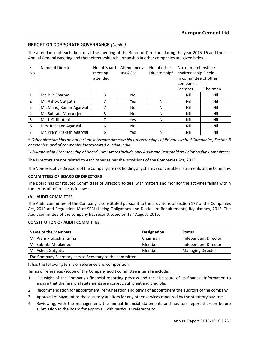The attendance of each director at the meeting of the Board of Directors during the year 2015-16 and the last Annual General Meeting and their directorship/chairmanship in other companies are given below:

| SI.<br>No | Name of Director         | No. of Board<br>meeting<br>attended | Attendance at<br>last AGM | No. of other<br>Directorship <sup>@</sup> | No. of membership /<br>chairmanship ^ held<br>in committee of other<br>companies |          |
|-----------|--------------------------|-------------------------------------|---------------------------|-------------------------------------------|----------------------------------------------------------------------------------|----------|
|           |                          |                                     |                           |                                           | Member                                                                           | Chairman |
|           | Mr. P. P. Sharma         | 3                                   | No                        |                                           | Nil                                                                              | Nil      |
| 2         | Mr. Ashok Gutgutia       |                                     | Yes                       | Nil                                       | Nil                                                                              | Nil      |
| 3         | Mr. Manoj Kumar Agarwal  |                                     | No                        | Nil                                       | Nil                                                                              | Nil      |
| 4         | Mr. Subrata Mookerjee    | 3                                   | No                        | Nil                                       | Nil                                                                              | Nil      |
| 5         | Mr. J. C. Bhutani        |                                     | Yes                       | Nil                                       | Nil                                                                              | Nil      |
| 6         | Mrs. Rachana Agarwal     | 6                                   | No                        |                                           | Nil                                                                              | Nil      |
|           | Mr. Prem Prakash Agarwal | 6                                   | Yes                       | Nil                                       | Nil                                                                              | Nil      |

*@ Other directorships do not include alternate directorships, directorships of Private Limited Companies, SecƟon 8 companies, and of companies incorporated outside India.*

*^ Chairmanship / Membership of Board CommiƩees include only Audit and Stakeholders RelaƟonship CommiƩees*.

The Directors are not related to each other as per the provisions of the Companies Act, 2013.

The Non-executive Directors of the Company are not holding any shares / convertible instruments of the Company.

## **COMMITTEES OF BOARD OF DIRECTORS**

The Board has constituted Committees of Directors to deal with matters and monitor the activities falling within the terms of reference as follows:

## **(A) AUDIT COMMITTEE**

The Audit committee of the Company is constituted pursuant to the provisions of Section 177 of the Companies Act, 2013 and Regulation 18 of SEBI (Listing Obligations and Disclosure Requirements) Regulations, 2015. The Audit committee of the company has reconstituted on 13<sup>th</sup> August, 2016.

#### **CONSTITUTION OF AUDIT COMMITTEE:**

| Name of the Members                                    | Designation | <b>Status</b>            |
|--------------------------------------------------------|-------------|--------------------------|
| Mr. Prem Prakash Sharma                                | Chairman    | Independent Director     |
| Mr. Subrata Mookerjee                                  | Member      | Independent Director     |
| Mr. Ashok Gutgutia                                     | Member      | <b>Managing Director</b> |
| The Campany Coordon, acts as Coordon, to the committee |             |                          |

The Company Secretary acts as Secretary to the committee.

It has the following terms of reference and composition:

Terms of references/scope of the Company audit committee inter alia include:

- 1. Oversight of the Company's financial reporting process and the disclosure of its financial information to ensure that the financial statements are correct, sufficient and credible.
- 2. Recommendation for appointment, remuneration and terms of appointment the auditors of the company.
- 3. Approval of payment to the statutory auditors for any other services rendered by the statutory auditors.
- 4. Reviewing, with the management, the annual financial statements and auditors report thereon before submission to the Board for approval, with particular reference to;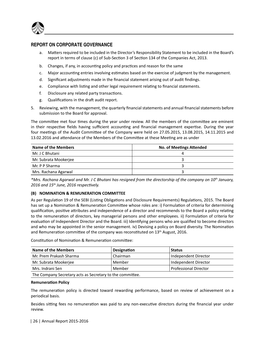

# **REPORT ON CORPORATE GOVERNANCE**

- a. Matters required to be included in the Director's Responsibility Statement to be included in the Board's report in terms of clause (c) of Sub-Section 3 of Section 134 of the Companies Act, 2013.
- b. Changes, if any, in accounting policy and practices and reason for the same
- c. Major accounting entries involving estimates based on the exercise of judgment by the management.
- d. Significant adjustments made in the financial statement arising out of audit findings.
- e. Compliance with listing and other legal requirement relating to financial statements.
- f. Disclosure any related party transactions.
- g. Qualifications in the draft audit report.
- 5. Reviewing, with the management, the quarterly financial statements and annual financial statements before submission to the Board for approval.

The committee met four times during the year under review. All the members of the committee are eminent in their respective fields having sufficient accounting and financial management expertise. During the year four meetings of the Audit Committee of the Company were held on 27.05.2015, 13.08.2015, 14.11.2015 and 13.02.2016 and attendance of the Members of the Committee at these Meeting are as under

| Name of the Members   | No. of Meetings Attended |
|-----------------------|--------------------------|
| Mr. J C Bhutani       | 4                        |
| Mr. Subrata Mookerjee |                          |
| Mr. P P Sharma        |                          |
| Mrs. Rachana Agarwal  |                          |

*\*Mrs. Rachana Agarwal and Mr. J C Bhutani has resigned from the directorship of the company on 10th January, 2016 and 15th June, 2016 respecƟvely.*

## **(B) NOMINATION & REMUNERATION COMMITTEE**

As per Regulation 19 of the SEBI (Listing Obligations and Disclosure Requirements) Regulations, 2015. The Board has set up a Nomination & Remuneration Committee whose roles are: i) Formulation of criteria for determining qualification, positive attributes and independence of a director and recommends to the Board a policy relating to the remuneration of directors, key managerial persons and other employees. ii) Formulation of criteria for evaluation of Independent Director and the Board. iii) Identifying persons who are qualified to become directors and who may be appointed in the senior management. iv) Devising a policy on Board diversity. The Nomination and Remuneration committee of the company was reconstituted on 13<sup>th</sup> August, 2016.

Constitution of Nomination & Remuneration committee:

| Name of the Members                                        | Designation | <b>Status</b>        |  |
|------------------------------------------------------------|-------------|----------------------|--|
| Mr. Prem Prakash Sharma                                    | Chairman    | Independent Director |  |
| Mr. Subrata Mookerjee                                      | Member      | Independent Director |  |
| <b>Professional Director</b><br>Mrs. Indrani Sen<br>Member |             |                      |  |
| The Company Secretary acts as Secretary to the committee.  |             |                      |  |

#### **RemuneraƟon Policy**

The remuneration policy is directed toward rewarding performance, based on review of achievement on a periodical basis.

Besides sitting fees no remuneration was paid to any non-executive directors during the financial year under review.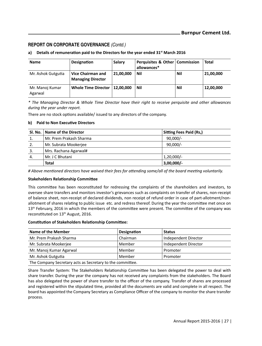## a) Details of remuneration paid to the Directors for the year ended 31<sup>st</sup> March 2016

| <b>Name</b>                | <b>Designation</b>                            | Salary    | Perquisites & Other   Commission<br>allowances* |     | Total     |
|----------------------------|-----------------------------------------------|-----------|-------------------------------------------------|-----|-----------|
| Mr. Ashok Gutgutia         | Vice Chairman and<br><b>Managing Director</b> | 21,00,000 | Nil                                             | Nil | 21,00,000 |
| Mr. Manoj Kumar<br>Agarwal | <b>Whole Time Director</b>                    | 12.00.000 | Nil                                             | Nil | 12,00,000 |

*\* The Managing Director & Whole Time Director have their right to receive perquisite and other allowances during the year under report.* 

There are no stock options available/ issued to any directors of the company.

# **b)** Paid to Non Executive Directors

|    | SI. No.   Name of the Director | Sitting Fees Paid (Rs.) |
|----|--------------------------------|-------------------------|
| 1. | Mr. Prem Prakash Sharma        | $90.000/-$              |
| 2. | Mr. Subrata Mookerjee          | $90.000/-$              |
| 3. | Mrs. Rachana Agarwal#          |                         |
| 4. | Mr. J C Bhutani                | $1,20,000/-$            |
|    | Total                          | $3,00,000/-$            |

*# Above menƟoned directors have waived their fees for aƩending some/all of the board meeƟng voluntarily.*

#### **Stakeholders RelaƟonship CommiƩee**

This committee has been reconstituted for redressing the complaints of the shareholders and investors, to oversee share transfers and monitors investor's grievances such as complaints on transfer of shares, non-receipt of balance sheet, non-receipt of declared dividends, non receipt of refund order in case of part-allotment/nonallotment of shares relating to public issue etc. and redress thereof. During the year the committee met once on 13<sup>th</sup> February, 2016 in which the members of the committee were present. The committee of the company was reconstituted on 13<sup>th</sup> August, 2016.

#### **ConsƟtuƟon of Stakeholders RelaƟonship CommiƩee:**

| Name of the Member                                        | Designation | <b>Status</b>        |  |
|-----------------------------------------------------------|-------------|----------------------|--|
| Mr. Prem Prakash Sharma                                   | Chairman    | Independent Director |  |
| Mr. Subrata Mookerjee                                     | Member      | Independent Director |  |
| Mr. Manoj Kumar Agarwal                                   | Member      | Promoter             |  |
| Member<br>Mr. Ashok Gutgutia<br>Promoter                  |             |                      |  |
| The Company Secretary acts as Secretary to the committee. |             |                      |  |

Share Transfer System: The Stakeholders Relationship Committee has been delegated the power to deal with share transfer. During the year the company has not received any complaints from the stakeholders. The Board has also delegated the power of share transfer to the officer of the company. Transfer of shares are processed and registered within the stipulated time, provided all the documents are valid and complete in all respect. The board has appointed the Company Secretary as Compliance Officer of the company to monitor the share transfer process.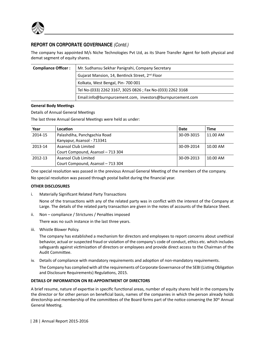

The company has appointed M/s Niche Technologies Pvt Ltd, as its Share Transfer Agent for both physical and demat segment of equity shares.

| <b>Compliance Officer:</b> | Mr. Sudhansu Sekhar Panigrahi, Company Secretary            |
|----------------------------|-------------------------------------------------------------|
|                            | Gujarat Mansion, 14, Bentinck Street, 2 <sup>nd</sup> Floor |
|                            | Kolkata, West Bengal, Pin-700 001                           |
|                            | Tel No-(033) 2262 3167, 3025 0826 ; Fax No-(033) 2262 3168  |
|                            | Email:info@burnpurcement.com, investors@burnpurcement.com   |

## **General Body MeeƟngs**

Details of Annual General Meetings

The last three Annual General Meetings were held as under:

| Year    | Location                          | Date       | <b>Time</b> |
|---------|-----------------------------------|------------|-------------|
| 2014-15 | Palashdiha, Panchgachia Road      | 30-09-3015 | 11.00 AM    |
|         | Kanyapur, Asansol - 713341        |            |             |
| 2013-14 | <b>Asansol Club Limited</b>       | 30-09-2014 | 10.00 AM    |
|         | Court Compound, Asansol - 713 304 |            |             |
| 2012-13 | Asansol Club Limited              | 30-09-2013 | 10.00 AM    |
|         | Court Compound, Asansol - 713 304 |            |             |

One special resolution was passed in the previous Annual General Meeting of the members of the company.

No special resolution was passed through postal ballot during the financial year.

## **OTHER DISCLOSURES**

i. Materially Significant Related Party Transactions

None of the transactions with any of the related party was in conflict with the interest of the Company at Large. The details of the related party transaction are given in the notes of accounts of the Balance Sheet.

ii. Non - compliance / Strictures / Penalties imposed

There was no such instance in the last three years.

iii. Whistle Blower Policy.

 The company has established a mechanism for directors and employees to report concerns about unethical behavior, actual or suspected fraud or violation of the company's code of conduct, ethics etc. which includes safeguards against victimization of directors or employees and provide direct access to the Chairman of the Audit Committee.

iv. Details of compliance with mandatory requirements and adoption of non-mandatory requirements.

The Company has complied with all the requirements of Corporate Governance of the SEBI (Listing Obligation and Disclosure Requirements) Regulations, 2015.

## **DETAILS OF INFORMATION ON RE-APPOINTMENT OF DIRECTORS**

A brief resume, nature of expertise in specific functional areas, number of equity shares held in the company by the director or for other person on beneficial basis, names of the companies in which the person already holds directorship and membership of the committees of the Board forms part of the notice convening the 30<sup>th</sup> Annual General Meeting.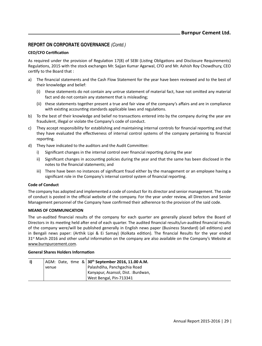## **CEO/CFO CerƟficaƟon**

As required under the provision of Regulation 17(8) of SEBI (Listing Obligations and Disclosure Requirements) Regulations, 2015 with the stock exchanges Mr. Sajjan Kumar Agarwal, CFO and Mr. Ashish Roy Chowdhury, CEO certify to the Board that:

- a) The financial statements and the Cash Flow Statement for the year have been reviewed and to the best of their knowledge and belief:
	- (i) these statements do not contain any untrue statement of material fact, have not omitted any material fact and do not contain any statement that is misleading;
	- (ii) these statements together present a true and fair view of the company's affairs and are in compliance with existing accounting standards applicable laws and regulations.
- b) To the best of their knowledge and belief no transactions entered into by the company during the year are fraudulent, illegal or violate the Company's code of conduct.
- c) They accept responsibility for establishing and maintaining internal controls for financial reporting and that they have evaluated the effectiveness of internal control systems of the company pertaining to financial reporting.
- d) They have indicated to the auditors and the Audit Committee:
	- Significant changes in the internal control over financial reporting during the year
	- ii) Significant changes in accounting policies during the year and that the same has been disclosed in the notes to the financial statements; and
	- iii) There have been no instances of significant fraud either by the management or an employee having a significant role in the Company's internal control system of financial reporting.

## **Code of Conduct**

The company has adopted and implemented a code of conduct for its director and senior management. The code of conduct is posted in the official website of the company. For the year under review, all Directors and Senior Management personnel of the Company have confirmed their adherence to the provision of the said code.

## **MEANS OF COMMUNICATION**

The un-audited financial results of the company for each quarter are generally placed before the Board of Directors in its meeting held after end of each quarter. The audited financial results/un-audited financial results of the company were/will be published generally in English news paper (Business Standard) (all editions) and in Bengali news paper: (Arthik Lipi & Ei Samay) (Kolkata edition). The financial Results for the year ended 31<sup>st</sup> March 2016 and other useful information on the company are also available on the Company's Website at www.burnpurcement.com.

#### **General Shares Holders Information**

|       |  | $ AGM:$ Date, time $\& 30^{th}$ September 2016, 11.00 A.M. |
|-------|--|------------------------------------------------------------|
| venue |  | Palashdiha, Panchgachia Road                               |
|       |  | Kanyapur, Asansol, Dist. : Burdwan,                        |
|       |  | West Bengal, Pin-713341                                    |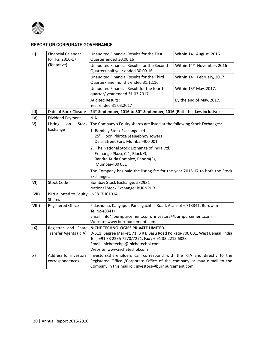

# **REPORT ON CORPORATE GOVERNANCE**

| $\mathbf{II}$    | <b>Financial Calendar</b> | Unaudited Financial Results for the First                                                     | Within 14th August, 2016 |  |  |  |  |
|------------------|---------------------------|-----------------------------------------------------------------------------------------------|--------------------------|--|--|--|--|
| for F.Y. 2016-17 |                           | Quarter ended 30.06.16                                                                        |                          |  |  |  |  |
|                  | (Tentative)               | Unaudited Financial Results for the Second<br>Within 14th November, 2016                      |                          |  |  |  |  |
|                  |                           | Quarter/half year ended 30.09.16                                                              |                          |  |  |  |  |
|                  |                           | Unaudited Financial Results for the Third<br>Within 14th February, 2017                       |                          |  |  |  |  |
|                  |                           | Quarter/nine months ended 31.12.16                                                            |                          |  |  |  |  |
|                  |                           | Within 15th May, 2017.<br>Unaudited Financial Result for the fourth                           |                          |  |  |  |  |
|                  |                           | quarter/ year ended 31.03.2017                                                                |                          |  |  |  |  |
|                  |                           | <b>Audited Results:</b><br>By the end of May, 2017.                                           |                          |  |  |  |  |
|                  |                           | Year ended 31.03.2017                                                                         |                          |  |  |  |  |
| III)             | Date of Book Closure      | 24th September, 2016 to 30th September, 2016 (Both the days inclusive)                        |                          |  |  |  |  |
| IV)              | Dividend Payment          | N.A.                                                                                          |                          |  |  |  |  |
| V)               | Listing<br>Stock<br>on    | The Company's Equity shares are listed at the following Stock Exchanges:                      |                          |  |  |  |  |
|                  | Exchange                  | 1. Bombay Stock Exchange Ltd.                                                                 |                          |  |  |  |  |
|                  |                           | 25 <sup>th</sup> Floor, Phiroze Jeejeebhoy Towers                                             |                          |  |  |  |  |
|                  |                           | Dalal Street Fort, Mumbai-400 001                                                             |                          |  |  |  |  |
|                  |                           | 2. The National Stock Exchange of India Ltd.                                                  |                          |  |  |  |  |
|                  |                           | Exchange Plaza, C-1, Block-G,<br>Bandra-Kurla Complex, Bandra(E),                             |                          |  |  |  |  |
|                  |                           |                                                                                               |                          |  |  |  |  |
|                  |                           | Mumbai-400 051<br>The Company has paid the listing fee for the year 2016-17 to both the Stock |                          |  |  |  |  |
|                  |                           |                                                                                               |                          |  |  |  |  |
|                  |                           | Exchanges.                                                                                    |                          |  |  |  |  |
| VI)              | <b>Stock Code</b>         | Bombay Stock Exchange: 532931                                                                 |                          |  |  |  |  |
|                  |                           | National Stock Exchange: BURNPUR                                                              |                          |  |  |  |  |
| VII)             | ISIN allotted to Equity   | INE817H01014                                                                                  |                          |  |  |  |  |
|                  | <b>Shares</b>             |                                                                                               |                          |  |  |  |  |
| VIII)            | <b>Registered Office</b>  | Palashdiha, Kanyapur, Panchgachhia Road, Asansol - 713341, Burdwan                            |                          |  |  |  |  |
|                  |                           | Tel No-(0341)                                                                                 |                          |  |  |  |  |
|                  |                           | Email: info@burnpurcement.com, investors@burnpurcement.com                                    |                          |  |  |  |  |
|                  |                           | Website: www.burnpurcement.com                                                                |                          |  |  |  |  |
| IX)              | Registrar and Share       | NICHE TECHNOLOGIES PRIVATE LIMITED                                                            |                          |  |  |  |  |
|                  | Transfer Agents (RTA)     | D-511, Bagree Market, 71, B R B Basu Road Kolkata-700 001, West Bengal, India                 |                          |  |  |  |  |
|                  |                           | Tel; +91 33 2235 7270/7271, Fax; + 91 33 2215 6823                                            |                          |  |  |  |  |
|                  |                           | Email: nichetechpl@ nichetechpl.com                                                           |                          |  |  |  |  |
|                  |                           | Website; www.nichetechpl.com                                                                  |                          |  |  |  |  |
| x)               | Address for investors'    | Investors/shareholders can correspond with the RTA and directly to the                        |                          |  |  |  |  |
|                  | correspondences           | Registered Office / Corporate Office of the company or may e-mail to the                      |                          |  |  |  |  |
|                  |                           | Company in this mail id: investors@burnpurcement.com                                          |                          |  |  |  |  |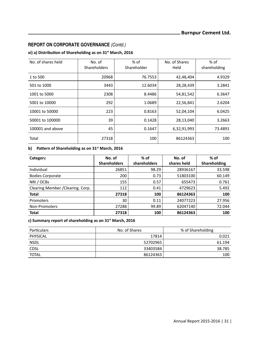# **xi) a) DistribuƟon of Shareholding as on 31st March, 2016**

| No. of shares held | No. of<br><b>Shareholders</b> | $%$ of<br>Shareholder | No. of Shares<br>Held | % of<br>shareholding |
|--------------------|-------------------------------|-----------------------|-----------------------|----------------------|
| 1 to 500           | 20968                         | 76.7553               | 42,48,404             | 4.9329               |
| 501 to 1000        | 3443                          | 12.6034               | 28,28,439             | 3.2841               |
| 1001 to 5000       | 2308                          | 8.4486                | 54,81,542             | 6.3647               |
| 5001 to 10000      | 292                           | 1.0689                | 22,56,841             | 2.6204               |
| 10001 to 50000     | 223                           | 0.8163                | 52,04,104             | 6.0425               |
| 50001 to 100000    | 39                            | 0.1428                | 28,13,040             | 3.2663               |
| 100001 and above   | 45                            | 0.1647                | 6,32,91,993           | 73.4891              |
| Total              | 27318                         | 100                   | 86124363              | 100                  |

# **b)** Pattern of Shareholding as on 31<sup>st</sup> March, 2016

| Category                          | No. of<br><b>Shareholders</b> | $%$ of<br>shareholders | No. of<br>shares held | % of<br>Shareholding |  |
|-----------------------------------|-------------------------------|------------------------|-----------------------|----------------------|--|
| Individual                        | 26851                         | 98.29                  | 28936167              | 33.598               |  |
| <b>Bodies Corporate</b>           | 200                           | 0.73                   | 51803100              | 60.149               |  |
| NRI / OCBs                        | 155                           | 0.57                   | 655473                | 0.761                |  |
| Clearing Member / Clearing. Corp. | 112                           | 0.41                   | 4729623               | 5.492                |  |
| <b>Total</b>                      | 27318                         | 100                    | 86124363              | 100                  |  |
| Promoters                         | 30                            | 0.11                   | 24077223              | 27.956               |  |
| Non-Promoters                     | 27288                         | 99.89                  | 62047140              | 72.044               |  |
| <b>Total</b>                      | 27318                         | 100                    | 86124363              | 100                  |  |

**c) Summary report of shareholding as on 31st March, 2016**

| Particulars  | No. of Shares | % of Shareholding |  |  |
|--------------|---------------|-------------------|--|--|
| PHYSICAL     | 17814         | 0.021             |  |  |
| <b>NSDL</b>  | 52702965      | 61.194            |  |  |
| <b>CDSL</b>  | 33403584      | 38.785            |  |  |
| <b>TOTAL</b> | 86124363      | 100               |  |  |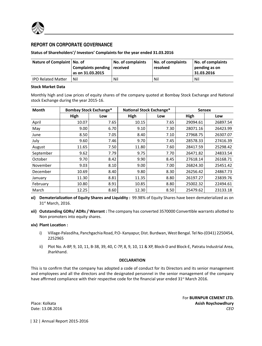

# **REPORT ON CORPORATE GOVERNANCE**

# **Status of Shareholders'/ Investors' Complaints for the year ended 31.03.2016**

| Nature of Complaint   No. of | Complaints pending received<br>as on 31.03.2015 as | No. of complaints | No. of complaints<br>resolved | No. of complaints<br>pending as on<br>31.03.2016 |
|------------------------------|----------------------------------------------------|-------------------|-------------------------------|--------------------------------------------------|
| <b>IPO Related Matter</b>    | Nil                                                | Nil               | Nil                           | Nil                                              |

#### **Stock Market Data**

Monthly high and Low prices of equity shares of the company quoted at Bombay Stock Exchange and National stock Exchange during the year 2015-16.

| Month     | <b>Bombay Stock Exchange*</b> |      | National Stock Exchange* |      | <b>Sensex</b> |          |
|-----------|-------------------------------|------|--------------------------|------|---------------|----------|
|           | High                          | Low  | High                     | Low  | High          | Low      |
| April     | 10.07                         | 7.65 | 10.15                    | 7.65 | 29094.61      | 26897.54 |
| May       | 9.00                          | 6.70 | 9.10                     | 7.30 | 28071.16      | 26423.99 |
| June      | 8.50                          | 7.05 | 8.40                     | 7.10 | 27968.75      | 26307.07 |
| July      | 9.60                          | 7.46 | 9.70                     | 7.45 | 28578.33      | 27416.39 |
| August    | 11.65                         | 7.50 | 11.80                    | 7.60 | 28417.59      | 25298.42 |
| September | 9.62                          | 7.79 | 9.75                     | 7.70 | 26471.82      | 24833.54 |
| October   | 9.70                          | 8.42 | 9.90                     | 8.45 | 27618.14      | 26168.71 |
| November  | 9.03                          | 8.10 | 9.00                     | 7.00 | 26824.30      | 25451.42 |
| December  | 10.69                         | 8.40 | 9.80                     | 8.30 | 26256.42      | 24867.73 |
| January   | 11.30                         | 8.81 | 11.35                    | 8.80 | 26197.27      | 23839.76 |
| February  | 10.80                         | 8.91 | 10.85                    | 8.80 | 25002.32      | 22494.61 |
| March     | 12.25                         | 8.60 | 12.30                    | 8.50 | 25479.62      | 23133.18 |

**xi) DematerializaƟon of Equity Shares and Liquidity :** 99.98% of Equity Shares have been dematerialized as on 31st March, 2016.

**xii) Outstanding GDRs/ ADRs / Warrant :** The company has converted 3570000 Convertible warrants allotted to Non promoters into equity shares.

#### **xiv) Plant LocaƟon :**

- i) Village-Palasdiha, Panchgachia Road, P.O- Kanyapur, Dist. Burdwan, West Bengal. Tel No-(0341) 2250454, 2252965
- ii) Plot No. A-8P, 9, 10, 11, B-38, 39, 40, C-7P, 8, 9, 10, 11 & XP, Block-D and Block-E, Patratu Industrial Area, Jharkhand.

## **DECLARATION**

This is to confirm that the company has adopted a code of conduct for its Directors and its senior management and employees and all the directors and the designated personnel in the senior management of the company have affirmed compliance with their respective code for the financial year ended 31<sup>st</sup> March 2016.

Date: 13.08.2016

For **BURNPUR CEMENT LTD.** Place: Kolkata **Asish Roychowdhury**

| 32 | Annual Report 2015-2016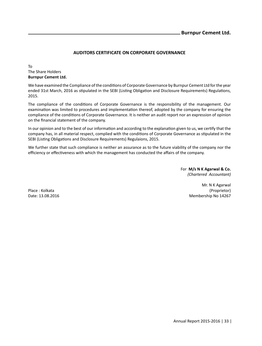# **AUDITORS CERTIFICATE ON CORPORATE GOVERNANCE**

To The Share Holders **Burnpur Cement Ltd.**

We have examined the Compliance of the conditions of Corporate Governance by Burnpur Cement Ltd for the year ended 31st March, 2016 as stipulated in the SEBI (Listing Obligation and Disclosure Requirements) Regulations, 2015.

The compliance of the conditions of Corporate Governance is the responsibility of the management. Our examination was limited to procedures and implementation thereof, adopted by the company for ensuring the compliance of the conditions of Corporate Governance. It is neither an audit report nor an expression of opinion on the financial statement of the company.

In our opinion and to the best of our information and according to the explanation given to us, we certify that the company has, in all material respect, complied with the conditions of Corporate Governance as stipulated in the SEBI (Listing Obligations and Disclosure Requirements) Regulaions, 2015.

We further state that such compliance is neither an assurance as to the future viability of the company nor the efficiency or effectiveness with which the management has conducted the affairs of the company.

> For **M/s N K Agarwal & Co.** *(Chartered Accountant)*

Mr. N K Agarwal Place : Kolkata (Proprietor) Date: 13.08.2016 Membership No 14267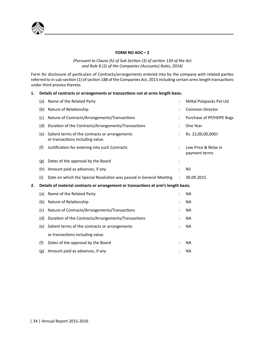

# **FORM NO AOC – 2**

## *(Pursuant to Clause (h) of Sub SecƟon (3) of secƟon 134 of the Act and Rule 8 (2) of the Companies (Accounts) Rules, 2014)*

Form for disclosure of particulars of Contracts/arrangements entered into by the company with related parties referred to in sub-section (1) of section 188 of the Companies Act, 2013 including certain arms length transactions under third proviso thereto.

## 1. Details of contracts or arrangements or transactions not at arms length basis.

|    | (a) | Name of the Related Party                                                           | $\ddot{\cdot}$ | Mittal Polypacks Pvt Ltd              |  |
|----|-----|-------------------------------------------------------------------------------------|----------------|---------------------------------------|--|
|    | (b) | Nature of Relationship                                                              |                | <b>Common Director</b>                |  |
|    | (c) | Nature of Contracts/Arrangements/Transactions                                       |                | Purchase of PP/HDPE Bags              |  |
|    | (d) | Duration of the Contracts/Arrangements/Transactions                                 |                | One Year                              |  |
|    | (e) | Salient terms of the contracts or arrangements<br>or transactions including value.  |                | Rs. 22,00,00,000/-                    |  |
|    | (f) | Justification for entering into such Contracts                                      |                | Low Price & Relax in<br>payment terms |  |
|    | (g) | Dates of the approval by the Board                                                  | $\ddot{\cdot}$ |                                       |  |
|    | (h) | Amount paid as advances, if any                                                     |                | Nil                                   |  |
|    | (i) | Date on which the Special Resolution was passed in General Meeting                  |                | 30.09.2015                            |  |
| 2. |     | Details of material contracts or arrangement or transactions at arm's length basis. |                |                                       |  |
|    | (a) | Name of the Related Party                                                           | :              | <b>NA</b>                             |  |
|    | (b) | Nature of Relationship                                                              |                | <b>NA</b>                             |  |
|    | (c) | Nature of Contracts/Arrangements/Transactions                                       |                | <b>NA</b>                             |  |
|    | (d) | Duration of the Contracts/Arrangements/Transactions                                 |                | <b>NA</b>                             |  |
|    | (e) | Salient terms of the contracts or arrangements                                      |                | <b>NA</b>                             |  |
|    |     | or transactions including value.                                                    |                |                                       |  |
|    | (f) | Dates of the approval by the Board                                                  |                | <b>NA</b>                             |  |
|    | (g) | Amount paid as advances, if any                                                     |                | <b>NA</b>                             |  |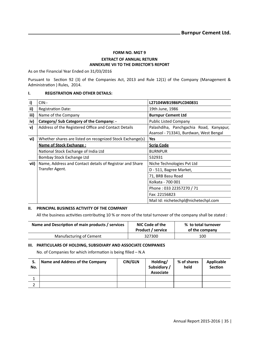#### **FORM NO. MGT 9**

#### **EXTRACT OF ANNUAL RETURN ANNEXURE VII TO THE DIRECTOR'S REPORT**

As on the Financial Year Ended on 31/03/2016

Pursuant to Section 92 (3) of the Companies Act, 2013 and Rule 12(1) of the Company (Management & Administration ) Rules, 2014.

#### **I. REGISTRATION AND OTHER DETAILS:**

| i)   | CIN:                                                      | L27104WB1986PLC040831                                                             |  |  |
|------|-----------------------------------------------------------|-----------------------------------------------------------------------------------|--|--|
| ii)  | <b>Registration Date:</b>                                 | 19th June, 1986                                                                   |  |  |
| iii) | Name of the Company                                       | <b>Burnpur Cement Ltd</b>                                                         |  |  |
| iv)  | Category/ Sub Category of the Company: -                  | <b>Public Listed Company</b>                                                      |  |  |
| v)   | Address of the Registered Office and Contact Details      | Palashdiha, Panchgachia Road, Kanyapur,<br>Asansol - 713341, Burdwan, West Bengal |  |  |
| vi)  | Whether shares are listed on recognized Stock Exchange(s) | Yes                                                                               |  |  |
|      | <b>Name of Stock Exchange:</b>                            | <b>Scrip Code</b>                                                                 |  |  |
|      | National Stock Exchange of India Ltd                      | <b>BURNPUR</b>                                                                    |  |  |
|      | Bombay Stock Exchange Ltd                                 | 532931                                                                            |  |  |
| vii) | Name, Address and Contact details of Registrar and Share  | Niche Technologies Pvt Ltd                                                        |  |  |
|      | Transfer Agent.                                           | D - 511, Bagree Market,                                                           |  |  |
|      |                                                           | 71, BRB Basu Road                                                                 |  |  |
|      |                                                           | Kolkata - 700 001                                                                 |  |  |
|      |                                                           | Phone: 033 22357270 / 71                                                          |  |  |
|      |                                                           | Fax: 22156823                                                                     |  |  |
|      |                                                           | Mail Id: nichetechpl@nichetechpl.com                                              |  |  |

#### **II. PRINCIPAL BUSINESS ACTIVITY OF THE COMPANY**

All the business activities contributing 10 % or more of the total turnover of the company shall be stated :

| Name and Description of main products / services | NIC Code of the<br><b>Product / service</b> | % to total turnover<br>of the company |
|--------------------------------------------------|---------------------------------------------|---------------------------------------|
| Manufacturing of Cement                          | 327300                                      | 100                                   |

#### **III. PARTICULARS OF HOLDING, SUBSIDIARY AND ASSOCIATE COMPANIES**

No. of Companies for which information is being filled - N.A

| S.<br>No. | Name and Address of the Company | <b>CIN/GLN</b> | Holding/<br>Subsidiary /<br>Associate | % of shares<br>held | Applicable<br><b>Section</b> |
|-----------|---------------------------------|----------------|---------------------------------------|---------------------|------------------------------|
|           |                                 |                |                                       |                     |                              |
|           |                                 |                |                                       |                     |                              |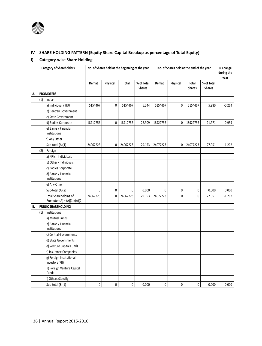

## **IV. SHARE HOLDING PATTERN (Equity Share Capital Breakup as percentage of Total Equity)**

#### **i) Category-wise Share Holding**

|    | <b>Category of Shareholders</b> |                                                         |          | No. of Shares held at the beginning of the year |              |                             | No. of Shares held at the end of the year |          |                        |                             | % Change<br>during the<br>year |
|----|---------------------------------|---------------------------------------------------------|----------|-------------------------------------------------|--------------|-----------------------------|-------------------------------------------|----------|------------------------|-----------------------------|--------------------------------|
|    |                                 |                                                         | Demat    | Physical                                        | Total        | % of Total<br><b>Shares</b> | Demat                                     | Physical | Total<br><b>Shares</b> | % of Total<br><b>Shares</b> |                                |
| А. |                                 | <b>PROMOTERS</b>                                        |          |                                                 |              |                             |                                           |          |                        |                             |                                |
|    | (1)                             | Indian                                                  |          |                                                 |              |                             |                                           |          |                        |                             |                                |
|    |                                 | a) Individual / HUF                                     | 5154467  | 0                                               | 5154467      | 6.244                       | 5154467                                   | 0        | 5154467                | 5.980                       | $-0.264$                       |
|    |                                 | b) Centran Government                                   |          |                                                 |              |                             |                                           |          |                        |                             |                                |
|    |                                 | c) State Government                                     |          |                                                 |              |                             |                                           |          |                        |                             |                                |
|    |                                 | d) Bodies Corporate                                     | 18912756 | 0                                               | 18912756     | 22.909                      | 18922756                                  | 0        | 18922756               | 21.971                      | $-0.939$                       |
|    |                                 | e) Banks / Financial<br>Institutions                    |          |                                                 |              |                             |                                           |          |                        |                             |                                |
|    |                                 | f) Any Other                                            |          |                                                 |              |                             |                                           |          |                        |                             |                                |
|    |                                 | Sub-total $(A)(1)$                                      | 24067223 | 0                                               | 24067223     | 29.153                      | 24077223                                  | 0        | 24077223               | 27.951                      | $-1.202$                       |
|    | (2)                             | Foreign                                                 |          |                                                 |              |                             |                                           |          |                        |                             |                                |
|    |                                 | a) NRIs - Individuals                                   |          |                                                 |              |                             |                                           |          |                        |                             |                                |
|    |                                 | b) Other - Individuals                                  |          |                                                 |              |                             |                                           |          |                        |                             |                                |
|    |                                 | c) Bodies Corporate                                     |          |                                                 |              |                             |                                           |          |                        |                             |                                |
|    |                                 | d) Banks / Financial<br>Institutions                    |          |                                                 |              |                             |                                           |          |                        |                             |                                |
|    |                                 | e) Any Other                                            |          |                                                 |              |                             |                                           |          |                        |                             |                                |
|    |                                 | Sub-total (A)(2)                                        | 0        | 0                                               | $\mathbf{0}$ | 0.000                       | 0                                         | 0        | 0                      | 0.000                       | 0.000                          |
|    |                                 | Total Shareholding of<br>Promoter (A) = $(A)(1)+(A)(2)$ | 24067223 | 0                                               | 24067223     | 29.153                      | 24077223                                  | 0        | 0                      | 27.951                      | $-1.202$                       |
| В. |                                 | PUBLIC SHAREHOLDING                                     |          |                                                 |              |                             |                                           |          |                        |                             |                                |
|    | (1)                             | Institutions                                            |          |                                                 |              |                             |                                           |          |                        |                             |                                |
|    |                                 | a) Mutual Funds                                         |          |                                                 |              |                             |                                           |          |                        |                             |                                |
|    |                                 | b) Banks / Financial<br>Institutions                    |          |                                                 |              |                             |                                           |          |                        |                             |                                |
|    |                                 | c) Central Governments                                  |          |                                                 |              |                             |                                           |          |                        |                             |                                |
|    |                                 | d) State Governments                                    |          |                                                 |              |                             |                                           |          |                        |                             |                                |
|    |                                 | e) Venture Capital Funds                                |          |                                                 |              |                             |                                           |          |                        |                             |                                |
|    |                                 | f) Insurance Companies                                  |          |                                                 |              |                             |                                           |          |                        |                             |                                |
|    |                                 | g) Foreign Institutional<br>Investors (FII)             |          |                                                 |              |                             |                                           |          |                        |                             |                                |
|    |                                 | h) Foreign Venture Capital<br>Funds                     |          |                                                 |              |                             |                                           |          |                        |                             |                                |
|    |                                 | i) Others (Specify)                                     |          |                                                 |              |                             |                                           |          |                        |                             |                                |
|    |                                 | Sub-total $(B)(1)$                                      | 0        | 0                                               | 0            | 0.000                       | 0                                         | 0        | 0                      | 0.000                       | 0.000                          |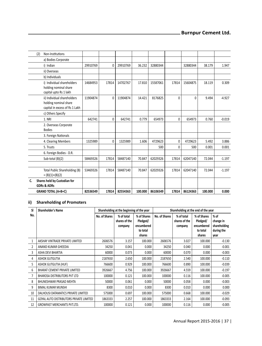|    | Non-Institutions<br>(2)                                                                |          |          |          |         |          |          |          |         |          |
|----|----------------------------------------------------------------------------------------|----------|----------|----------|---------|----------|----------|----------|---------|----------|
|    | a) Bodies Corporate                                                                    |          |          |          |         |          |          |          |         |          |
|    | i) Indian                                                                              | 29910769 | $\Omega$ | 29910769 | 36.232  | 32880344 |          | 32880344 | 38.179  | 1.947    |
|    | ii) Overseas                                                                           |          |          |          |         |          |          |          |         |          |
|    | b) Individuals                                                                         |          |          |          |         |          |          |          |         |          |
|    | i) Individual shareholders<br>holding nominal share<br>capital upto Rs 1 lakh          | 14684953 | 17814    | 14702767 | 17.810  | 15587061 | 17814    | 15604875 | 18.119  | 0.309    |
|    | ii) Individual shareholders<br>holding nominal share<br>capital in excess of Rs 1 Lakh | 11904874 | $\Omega$ | 11904874 | 14.421  | 8176825  | $\Omega$ | $\Omega$ | 9.494   | $-4.927$ |
|    | c) Others Specify                                                                      |          |          |          |         |          |          |          |         |          |
|    | 1. NRI                                                                                 | 642741   | $\Omega$ | 642741   | 0.779   | 654973   | 0        | 654973   | 0.760   | $-0.019$ |
|    | 2. Overseas Corporate<br><b>Bodies</b>                                                 |          |          |          |         |          |          |          |         |          |
|    | 3. Foreign Nationals                                                                   |          |          |          |         |          |          |          |         |          |
|    | 4. Clearing Members                                                                    | 1325989  | 0        | 1325989  | 1.606   | 4729623  | 0        | 4729623  | 5.492   | 3.886    |
|    | 5. Trusts                                                                              |          |          |          |         | 500      | $\Omega$ | 500      | 0.001   | 0.001    |
|    | 6. Foreign Bodies - D.R.                                                               |          |          |          |         |          |          |          |         |          |
|    | Sub-total (B)(2)                                                                       | 58469326 | 17814    | 58487140 | 70.847  | 62029326 | 17814    | 62047140 | 72.044  | $-1.197$ |
|    |                                                                                        |          |          |          |         |          |          |          |         |          |
|    | Total Public Shareholding (B)<br>$= (B)(1)+(B)(2)$                                     | 53469326 | 17814    | 58487140 | 70.847  | 62029326 | 17814    | 62047140 | 72.044  | $-1.197$ |
| C. | Shares held by Custodian for<br><b>GDRs &amp; ADRs</b>                                 |          |          |          |         |          |          |          |         |          |
|    | <b>GRAND TOTAL (A+B+C)</b>                                                             | 82536549 | 17814    | 82554363 | 100.000 | 86106549 | 17814    | 86124363 | 100.000 | 0.000    |

## **ii) Shareholding of Promoters**

| SI  | <b>Shareholder's Name</b>               | Shareholding at the beginning of the year |               |             | Shareholding at the end of the year |               |             |              |
|-----|-----------------------------------------|-------------------------------------------|---------------|-------------|-------------------------------------|---------------|-------------|--------------|
| No. |                                         | No. of Shares                             | % of total    | % of Shares | No. of Shares                       | % of total    | % of Shares | % of         |
|     |                                         |                                           | shares of the | Pledged/    |                                     | shares of the | Pledged/    | change in    |
|     |                                         |                                           | company       | encumbered  |                                     | company       | encumbered  | shareholding |
|     |                                         |                                           |               | to total    |                                     |               | to total    | during the   |
|     |                                         |                                           |               | shares      |                                     |               | shares      | year         |
|     | AKSHAY VINTRADE PRIVATE LIMITED         | 2606576                                   | 3.157         | 100.000     | 2606576                             | 3.027         | 100.000     | $-0.130$     |
|     | ANAND KUMAR GHEEDIA                     | 34250                                     | 0.041         | 0.000       | 34250                               | 0.040         | 0.000       | $-0.001$     |
| 3   | ASHA DEVI BHARTIA                       | 60000                                     | 0.073         | 0.000       | 60000                               | 0.070         | 0.000       | $-0.003$     |
| 4   | <b>ASHOK GUTGUTIA</b>                   | 2187650                                   | 2.650         | 100.000     | 2187650                             | 2.540         | 100.000     | $-0.110$     |
| 5   | <b>ASHOK GUTGUTIA (HUF)</b>             | 766600                                    | 0.929         | 100.000     | 766600                              | 0.890         | 100.000     | $-0.039$     |
| 6   | <b>BHARAT CEMENT PRIVATE LIMITED</b>    | 3926667                                   | 4.756         | 100.000     | 3926667                             | 4.559         | 100.000     | $-0.197$     |
| 7   | <b>BHAROSA DISTRIBUTORS PVT LTD</b>     | 100000                                    | 0.121         | 100.000     | 100000                              | 0.116         | 100.000     | $-0.005$     |
| 8   | BHUNESHWAR PRASAD MEHTA                 | 50000                                     | 0.061         | 0.000       | 50000                               | 0.058         | 0.000       | $-0.003$     |
| 9   | <b>BIMAL KUMAR MUNSHI</b>               | 8300                                      | 0.010         | 0.000       | 8300                                | 0.010         | 0.000       | 0.000        |
| 10  | DALHOUSI DATAMATICS PRIVATE LIMITED     | 575000                                    | 0.697         | 100.000     | 575000                              | 0.668         | 100.000     | $-0.029$     |
| 11  | GOYAL AUTO DISTRIBUTORS PRIVATE LIMITED | 1863333                                   | 2.257         | 100.000     | 1863333                             | 2.164         | 100.000     | $-0.093$     |
| 12  | <b>GROWFAST MERCHANTS PVT.LTD.</b>      | 100000                                    | 0.121         | 0.000       | 100000                              | 0.116         | 0.000       | $-0.005$     |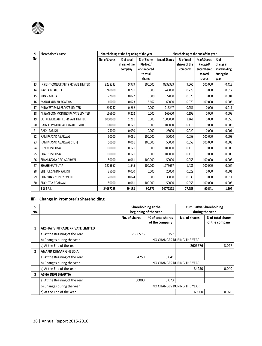| SI  | <b>Shareholder's Name</b>           |               | Shareholding at the beginning of the year |                                                   | Shareholding at the end of the year |                                        |                                                   |                                                   |
|-----|-------------------------------------|---------------|-------------------------------------------|---------------------------------------------------|-------------------------------------|----------------------------------------|---------------------------------------------------|---------------------------------------------------|
| No. |                                     | No. of Shares | % of total<br>shares of the<br>company    | % of Shares<br>Pledged/<br>encumbered<br>to total | No. of Shares                       | % of total<br>shares of the<br>company | % of Shares<br>Pledged/<br>encumbered<br>to total | $%$ of<br>change in<br>shareholding<br>during the |
|     |                                     |               |                                           | shares                                            |                                     |                                        | shares                                            | year                                              |
| 13  | INSIGHT CONSULTANTS PRIVATE LIMITED | 8238333       | 9.979                                     | 100.000                                           | 8238333                             | 9.566                                  | 100.000                                           | $-0.413$                                          |
| 14  | KAVITA BHALOTIA                     | 240000        | 0.291                                     | 0.000                                             | 240000                              | 0.279                                  | 0.000                                             | $-0.012$                                          |
| 15  | <b>KIRAN GUPTA</b>                  | 22000         | 0.027                                     | 0.000                                             | 22000                               | 0.026                                  | 0.000                                             | $-0.001$                                          |
| 16  | MANOJ KUMAR AGARWAL                 | 60000         | 0.073                                     | 16.667                                            | 60000                               | 0.070                                  | 100.000                                           | $-0.003$                                          |
| 17  | MIDWEST EXIM PRIVATE LIMITED        | 216247        | 0.262                                     | 0.000                                             | 216247                              | 0.251                                  | 0.000                                             | $-0.011$                                          |
| 18  | NISSAN COMMODITIES PRIVATE LIMITED  | 166600        | 0.202                                     | 0.000                                             | 166600                              | 0.193                                  | 0.000                                             | $-0.009$                                          |
| 19  | OCTAL MERCANTILE PRIVATE LIMITED    | 1000000       | 1.211                                     | 0.000                                             | 1000000                             | 1.161                                  | 0.000                                             | $-0.050$                                          |
| 20  | RAJIV COMMERCIAL PRIVATE LIMITED    | 100000        | 0.121                                     | 0.000                                             | 100000                              | 0.116                                  | 0.000                                             | $-0.005$                                          |
| 21  | <b>RAKHI PARIKH</b>                 | 25000         | 0.030                                     | 0.000                                             | 25000                               | 0.029                                  | 0.000                                             | $-0.001$                                          |
| 22  | RAM PRASAD AGARWAL                  | 50000         | 0.061                                     | 100.000                                           | 50000                               | 0.058                                  | 100.000                                           | $-0.003$                                          |
| 23  | RAM PRASAD AGARWAL (HUF)            | 50000         | 0.061                                     | 100.000                                           | 50000                               | 0.058                                  | 100.000                                           | $-0.003$                                          |
| 24  | RENU UPADHYAY                       | 100000        | 0.121                                     | 0.000                                             | 100000                              | 0.116                                  | 0.000                                             | $-0.005$                                          |
| 25  | SHAIL UPADHYAY                      | 100000        | 0.121                                     | 0.000                                             | 100000                              | 0.116                                  | 0.000                                             | $-0.005$                                          |
| 26  | SHAKUNTALA DEVI AGARWAL             | 50000         | 0.061                                     | 100.000                                           | 50000                               | 0.058                                  | 100.000                                           | $-0.003$                                          |
| 27  | SHASHI GUTGUTIA                     | 1275667       | 1.545                                     | 100.000                                           | 1275667                             | 1.481                                  | 100.000                                           | $-0.064$                                          |
| 28  | SHEHUL SANDIP PARIKH                | 25000         | 0.030                                     | 0.000                                             | 25000                               | 0.029                                  | 0.000                                             | $-0.001$                                          |
| 29  | SHIVPUJAN SUPPLY PVT LTD            | 20000         | 0.024                                     | 0.000                                             | 30000                               | 0.035                                  | 0.000                                             | 0.011                                             |
| 30  | SUCHITRA AGARWAL                    | 50000         | 0.061                                     | 100.000                                           | 50000                               | 0.058                                  | 100.000                                           | $-0.003$                                          |
|     | <b>TOTAL</b>                        | 24067223      | 29.153                                    | 90.371                                            | 24077223                            | 27.956                                 | 90.541                                            | $-1.197$                                          |

## **iii) Change in Promoter's Shareholding**

æ

| <b>SI</b><br>No. |                                 |                              | Shareholding at the<br>beginning of the year | <b>Cumulative Shareholding</b><br>during the year |                                     |  |  |
|------------------|---------------------------------|------------------------------|----------------------------------------------|---------------------------------------------------|-------------------------------------|--|--|
|                  |                                 | No. of shares                | % of total shares<br>of the company          | No. of shares                                     | % of total shares<br>of the company |  |  |
| 1                | AKSHAY VINTRADE PRIVATE LIMITED |                              |                                              |                                                   |                                     |  |  |
|                  | a) At the Begining of the Year  | 2606576                      | 3.157                                        |                                                   |                                     |  |  |
|                  | b) Changes during the year      | [NO CHANGES DURING THE YEAR] |                                              |                                                   |                                     |  |  |
|                  | c) At the End of the Year       |                              |                                              | 2606576                                           | 3.027                               |  |  |
| 2                | <b>ANAND KUMAR GHEEDIA</b>      |                              |                                              |                                                   |                                     |  |  |
|                  | a) At the Begining of the Year  | 34250                        | 0.041                                        |                                                   |                                     |  |  |
|                  | b) Changes during the year      |                              |                                              | [NO CHANGES DURING THE YEAR]                      |                                     |  |  |
|                  | c) At the End of the Year       |                              |                                              | 34250                                             | 0.040                               |  |  |
| 3                | <b>ASHA DEVI BHARTIA</b>        |                              |                                              |                                                   |                                     |  |  |
|                  | a) At the Begining of the Year  | 60000                        | 0.073                                        |                                                   |                                     |  |  |
|                  | b) Changes during the year      |                              |                                              | [NO CHANGES DURING THE YEAR]                      |                                     |  |  |
|                  | c) At the End of the Year       |                              |                                              | 60000                                             | 0.070                               |  |  |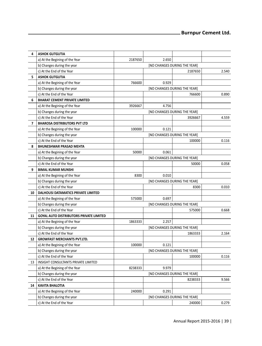| 4              | <b>ASHOK GUTGUTIA</b>                          |                              |       |                              |       |  |  |
|----------------|------------------------------------------------|------------------------------|-------|------------------------------|-------|--|--|
|                | a) At the Begining of the Year                 | 2187650                      | 2.650 |                              |       |  |  |
|                | b) Changes during the year                     |                              |       | [NO CHANGES DURING THE YEAR] |       |  |  |
|                | c) At the End of the Year                      |                              |       | 2187650                      | 2.540 |  |  |
| 5              | <b>ASHOK GUTGUTIA</b>                          |                              |       |                              |       |  |  |
|                | a) At the Begining of the Year                 | 766600                       | 0.929 |                              |       |  |  |
|                | b) Changes during the year                     |                              |       | [NO CHANGES DURING THE YEAR] |       |  |  |
|                | c) At the End of the Year                      |                              |       | 766600                       | 0.890 |  |  |
| 6              | <b>BHARAT CEMENT PRIVATE LIMITED</b>           |                              |       |                              |       |  |  |
|                | a) At the Begining of the Year                 | 3926667                      | 4.756 |                              |       |  |  |
|                | b) Changes during the year                     | [NO CHANGES DURING THE YEAR] |       |                              |       |  |  |
|                | c) At the End of the Year                      |                              |       | 3926667                      | 4.559 |  |  |
| $\overline{ }$ | <b>BHAROSA DISTRIBUTORS PVT LTD</b>            |                              |       |                              |       |  |  |
|                | a) At the Begining of the Year                 | 100000                       | 0.121 |                              |       |  |  |
|                | b) Changes during the year                     | [NO CHANGES DURING THE YEAR] |       |                              |       |  |  |
|                | c) At the End of the Year                      |                              |       | 100000                       | 0.116 |  |  |
| 8              | <b>BHUNESHWAR PRASAD MEHTA</b>                 |                              |       |                              |       |  |  |
|                | a) At the Begining of the Year                 | 50000                        | 0.061 |                              |       |  |  |
|                | b) Changes during the year                     |                              |       | [NO CHANGES DURING THE YEAR] |       |  |  |
|                | c) At the End of the Year                      |                              |       | 50000                        | 0.058 |  |  |
| 9              | <b>BIMAL KUMAR MUNSHI</b>                      |                              |       |                              |       |  |  |
|                | a) At the Begining of the Year                 | 8300                         | 0.010 |                              |       |  |  |
|                | b) Changes during the year                     |                              |       | [NO CHANGES DURING THE YEAR] |       |  |  |
|                | c) At the End of the Year                      |                              |       | 8300                         | 0.010 |  |  |
| 10             | DALHOUSI DATAMATICS PRIVATE LIMITED            |                              |       |                              |       |  |  |
|                | a) At the Begining of the Year                 | 575000                       | 0.697 |                              |       |  |  |
|                | b) Changes during the year                     |                              |       | [NO CHANGES DURING THE YEAR] |       |  |  |
|                | c) At the End of the Year                      |                              |       | 575000                       | 0.668 |  |  |
| 11             | <b>GOYAL AUTO DISTRIBUTORS PRIVATE LIMITED</b> |                              |       |                              |       |  |  |
|                | a) At the Begining of the Year                 | 1863333                      | 2.257 |                              |       |  |  |
|                | b) Changes during the year                     |                              |       | [NO CHANGES DURING THE YEAR] |       |  |  |
|                | c) At the End of the Year                      |                              |       | 1863333                      | 2.164 |  |  |
| 12             | <b>GROWFAST MERCHANTS PVT.LTD.</b>             |                              |       |                              |       |  |  |
|                | a) At the Begining of the Year                 | 100000                       | 0.121 |                              |       |  |  |
|                | b) Changes during the year                     |                              |       | [NO CHANGES DURING THE YEAR] |       |  |  |
|                | c) At the End of the Year                      |                              |       | 100000                       | 0.116 |  |  |
| 13             | INSIGHT CONSULTANTS PRIVATE LIMITED            |                              |       |                              |       |  |  |
|                | a) At the Begining of the Year                 | 8238333                      | 9.979 |                              |       |  |  |
|                | b) Changes during the year                     |                              |       | [NO CHANGES DURING THE YEAR] |       |  |  |
|                | c) At the End of the Year                      |                              |       | 8238333                      | 9.566 |  |  |
| 14             | <b>KAVITA BHALOTIA</b>                         |                              |       |                              |       |  |  |
|                | a) At the Begining of the Year                 | 240000                       | 0.291 |                              |       |  |  |
|                | b) Changes during the year                     |                              |       | [NO CHANGES DURING THE YEAR] |       |  |  |
|                | c) At the End of the Year                      |                              |       | 240000                       | 0.279 |  |  |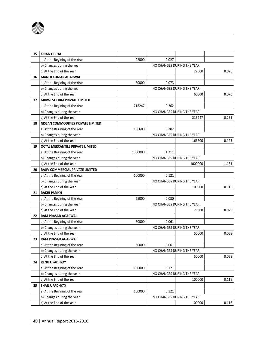

| 15 | <b>KIRAN GUPTA</b>                 |                              |       |                              |       |  |  |
|----|------------------------------------|------------------------------|-------|------------------------------|-------|--|--|
|    | a) At the Begining of the Year     | 22000                        | 0.027 |                              |       |  |  |
|    | b) Changes during the year         |                              |       | [NO CHANGES DURING THE YEAR] |       |  |  |
|    | c) At the End of the Year          |                              |       | 22000                        | 0.026 |  |  |
| 16 | <b>MANOJ KUMAR AGARWAL</b>         |                              |       |                              |       |  |  |
|    | a) At the Begining of the Year     | 60000                        | 0.073 |                              |       |  |  |
|    | b) Changes during the year         |                              |       | [NO CHANGES DURING THE YEAR] |       |  |  |
|    | c) At the End of the Year          |                              |       | 60000                        | 0.070 |  |  |
| 17 | MIDWEST EXIM PRIVATE LIMITED       |                              |       |                              |       |  |  |
|    | a) At the Begining of the Year     | 216247                       | 0.262 |                              |       |  |  |
|    | b) Changes during the year         |                              |       | [NO CHANGES DURING THE YEAR] |       |  |  |
|    | c) At the End of the Year          |                              |       | 216247                       | 0.251 |  |  |
| 18 | NISSAN COMMODITIES PRIVATE LIMITED |                              |       |                              |       |  |  |
|    | a) At the Begining of the Year     | 166600                       | 0.202 |                              |       |  |  |
|    | b) Changes during the year         |                              |       | [NO CHANGES DURING THE YEAR] |       |  |  |
|    | c) At the End of the Year          |                              |       | 166600                       | 0.193 |  |  |
| 19 | OCTAL MERCANTILE PRIVATE LIMITED   |                              |       |                              |       |  |  |
|    | a) At the Begining of the Year     | 1000000                      | 1.211 |                              |       |  |  |
|    | b) Changes during the year         | [NO CHANGES DURING THE YEAR] |       |                              |       |  |  |
|    | c) At the End of the Year          |                              |       | 1000000                      | 1.161 |  |  |
| 20 | RAJIV COMMERCIAL PRIVATE LIMITED   |                              |       |                              |       |  |  |
|    | a) At the Begining of the Year     | 100000                       | 0.121 |                              |       |  |  |
|    | b) Changes during the year         |                              |       | [NO CHANGES DURING THE YEAR] |       |  |  |
|    | c) At the End of the Year          |                              |       | 100000                       | 0.116 |  |  |
| 21 | <b>RAKHI PARIKH</b>                |                              |       |                              |       |  |  |
|    | a) At the Begining of the Year     | 25000                        | 0.030 |                              |       |  |  |
|    | b) Changes during the year         |                              |       | [NO CHANGES DURING THE YEAR] |       |  |  |
|    | c) At the End of the Year          |                              |       | 25000                        | 0.029 |  |  |
| 22 | <b>RAM PRASAD AGARWAL</b>          |                              |       |                              |       |  |  |
|    | a) At the Begining of the Year     | 50000                        | 0.061 |                              |       |  |  |
|    | b) Changes during the year         |                              |       | [NO CHANGES DURING THE YEAR] |       |  |  |
|    | c) At the End of the Year          |                              |       | 50000                        | 0.058 |  |  |
| 23 | <b>RAM PRASAD AGARWAL</b>          |                              |       |                              |       |  |  |
|    | a) At the Begining of the Year     | 50000                        | 0.061 |                              |       |  |  |
|    | b) Changes during the year         |                              |       | [NO CHANGES DURING THE YEAR] |       |  |  |
|    | c) At the End of the Year          |                              |       | 50000                        | 0.058 |  |  |
| 24 | <b>RENU UPADHYAY</b>               |                              |       |                              |       |  |  |
|    | a) At the Begining of the Year     | 100000                       | 0.121 |                              |       |  |  |
|    | b) Changes during the year         |                              |       | [NO CHANGES DURING THE YEAR] |       |  |  |
|    | c) At the End of the Year          |                              |       | 100000                       | 0.116 |  |  |
| 25 | SHAIL UPADHYAY                     |                              |       |                              |       |  |  |
|    | a) At the Begining of the Year     | 100000                       | 0.121 |                              |       |  |  |
|    | b) Changes during the year         |                              |       | [NO CHANGES DURING THE YEAR] |       |  |  |
|    | c) At the End of the Year          |                              |       | 100000                       | 0.116 |  |  |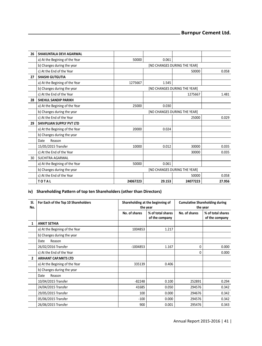| 26 | SHAKUNTALA DEVI AGARWAL        |                              |        |                              |        |  |  |  |
|----|--------------------------------|------------------------------|--------|------------------------------|--------|--|--|--|
|    | a) At the Begining of the Year | 50000                        | 0.061  |                              |        |  |  |  |
|    | b) Changes during the year     |                              |        | [NO CHANGES DURING THE YEAR] |        |  |  |  |
|    | c) At the End of the Year      |                              |        | 50000                        | 0.058  |  |  |  |
| 27 | <b>SHASHI GUTGUTIA</b>         |                              |        |                              |        |  |  |  |
|    | a) At the Begining of the Year | 1275667                      | 1.545  |                              |        |  |  |  |
|    | b) Changes during the year     | [NO CHANGES DURING THE YEAR] |        |                              |        |  |  |  |
|    | c) At the End of the Year      |                              |        | 1275667                      | 1.481  |  |  |  |
| 28 | SHEHUL SANDIP PARIKH           |                              |        |                              |        |  |  |  |
|    | a) At the Begining of the Year | 25000                        | 0.030  |                              |        |  |  |  |
|    | b) Changes during the year     | [NO CHANGES DURING THE YEAR] |        |                              |        |  |  |  |
|    | c) At the End of the Year      |                              |        | 25000                        | 0.029  |  |  |  |
| 29 | SHIVPUJAN SUPPLY PVT LTD       |                              |        |                              |        |  |  |  |
|    | a) At the Begining of the Year | 20000                        | 0.024  |                              |        |  |  |  |
|    | b) Changes during the year     |                              |        |                              |        |  |  |  |
|    | Reason<br>Date                 |                              |        |                              |        |  |  |  |
|    | 15/05/2015 Transfer            | 10000                        | 0.012  | 30000                        | 0.035  |  |  |  |
|    | c) At the End of the Year      |                              |        | 30000                        | 0.035  |  |  |  |
| 30 | SUCHITRA AGARWAL               |                              |        |                              |        |  |  |  |
|    | a) At the Begining of the Year | 50000                        | 0.061  |                              |        |  |  |  |
|    | b) Changes during the year     |                              |        | [NO CHANGES DURING THE YEAR] |        |  |  |  |
|    | c) At the End of the Year      |                              |        | 50000                        | 0.058  |  |  |  |
|    | <b>TOTAL</b>                   | 24067223                     | 29.153 | 24077223                     | 27.956 |  |  |  |

## iv) Shareholding Pattern of top ten Shareholders (other than Directors)

| SI.<br>No.     | For Each of the Top 10 Shareholders |               | Shareholding at the beginning of<br>the year | <b>Cumulative Shareholding during</b><br>the year |                                     |
|----------------|-------------------------------------|---------------|----------------------------------------------|---------------------------------------------------|-------------------------------------|
|                |                                     | No. of shares | % of total shares<br>of the company          | No. of shares                                     | % of total shares<br>of the company |
| 1              | <b>ANKIT SETHIA</b>                 |               |                                              |                                                   |                                     |
|                | a) At the Begining of the Year      | 1004853       | 1.217                                        |                                                   |                                     |
|                | b) Changes during the year          |               |                                              |                                                   |                                     |
|                | Date<br>Reason                      |               |                                              |                                                   |                                     |
|                | 26/02/2016 Transfer                 | $-1004853$    | 1.167                                        | 0                                                 | 0.000                               |
|                | c) At the End of the Year           |               |                                              | $\Omega$                                          | 0.000                               |
| $\overline{2}$ | <b>ARIHANT CAP.MKTS LTD</b>         |               |                                              |                                                   |                                     |
|                | a) At the Begining of the Year      | 335139        | 0.406                                        |                                                   |                                     |
|                | b) Changes during the year          |               |                                              |                                                   |                                     |
|                | Reason<br>Date                      |               |                                              |                                                   |                                     |
|                | 10/04/2015 Transfer                 | $-82248$      | 0.100                                        | 252891                                            | 0.294                               |
|                | 24/04/2015 Transfer                 | 41685         | 0.050                                        | 294576                                            | 0.342                               |
|                | 29/05/2015 Transfer                 | 100           | 0.000                                        | 294676                                            | 0.342                               |
|                | 05/06/2015 Transfer                 | $-100$        | 0.000                                        | 294576                                            | 0.342                               |
|                | 26/06/2015 Transfer                 | 900           | 0.001                                        | 295476                                            | 0.343                               |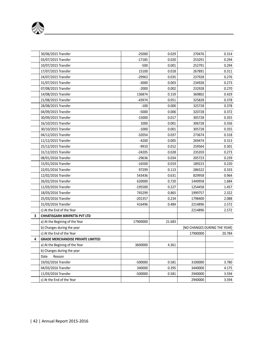|   | 30/06/2015 Transfer                      | $-25000$  | 0.029  | 270476   | 0.314                        |
|---|------------------------------------------|-----------|--------|----------|------------------------------|
|   | 03/07/2015 Transfer                      | $-17185$  | 0.020  | 253291   | 0.294                        |
|   | 10/07/2015 Transfer                      | $-500$    | 0.001  | 252791   | 0.294                        |
|   | 17/07/2015 Transfer                      | 15100     | 0.018  | 267891   | 0.311                        |
|   | 24/07/2015 Transfer                      | $-29963$  | 0.035  | 237928   | 0.276                        |
|   | 31/07/2015 Transfer                      | $-3000$   | 0.003  | 234928   | 0.273                        |
|   | 07/08/2015 Transfer                      | $-2000$   | 0.002  | 232928   | 0.270                        |
|   | 14/08/2015 Transfer                      | 136874    | 0.159  | 369802   | 0.429                        |
|   | 21/08/2015 Transfer                      | $-43974$  | 0.051  | 325828   | 0.378                        |
|   | 28/08/2015 Transfer                      | $-100$    | 0.000  | 325728   | 0.378                        |
|   | 04/09/2015 Transfer                      | $-5000$   | 0.006  | 320728   | 0.372                        |
|   | 30/09/2015 Transfer                      | $-15000$  | 0.017  | 305728   | 0.355                        |
|   | 16/10/2015 Transfer                      | 1000      | 0.001  | 306728   | 0.356                        |
|   | 30/10/2015 Transfer                      | $-1000$   | 0.001  | 305728   | 0.355                        |
|   | 04/12/2015 Transfer                      | $-32054$  | 0.037  | 273674   | 0.318                        |
|   | 11/12/2015 Transfer                      | $-4200$   | 0.005  | 269474   | 0.313                        |
|   | 25/12/2015 Transfer                      | $-9910$   | 0.012  | 259564   | 0.301                        |
|   | 31/12/2015 Transfer                      | $-24205$  | 0.028  | 235359   | 0.273                        |
|   | 08/01/2016 Transfer                      | $-29636$  | 0.034  | 205723   | 0.239                        |
|   | 15/01/2016 Transfer                      | $-16500$  | 0.019  | 189223   | 0.220                        |
|   | 22/01/2016 Transfer                      | 97299     | 0.113  | 286522   | 0.333                        |
|   | 12/02/2016 Transfer                      | 543436    | 0.631  | 829958   | 0.964                        |
|   | 26/02/2016 Transfer                      | 620000    | 0.720  | 1449958  | 1.684                        |
|   | 11/03/2016 Transfer                      | $-195500$ | 0.227  | 1254458  | 1.457                        |
|   | 18/03/2016 Transfer                      | 745299    | 0.865  | 1999757  | 2.322                        |
|   | 25/03/2016 Transfer                      | $-201357$ | 0.234  | 1798400  | 2.088                        |
|   | 31/03/2016 Transfer                      | 416496    | 0.484  | 2214896  | 2.572                        |
|   | c) At the End of the Year                |           |        | 2214896  | 2.572                        |
| 3 | CHHATISGARH BIRIPATTA PVT LTD            |           |        |          |                              |
|   | a) At the Begining of the Year           | 17900000  | 21.683 |          |                              |
|   | b) Changes during the year               |           |        |          | [NO CHANGES DURING THE YEAR] |
|   | c) At the End of the Year                |           |        | 17900000 | 20.784                       |
| 4 | <b>GRADE MERCHANDISE PRIVATE LIMITED</b> |           |        |          |                              |
|   | a) At the Begining of the Year           | 3600000   | 4.361  |          |                              |
|   | b) Changes during the year               |           |        |          |                              |
|   | Date<br>Reason                           |           |        |          |                              |
|   | 19/02/2016 Transfer                      | $-500000$ | 0.581  | 3100000  | 3.780                        |
|   | 04/03/2016 Transfer                      | 340000    | 0.395  | 3440000  | 4.175                        |
|   | 11/03/2016 Transfer                      | -500000   | 0.581  | 2940000  | 3.594                        |
|   | c) At the End of the Year                |           |        | 2940000  | 3.594                        |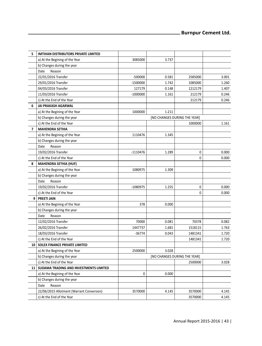| 5              | <b>IMTIHAN DISTRIBUTORS PRIVATE LIMITED</b> |                              |       |                              |       |
|----------------|---------------------------------------------|------------------------------|-------|------------------------------|-------|
|                | a) At the Begining of the Year              | 3085000                      | 3.737 |                              |       |
|                | b) Changes during the year                  |                              |       |                              |       |
|                | Date<br>Reason                              |                              |       |                              |       |
|                | 22/01/2016 Transfer                         | $-500000$                    | 0.581 | 2585000                      | 3.001 |
|                | 29/01/2016 Transfer                         | $-1500000$                   | 1.742 | 1085000                      | 1.260 |
|                | 04/03/2016 Transfer                         | 127179                       | 0.148 | 1212179                      | 1.407 |
|                | 11/03/2016 Transfer                         | $-1000000$                   | 1.161 | 212179                       | 0.246 |
|                | c) At the End of the Year                   |                              |       | 212179                       | 0.246 |
| 6              | <b>JAI PRAKASH AGARWAL</b>                  |                              |       |                              |       |
|                | a) At the Begining of the Year              | 1000000                      | 1.211 |                              |       |
|                | b) Changes during the year                  |                              |       | [NO CHANGES DURING THE YEAR] |       |
|                | c) At the End of the Year                   |                              |       | 1000000                      | 1.161 |
| $\overline{ }$ | <b>MAHENDRA SETHIA</b>                      |                              |       |                              |       |
|                | a) At the Begining of the Year              | 1110476                      | 1.345 |                              |       |
|                | b) Changes during the year                  |                              |       |                              |       |
|                | Date<br>Reason                              |                              |       |                              |       |
|                | 19/02/2016 Transfer                         | $-1110476$                   | 1.289 | 0                            | 0.000 |
|                | c) At the End of the Year                   |                              |       | $\mathbf 0$                  | 0.000 |
| 8              | <b>MAHENDRA SETHIA (HUF)</b>                |                              |       |                              |       |
|                | a) At the Begining of the Year              | 1080975                      | 1.309 |                              |       |
|                | b) Changes during the year                  |                              |       |                              |       |
|                | Date<br>Reason                              |                              |       |                              |       |
|                | 19/02/2016 Transfer                         | $-1080975$                   | 1.255 | $\pmb{0}$                    | 0.000 |
|                | c) At the End of the Year                   |                              |       | $\mathbf 0$                  | 0.000 |
| 9              | <b>PREETI JAIN</b>                          |                              |       |                              |       |
|                | a) At the Begining of the Year              | 378                          | 0.000 |                              |       |
|                | b) Changes during the year                  |                              |       |                              |       |
|                | Date<br>Reason                              |                              |       |                              |       |
|                | 12/02/2016 Transfer                         | 70000                        | 0.081 | 70378                        | 0.082 |
|                | 26/02/2016 Transfer                         | 1447737                      | 1.681 | 1518115                      | 1.763 |
|                | 18/03/2016 Transfer                         | -36774                       | 0.043 | 1481341                      | 1.720 |
|                | c) At the End of the Year                   |                              |       | 1481341                      | 1.720 |
|                | 10   SOLEX FINANCE PRIVATE LIMITED          |                              |       |                              |       |
|                | a) At the Begining of the Year              | 2500000                      | 3.028 |                              |       |
|                | b) Changes during the year                  | [NO CHANGES DURING THE YEAR] |       |                              |       |
|                | c) At the End of the Year                   |                              |       | 2500000                      | 3.028 |
|                | 11   SUDAMA TRADING AND INVESTMENTS LIMITED |                              |       |                              |       |
|                | a) At the Begining of the Year              | 0                            | 0.000 |                              |       |
|                | b) Changes during the year                  |                              |       |                              |       |
|                | Date<br>Reason                              |                              |       |                              |       |
|                | 22/06/2015 Allotment (Warrant Conversion)   | 3570000                      | 4.145 | 3570000                      | 4.145 |
|                | c) At the End of the Year                   |                              |       | 3570000                      | 4.145 |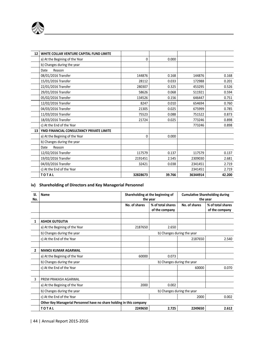

| 12 | WHITE COLLAR VENTURE CAPITAL FUND LIMITE |          |        |          |        |
|----|------------------------------------------|----------|--------|----------|--------|
|    | a) At the Begining of the Year           | 0        | 0.000  |          |        |
|    | b) Changes during the year               |          |        |          |        |
|    | Reason<br>Date                           |          |        |          |        |
|    | 08/01/2016 Transfer                      | 144876   | 0.168  | 144876   | 0.168  |
|    | 15/01/2016 Transfer                      | 28112    | 0.033  | 172988   | 0.201  |
|    | 22/01/2016 Transfer                      | 280307   | 0.325  | 453295   | 0.526  |
|    | 29/01/2016 Transfer                      | 58626    | 0.068  | 511921   | 0.594  |
|    | 05/02/2016 Transfer                      | 134526   | 0.156  | 646447   | 0.751  |
|    | 12/02/2016 Transfer                      | 8247     | 0.010  | 654694   | 0.760  |
|    | 04/03/2016 Transfer                      | 21305    | 0.025  | 675999   | 0.785  |
|    | 11/03/2016 Transfer                      | 75523    | 0.088  | 751522   | 0.873  |
|    | 18/03/2016 Transfer                      | 21724    | 0.025  | 773246   | 0.898  |
|    | c) At the End of the Year                |          |        | 773246   | 0.898  |
| 13 | YMD FINANCIAL CONSULTANCY PRIVATE LIMITE |          |        |          |        |
|    | a) At the Begining of the Year           | 0        | 0.000  |          |        |
|    | b) Changes during the year               |          |        |          |        |
|    | Reason<br>Date                           |          |        |          |        |
|    | 12/02/2016 Transfer                      | 117579   | 0.137  | 117579   | 0.137  |
|    | 19/02/2016 Transfer                      | 2191451  | 2.545  | 2309030  | 2.681  |
|    | 04/03/2016 Transfer                      | 32421    | 0.038  | 2341451  | 2.719  |
|    | c) At the End of the Year                |          |        | 2341451  | 2.719  |
|    | <b>TOTAL</b>                             | 32828673 | 39.766 | 36344914 | 42.200 |

## **iv) Shareholding of Directors and Key Managerial Personnel**

| SI.<br>No. | Name                                                                 |                            | Shareholding at the beginning of<br>the year | <b>Cumulative Shareholding during</b><br>the year |                                     |
|------------|----------------------------------------------------------------------|----------------------------|----------------------------------------------|---------------------------------------------------|-------------------------------------|
|            |                                                                      | No. of shares              | % of total shares<br>of the company          | No. of shares                                     | % of total shares<br>of the company |
|            |                                                                      |                            |                                              |                                                   |                                     |
| 1          | <b>ASHOK GUTGUTIA</b>                                                |                            |                                              |                                                   |                                     |
|            | a) At the Begining of the Year                                       | 2187650                    | 2.650                                        |                                                   |                                     |
|            | b) Changes during the year                                           | b) Changes during the year |                                              |                                                   |                                     |
|            | c) At the End of the Year                                            |                            |                                              | 2187650                                           | 2.540                               |
|            |                                                                      |                            |                                              |                                                   |                                     |
| 2          | <b>MANOJ KUMAR AGARWAL</b>                                           |                            |                                              |                                                   |                                     |
|            | a) At the Begining of the Year                                       | 60000                      | 0.073                                        |                                                   |                                     |
|            | b) Changes during the year                                           |                            |                                              | b) Changes during the year                        |                                     |
|            | c) At the End of the Year                                            |                            |                                              | 60000                                             | 0.070                               |
|            |                                                                      |                            |                                              |                                                   |                                     |
| 3          | PREM PRAKASH AGARWAL                                                 |                            |                                              |                                                   |                                     |
|            | a) At the Begining of the Year                                       | 2000                       | 0.002                                        |                                                   |                                     |
|            | b) Changes during the year                                           | b) Changes during the year |                                              |                                                   |                                     |
|            | c) At the End of the Year                                            |                            |                                              | 2000                                              | 0.002                               |
|            | Other Key Managerial Personnel have no share holding in this company |                            |                                              |                                                   |                                     |
|            | <b>TOTAL</b>                                                         | 2249650                    | 2.725                                        | 2249650                                           | 2.612                               |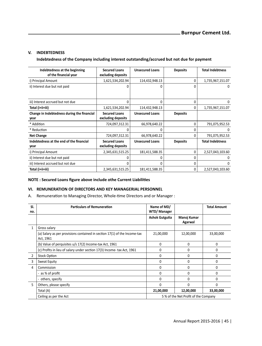### **V. INDEBTEDNESS**

#### **Indebtedness of the Company including interest outstanding/accrued but not due for payment**

| Indebtedness at the beginning<br>of the financial year | <b>Secured Loans</b><br>excluding deposits | <b>Unsecured Loans</b> | <b>Deposits</b> | <b>Total Indebtness</b> |
|--------------------------------------------------------|--------------------------------------------|------------------------|-----------------|-------------------------|
| i) Principal Amount                                    | 1,621,534,202.94                           | 114,432,948.13         | 0               | 1,735,967,151.07        |
| ii) Interest due but not paid                          | O                                          | o                      | n               | 0                       |
| iii) Interest accrued but not due                      | <sup>0</sup>                               | 0                      | U               | O                       |
| Total (i+ii+iii)                                       | 1,621,534,202.94                           | 114,432,948.13         | U               | 1,735,967,151.07        |
| Change in Indebtedness during the financial<br>year    | <b>Secured Loans</b><br>excluding deposits | <b>Unsecured Loans</b> | <b>Deposits</b> |                         |
| * Addition                                             | 724,097,312.31                             | 66,978,640.22          | 0               | 791,075,952.53          |
| * Reduction                                            | O                                          | n                      | U               | <sup>0</sup>            |
| <b>Net Change</b>                                      | 724,097,312.31                             | 66,978,640.22          | U               | 791,075,952.53          |
| Indebtedness at the end of the financial<br>year       | <b>Secured Loans</b><br>excluding deposits | <b>Unsecured Loans</b> | <b>Deposits</b> | <b>Total Indebtness</b> |
| i) Principal Amount                                    | 2,345,631,515.25                           | 181,411,588.35         | U               | 2,527,043,103.60        |
| ii) Interest due but not paid                          | ŋ                                          | N                      | n               | n                       |
| iii) Interest accrued but not due                      | U                                          | n                      | n               | O                       |
| Total (i+ii+iii)                                       | 2,345,631,515.25                           | 181,411,588.35         | 0               | 2,527,043,103.60        |

#### **NOTE : Secured Loans figure above include othe Current LiabiliƟes**

## **VI. REMUNERATION OF DIRECTORS AND KEY MANAGERIAL PERSONNEL**

A. Remuneration to Managing Director, Whole-time Directors and or Manager :

| SI.<br>no.   | <b>Particulars of Remuneration</b>                                                     | Name of MD/<br>WTD/ Manager |                                     | <b>Total Amount</b> |
|--------------|----------------------------------------------------------------------------------------|-----------------------------|-------------------------------------|---------------------|
|              |                                                                                        | <b>Ashok Gutgutia</b>       | Manoj Kumar<br>Agarwal              |                     |
| $\mathbf{1}$ | Gross salary                                                                           |                             |                                     |                     |
|              | (a) Salary as per provisions contained in section 17(1) of the Income-tax<br>Act, 1961 | 21,00,000                   | 12,00,000                           | 33,00,000           |
|              | (b) Value of perguisites u/s 17(2) Income-tax Act, 1961                                | $\Omega$                    | $\Omega$                            | 0                   |
|              | (c) Profits in lieu of salary under section 17(3) Income- tax Act, 1961                | $\Omega$                    | $\Omega$                            | $\Omega$            |
| 2            | <b>Stock Option</b>                                                                    | $\Omega$                    | $\Omega$                            | 0                   |
| 3            | Sweat Equity                                                                           | $\Omega$                    | $\Omega$                            | 0                   |
| 4            | Commission                                                                             | $\Omega$                    | $\Omega$                            | U                   |
|              | - as % of profit                                                                       | $\Omega$                    | $\Omega$                            | 0                   |
|              | - others, specify                                                                      | $\Omega$                    | $\Omega$                            | 0                   |
| 5            | Others, please specify                                                                 | $\Omega$                    | 0                                   | 0                   |
|              | Total (A)                                                                              | 21,00,000                   | 12,00,000                           | 33,00,000           |
|              | Ceiling as per the Act                                                                 |                             | 5% of the Net Profit of the Company |                     |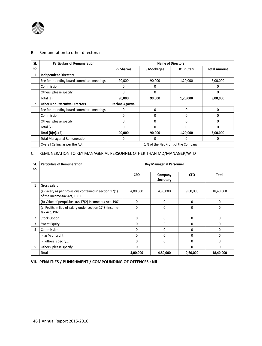

#### B. Remuneration to other directors :

| SI.            | <b>Particulars of Remuneration</b>         | <b>Name of Directors</b> |             |                                     |                     |
|----------------|--------------------------------------------|--------------------------|-------------|-------------------------------------|---------------------|
| no.            |                                            | PP Sharma                | S Mookerjee | JC Bhutani                          | <b>Total Amount</b> |
|                | <b>Independent Directors</b>               |                          |             |                                     |                     |
|                | Fee for attending board committee meetings | 90.000                   | 90,000      | 1,20,000                            | 3,00,000            |
|                | Commission                                 | 0                        | 0           |                                     |                     |
|                | Others, please specify                     | $\Omega$                 | $\Omega$    |                                     |                     |
|                | Total (1)                                  | 90,000                   | 90,000      | 1,20,000                            | 3,00,000            |
| $\overline{2}$ | <b>Other Non-Executive Directors</b>       | Rachna Agarwal           |             |                                     |                     |
|                | Fee for attending board committee meetings | $\Omega$                 | $\Omega$    | n                                   |                     |
|                | Commission                                 | $\Omega$                 | $\Omega$    |                                     |                     |
|                | Others, please specify                     | $\Omega$                 | O           |                                     |                     |
|                | Total (2)                                  | $\Omega$                 |             |                                     |                     |
|                | Total $(B)=(1+2)$                          | 90,000                   | 90,000      | 1,20,000                            | 3,00,000            |
|                | <b>Total Managerial Remuneration</b>       | $\Omega$                 | O           |                                     | 0                   |
|                | Overall Ceiling as per the Act             |                          |             | 1% of the Net Profit of the Company |                     |

<u> 1980 - Johann Barn, mars ar breithinn ar breithinn ar breithinn ar breithinn ar breithinn ar breithinn ar br</u>

## C. REMUNERATION TO KEY MANAGERIAL PERSONNEL OTHER THAN MD/MANAGER/WTD

| SI.<br>no.     | <b>Particulars of Remuneration</b>                                                     | <b>Key Managerial Personnel</b> |                      |              |           |
|----------------|----------------------------------------------------------------------------------------|---------------------------------|----------------------|--------------|-----------|
|                |                                                                                        | <b>CEO</b>                      | Company<br>Secretary | <b>CFO</b>   | Total     |
| 1              | Gross salary                                                                           |                                 |                      |              |           |
|                | (a) Salary as per provisions contained in section 17(1)<br>of the Income-tax Act, 1961 | 4,00,000                        | 4,80,000             | 9,60,000     | 18,40,000 |
|                | (b) Value of perquisites u/s 17(2) Income-tax Act, 1961                                | 0                               | $\Omega$             | <sup>0</sup> | $\Omega$  |
|                | (c) Profits in lieu of salary under section 17(3) Income-<br>tax Act, 1961             | $\Omega$                        | $\Omega$             | $\Omega$     | $\Omega$  |
| $\overline{2}$ | <b>Stock Option</b>                                                                    | <sup>0</sup>                    | $\Omega$             | $\Omega$     | $\Omega$  |
| 3              | Sweat Equity                                                                           | 0                               | $\Omega$             | O            | 0         |
| 4              | Commission                                                                             | $\Omega$                        | $\Omega$             | 0            | $\Omega$  |
|                | - as % of profit                                                                       | $\Omega$                        | $\Omega$             | 0            | 0         |
|                | others, specify                                                                        | O                               | $\Omega$             | 0            | $\Omega$  |
| 5              | Others, please specify                                                                 | $\Omega$                        | $\Omega$             | U            | $\Omega$  |
|                | Total                                                                                  | 4,00,000                        | 4,80,000             | 9,60,000     | 18,40,000 |

**VII. PENALTIES / PUNISHMENT / COMPOUNDING OF OFFENCES : Nil**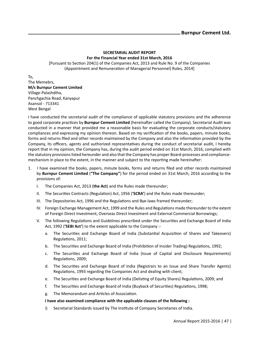#### **SECRETARIAL AUDIT REPORT For the Financial Year ended 31st March, 2016**

[Pursuant to Section 204(1) of the Companies Act, 2013 and Rule No. 9 of the Companies (Appointment and Remuneration of Managerial Personnel) Rules, 2014]

To, The Memebrs, **M/s Burnpur Cement Limited** Village-Palashdiha, Panchgachia Road, Kanyapur Asansol - 713341 West Bengal

I have conducted the secretarial audit of the compliance of applicable statutory provisions and the adherence to good corporate practices by **Burnpur Cement Limited** (hereinafter called the Company). Secretarial Audit was conducted in a manner that provided me a reasonable basis for evaluating the corporate conducts/statutory compliances and expressing my opinion thereon. Based on my verification of the books, papers, minute books, forms and returns filed and other records maintained by the Company and also the information provided by the Company, its officers, agents and authorized representatives during the conduct of secretarial audit, I hereby report that in my opinion, the Company has, during the audit period ended on 31st March, 2016, complied with the statutory provisions listed hereunder and also that the Company has proper Board-processes and compliancemechanism in place to the extent, in the manner and subject to the reporting made hereinafter:

- 1. I have examined the books, papers, minute books, forms and returns filed and other records maintained by **Burnpur Cement Limited** (**"The Company"**) for the period ended on 31st March, 2016 according to the provisions of:
	- I. The Companies Act, 2013 (**the Act**) and the Rules made thereunder;
	- II. The Securities Contracts (Regulation) Act, 1956 ('SCRA') and the Rules made thereunder;
	- III. The Depositories Act, 1996 and the Regulations and Bye-laws framed thereunder;
	- IV. Foreign Exchange Management Act, 1999 and the Rules and Regulations made thereunder to the extent of Foreign Direct Investment, Overseas Direct Investment and External Commercial Borrowings;
	- V. The following Regulations and Guidelines prescribed under the Securities and Exchange Board of India Act, 1992 (**'SEBI Act'**) to the extent applicable to the Company :
		- a. The Securities and Exchange Board of India (Substantial Acquisition of Shares and Takeovers) Regulations, 2011;
		- b. The Securities and Exchange Board of India (Prohibition of Insider Trading) Regulations, 1992;
		- c. The SecuriƟes and Exchange Board of India (Issue of Capital and Disclosure Requirements) Regulations, 2009;
		- d. The Securities and Exchange Board of India (Registrars to an Issue and Share Transfer Agents) Regulations, 1993 regarding the Companies Act and dealing with client;
		- e. The Securities and Exchange Board of India (Delisting of Equity Shares) Regulations, 2009; and
		- f. The Securities and Exchange Board of India (Buyback of Securities) Regulations, 1998;
		- g. The Memorandum and Articles of Association.

#### **I have also examined compliance with the applicable clauses of the following :**

i) Secretarial Standards issued by The Institute of Company Secretaries of India.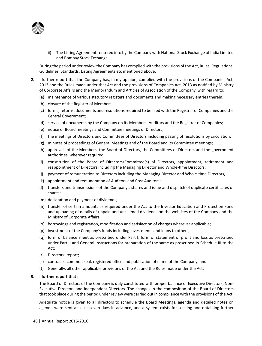

ii) The Listing Agreements entered into by the Company with National Stock Exchange of India Limited and Bombay Stock Exchange.

During the period under review the Company has complied with the provisions of the Act, Rules, Regulations, Guidelines, Standards, Listing Agreements etc mentioned above.

- **2.** I further report that the Company has, in my opinion, complied with the provisions of the Companies Act, 2013 and the Rules made under that Act and the provisions of Companies Act, 2013 as notified by Ministry of Corporate Affairs and the Memorandum and Articles of Association of the Company, with regard to:
	- (a) maintenance of various statutory registers and documents and making necessary entries therein;
	- (b) closure of the Register of Members.
	- (c) forms, returns, documents and resolutions required to be filed with the Registrar of Companies and the Central Government;
	- (d) service of documents by the Company on its Members, Auditors and the Registrar of Companies;
	- (e) notice of Board meetings and Committee meetings of Directors;
	- (f) the meetings of Directors and Committees of Directors including passing of resolutions by circulation;
	- $(g)$  minutes of proceedings of General Meetings and of the Board and its Committee meetings;
	- (h) approvals of the Members, the Board of Directors, the Committees of Directors and the government authorities, wherever required;
	- (i) constitution of the Board of Directors/Committee(s) of Directors, appointment, retirement and reappointment of Directors including the Managing Director and Whole-time Directors;
	- (j) payment of remuneration to Directors including the Managing Director and Whole-time Directors,
	- (k) appointment and remuneration of Auditors and Cost Auditors;
	- (I) transfers and transmissions of the Company's shares and issue and dispatch of duplicate certificates of shares;
	- (m) declaration and payment of dividends;
	- (n) transfer of certain amounts as required under the Act to the Investor Education and Protection Fund and uploading of details of unpaid and unclaimed dividends on the websites of the Company and the Ministry of Corporate Affairs;
	- (o) borrowings and registration, modification and satisfaction of charges wherever applicable;
	- (p) investment of the Company's funds including investments and loans to others;
	- (q) form of balance sheet as prescribed under Part I, form of statement of profit and loss as prescribed under Part II and General Instructions for preparation of the same as prescribed in Schedule III to the Act;
	- (r) Directors' report;
	- (s) contracts, common seal, registered office and publication of name of the Company; and
	- (t) Generally, all other applicable provisions of the Act and the Rules made under the Act.

#### **3. I further report that :**

The Board of Directors of the Company is duly constituted with proper balance of Executive Directors, Non-Executive Directors and Independent Directors. The changes in the composition of the Board of Directors that took place during the period under review were carried out in compliance with the provisions of the Act.

Adequate notice is given to all directors to schedule the Board Meetings, agenda and detailed notes on agenda were sent at least seven days in advance, and a system exists for seeking and obtaining further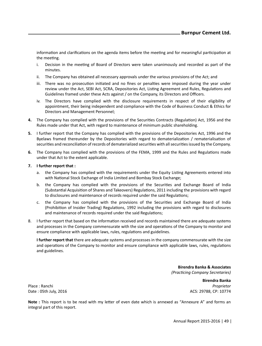information and clarifications on the agenda items before the meeting and for meaningful participation at the meeting.

- i. Decision in the meeting of Board of Directors were taken unanimously and recorded as part of the minutes.
- ii. The Company has obtained all necessary approvals under the various provisions of the Act; and
- iii. There was no prosecution initiated and no fines or penalties were imposed during the year under review under the Act, SEBI Act, SCRA, Depositories Act, Listing Agreement and Rules, Regulations and Guidelines framed under these Acts against / on the Company, its Directors and Officers.
- iv. The Directors have complied with the disclosure requirements in respect of their eligibility of appointment, their being independent and compliance with the Code of Business Conduct & Ethics for Directors and Management Personnel;
- **4.** The Company has complied with the provisions of the Securities Contracts (Regulation) Act, 1956 and the Rules made under that Act, with regard to maintenance of minimum public shareholding.
- **5.** I further report that the Company has complied with the provisions of the Depositories Act, 1996 and the Byelaws framed thereunder by the Depositories with regard to dematerialization / rematerialisation of securities and reconciliation of records of dematerialized securities with all securities issued by the Company.
- **6.** The Company has complied with the provisions of the FEMA, 1999 and the Rules and Regulations made under that Act to the extent applicable.

#### **7. I further report that :**

- a. the Company has complied with the requirements under the Equity Listing Agreements entered into with National Stock Exchange of India Limited and Bombay Stock Exchange;
- b. the Company has complied with the provisions of the Securities and Exchange Board of India (Substantial Acquisition of Shares and Takeovers) Regulations, 2011 including the provisions with regard to disclosures and maintenance of records required under the said Regulations;
- c. the Company has complied with the provisions of the Securities and Exchange Board of India (Prohibition of Insider Trading) Regulations, 1992 including the provisions with regard to disclosures and maintenance of records required under the said Regulations;
- 8. I further report that based on the information received and records maintained there are adequate systems and processes in the Company commensurate with the size and operations of the Company to monitor and ensure compliance with applicable laws, rules, regulations and guidelines.

**I further report that** there are adequate systems and processes in the company commensurate with the size and operations of the Company to monitor and ensure compliance with applicable laws, rules, regulations and guidelines.

> **Birendra Banka & Associates** *(PracƟcing Company Secretaries)*

**Birendra Banka** Place : Ranchi *Proprietor* Date : 05th July, 2016 **ACS: 29788, CP: 10774** ACS: 29788, CP: 10774

**Note**: This report is to be read with my letter of even date which is annexed as "Annexure A" and forms an integral part of this report.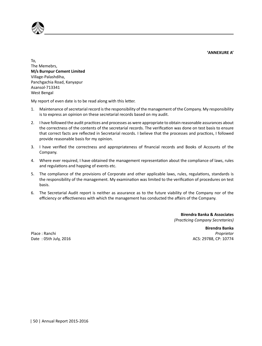**'ANNEXURE A'**



To, The Memebrs, **M/s Burnpur Cement Limited** Village-Palashdiha, Panchgachia Road, Kanyapur Asansol-713341 West Bengal

My report of even date is to be read along with this letter.

- 1. Maintenance of secretarial record is the responsibility of the management of the Company. My responsibility is to express an opinion on these secretarial records based on my audit.
- 2. I have followed the audit practices and processes as were appropriate to obtain reasonable assurances about the correctness of the contents of the secretarial records. The verification was done on test basis to ensure that correct facts are reflected in Secretarial records. I believe that the processes and practices, I followed provide reasonable basis for my opinion.
- 3. I have verified the correctness and appropriateness of financial records and Books of Accounts of the Company.
- 4. Where ever required, I have obtained the management representation about the compliance of laws, rules and regulations and happing of events etc.
- 5. The compliance of the provisions of Corporate and other applicable laws, rules, regulations, standards is the responsibility of the management. My examination was limited to the verification of procedures on test basis.
- 6. The Secretarial Audit report is neither as assurance as to the future viability of the Company nor of the efficiency or effectiveness with which the management has conducted the affairs of the Company.

**Birendra Banka & Associates** *(PracƟcing Company Secretaries)*

**Birendra Banka** Place : Ranchi *Proprietor* Date : 05th July, 2016 **ACS: 29788, CP: 10774**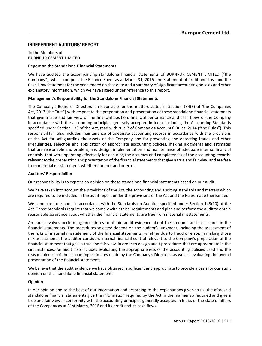## **INDEPENDENT AUDITORS' REPORT**

#### To the Members of **BURNPUR CEMENT LIMITED**

#### **Report on the Standalone F inancial Statements**

We have audited the accompanying standalone financial statements of BURNPUR CEMENT LIMITED ("the Company"), which comprise the Balance Sheet as at March 31, 2016, the Statement of Profit and Loss and the Cash Flow Statement for the year ended on that date and a summary of significant accounting policies and other explanatory information, which we have signed under reference to this report.

#### **Management's Responsibility for the Standalone Financial Statements**

The Company's Board of Directors is responsible for the matters stated in Section 134(5) of 'the Companies Act, 2013 (the "Act") with respect to the preparation and presentation of these standalone financial statements that give a true and fair view of the financial position, financial performance and cash flows of the Company in accordance with the accounting principles generally accepted in India, including the Accounting Standards specified under Section 133 of the Act, read with rule 7 of Companies(Accounts) Rules, 2014 ("the Rules"). This responsibility also includes maintenance of adequate accounting records in accordance with the provisions of the Act for safeguarding the assets of the Company and for preventing and detecting frauds and other irregularities, selection and application of appropriate accounting policies, making judgments and estimates that are reasonable and prudent, and design, implementation and maintenance of adequate internal financial controls, that were operating effectively for ensuring the accuracy and completeness of the accounting records, relevant to the preparation and presentation of the financial statements that give a true and fair view and are free from material misstatement, whether due to fraud or error.

#### **Auditors' Responsibility**

Our responsibility is to express an opinion on these standalone financial statements based on our audit.

We have taken into account the provisions of the Act, the accounting and auditing standards and matters which are required to be included in the audit report under the provisions of the Act and the Rules made thereunder.

We conducted our audit in accordance with the Standards on Auditing specified under Section 143(10) of the Act. Those Standards require that we comply with ethical requirements and plan and perform the audit to obtain reasonable assurance about whether the financial statements are free from material misstatements.

An audit involves performing procedures to obtain audit evidence about the amounts and disclosures in the financial statements. The procedures selected depend on the auditor's judgment, including the assessment of the risks of material misstatement of the financial statements, whether due to fraud or error. In making those risk assessments, the auditor considers internal financial control relevant to the Company's preparation of the financial statement that give a true and fair view in order to design audit procedures that are appropriate in the circumstances. An audit also includes evaluating the appropriateness of the accounting policies used and the reasonableness of the accounting estimates made by the Company's Directors, as well as evaluating the overall presentation of the financial statements.

We believe that the audit evidence we have obtained is sufficient and appropriate to provide a basis for our audit opinion on the standalone financial statements.

### **Opinion**

In our opinion and to the best of our information and according to the explanations given to us, the aforesaid standalone financial statements give the information required by the Act in the manner so required and give a true and fair view in conformity with the accounting principles generally accepted in India, of the state of affairs of the Company as at 31st March, 2016 and its profit and its cash flows.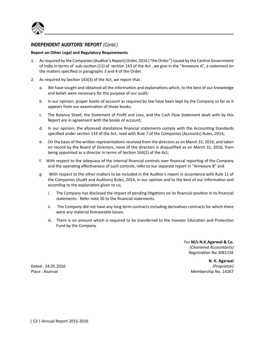

## **INDEPENDENT AUDITORS' REPORT** *(Contd.)*

#### **Report on Other Legal and Regulatory Requirements**

- 1. As required by the Companies (Auditor's Report) Order, 2016 ("the Order") issued by the Central Government of India in terms of sub-section (11) of section 143 of the Act, we give in the "Annexure A", a statement on the matters specified in paragraphs 3 and 4 of the Order.
- 2. As required by Section 143(3) of the Act, we report that :
	- a. We have sought and obtained all the information and explanations which, to the best of our knowledge and belief, were necessary for the purpose of our audit;
	- b. In our opinion, proper books of account as required by law have been kept by the Company so far as it appears from our examination of those books;
	- c. The Balance Sheet, the Statement of Profit and Loss, and the Cash Flow Statement dealt with by this Report are in agreement with the books of account;
	- d. In our opinion, the aforesaid standalone financial statements comply with the Accounting Standards specified under section 133 of the Act, read with Rule 7 of the Companies (Accounts) Rules, 2014;
	- e. On the basis of the written representations received from the directors as on March 31, 2016, and taken on record by the Board of Directors, none of the directors is disqualified as on March 31, 2016, from being appointed as a director in terms of Section 164(2) of the Act;
	- f. With respect to the adequacy of the internal financial controls over financial reporting of the Company and the operating effectiveness of such controls, refer to our separate report in "Annexure B" and
	- g. With respect to the other matters to be included in the Auditor's report in accordance with Rule 11 of the Companies (Audit and Auditors) Rules, 2014, in our opinion and to the best of our information and according to the explanation given to us;
		- i. The Company has disclosed the impact of pending litigations on its financial position in its financial statements - Refer note 26 to the financial statements.
		- ii. The Company did not have any long-term contracts including derivatives contracts for which there were any material foreseeable losses.
		- iii. There is no amount which is required to be transferred to the Investor Education and Protection Fund by the Company.

For **M/s N.K.Agarwal & Co.** *(Chartered Accountants)* Registration No.308115E

**N. K. Agarwal** Dated : 24.05.2016 *(Proprietor)*  Place : Asansol Membership No. 14267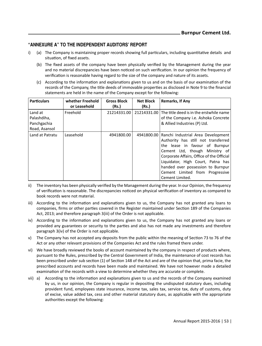## **"ANNEXURE A" TO THE INDEPENDENT AUDITORS' REPORT**

- i) (a) The Company is maintaining proper records showing full particulars, including quantitative details and situation, of fixed assets.
	- (b) The fixed assets of the company have been physically verified by the Management during the year and no material discrepancies have been noticed on such verification. In our opinion the frequency of verification is reasonable having regard to the size of the company and nature of its assets.
	- (c) According to the information and explanations given to us and on the basis of our examination of the records of the Company, the title deeds of immovable properties as disclosed in Note 9 to the financial statements are held in the name of the Company except for the following:

| <b>Particulars</b>                                     | whether Freehold<br>or Leasehold | <b>Gross Block</b><br>(Rs.) | <b>Net Block</b><br>(Rs.) | Remarks, If Any                                                                                                                                                                                                                                                                                                            |
|--------------------------------------------------------|----------------------------------|-----------------------------|---------------------------|----------------------------------------------------------------------------------------------------------------------------------------------------------------------------------------------------------------------------------------------------------------------------------------------------------------------------|
| Land at<br>Palashdiha,<br>Panchgachia<br>Road, Asansol | Freehold                         | 21214331.00                 |                           | 21214331.00 The title deed is in the erstwhile name<br>of the Company i.e. Ashoka Concrete<br>& Allied Industries (P) Ltd.                                                                                                                                                                                                 |
| Land at Patratu                                        | Leasehold                        | 4941800.00                  | 4941800.00                | Ranchi Industrial Area Development<br>Authority has still not transferred<br>the lease in favour of Burnpur<br>Cement Ltd, though Ministry of<br>Corporate Affairs, Office of the Official<br>Liquidator, High Court, Patna has<br>handed over possession to Burnpur<br>Cement Limited from Progressive<br>Cement Limited. |

- ii) The inventory has been physically verified by the Management during the year. In our Opinion, the frequency of verification is reasonable. The discrepancies noticed on physical verification of inventory as compared to book records were not material.
- iii) According to the information and explanations given to us, the Company has not granted any loans to companies, firms or other parties covered in the Register maintained under Section 189 of the Companies Act, 2013; and therefore paragraph 3(iii) of the Order is not applicable.
- iv) According to the information and explanations given to us, the Company has not granted any loans or provided any guarantees or security to the parties and also has not made any investments and therefore paragraph 3(iv) of the Order is not applicable.
- v) The Company has not accepted any deposits from the public within the meaning of Section 73 to 76 of the Act or any other relevant provisions of the Companies Act and the rules framed there under.
- vi) We have broadly reviewed the books of account maintained by the company in respect of products where, pursuant to the Rules, prescribed by the Central Government of India, the maintenance of cost records has been prescribed under sub section (1) of Section 148 of the Act and are of the opinion that, prima facie, the prescribed accounts and records have been made and maintained. We have not however made a detailed examination of the records with a view to determine whether they are accurate or complete.
- vii) a) According to the information and explanations given to us and the records of the Company examined by us, in our opinion, the Company is regular in depositing the undisputed statutory dues, including provident fund, employees state insurance, income tax, sales tax, service tax, duty of customs, duty of excise, value added tax, cess and other material statutory dues, as applicable with the appropriate authorities except the following: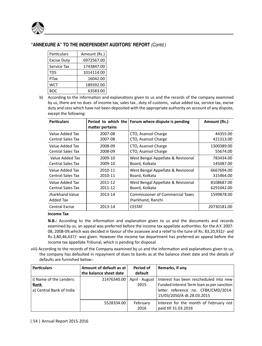

## **"ANNEXURE A" TO THE INDEPENDENT AUDITORS' REPORT** *(Contd.)*

| Particulars        | Amount (Rs.) |
|--------------------|--------------|
| <b>Excise Duty</b> | 6972567.00   |
| Service Tax        | 1743847.00   |
| TDS                | 1014114.00   |
| P.Tax              | 16042.00     |
| <b>WCT</b>         | 189392.00    |
| ROC                | 63583.00     |

b) According to the information and explanations given to us and the records of the company examined by us, there are no dues of income tax, sales tax , duty of customs, value added tax, service tax, excise duty and cess which have not been deposited with the appropriate authority on account of any dispute, except the following:

| <b>Particulars</b>           | matter pertains | Period to which the Forum where dispute is pending           | Amount (Rs.) |
|------------------------------|-----------------|--------------------------------------------------------------|--------------|
| Value Added Tax              | 2007-08         | CTO, Asansol Charge                                          | 44355.00     |
| <b>Central Sales Tax</b>     | 2007-08         | CTO, Asansol Charge                                          | 421313.00    |
| Value Added Tax              | 2008-09         | CTO, Asansol Charge                                          | 1300389.00   |
| <b>Central Sales Tax</b>     | 2008-09         | CTO, Asansol Charge                                          | 55674.00     |
| Value Added Tax              | 2009-10         | West Bengal Appellate & Revisional                           | 783434.00    |
| <b>Central Sales Tax</b>     | 2009-10         | Board, Kolkata                                               | 145087.00    |
| Value Added Tax              | 2010-11         | West Bengal Appellate & Revisional                           | 6667694.00   |
| <b>Central Sales Tax</b>     | 2010-11         | Board, Kolkata                                               | 315464.00    |
| Value Added Tax              | 2011-12         | West Bengal Appellate & Revisional                           | 8108687.00   |
| <b>Central Sales Tax</b>     | 2011-12         | Board, Kolkata                                               | 6291042.00   |
| Jharkhand Value<br>Added Tax | 2013-14         | <b>Commissioner of Commercial Taxes</b><br>Jharkhand, Ranchi | 1599878.00   |
| <b>Central Excise</b>        | 2013-14         | <b>CESTAT</b>                                                | 20730181.00  |

## **Income Tax**

**N.B.:** According to the information and explanation given to us and the documents and records examined by us, an appeal was preferred before the income tax appellate authorities for the A.Y. 2007-08, 2008-09,which was decided in favour of the assessee and a relief to the tune of Rs. 83,20,932/- and Rs.3,80,46,637/- was given. However the income tax department has preferred an appeal before the income tax appellate Tribunal, which is pending for disposal.

viii) According to the records of the Company examined by us and the information and explanations given to us, the company has defaulted in repayment of dues to banks as at the balance sheet date and the details of defaults are furnished below:-

| <b>Particulars</b>                                                 | Amount of default as at<br>the balance sheet date | Period of<br>default   | Remarks, if any.                                                                                                                                         |
|--------------------------------------------------------------------|---------------------------------------------------|------------------------|----------------------------------------------------------------------------------------------------------------------------------------------------------|
| i) Name of the Lenders:<br><b>Bank</b><br>a) Central Bank of India | 21476340.00                                       | April - August<br>2015 | Interest has been rescheduled into new<br>Funded Interest Term loan as per sanction<br>letter reference no. CFBK/CMD/2014-<br>15/03/2050/A dt.28.03.2015 |
|                                                                    | 5528334.00                                        | February<br>2016       | Interest for the month of February not<br>paid till 31.03.2016                                                                                           |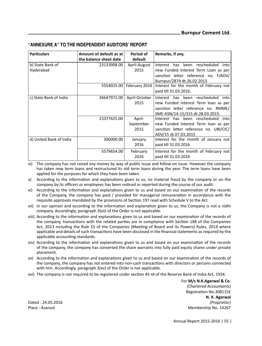|  |  | "ANNEXURE A" TO THE INDEPENDENT AUDITORS' REPORT |
|--|--|--------------------------------------------------|
|--|--|--------------------------------------------------|

| <b>Particulars</b>      | Amount of default as at | Period of     | Remarks, if any.                         |
|-------------------------|-------------------------|---------------|------------------------------------------|
|                         | the balance sheet date  | default       |                                          |
| b) State Bank of        | 23133908.00             | April-August  | rescheduled<br>Interest has been<br>into |
| Hyderabad               |                         | 2015          | new Funded Interest Term Loan as per     |
|                         |                         |               | sanction letter reference no. F/ADV/     |
|                         |                         |               | Burnpur/2874 dt.26.02.2015               |
|                         | 5554025.00              | February 2016 | Interest for the month of February not   |
|                         |                         |               | paid till 31.03.2016.                    |
| c) State Bank of India  | 26647972.00             | April-October | Interest has been rescheduled<br>into    |
|                         |                         | 2015          | new Funded Interest Term loan as per     |
|                         |                         |               | sanction letter reference no. RMME/      |
|                         |                         |               | SME-ASN/14-15/315 dt.28.03.2015.         |
|                         | 23377425.00             | April-        | Interest has been rescheduled<br>into    |
|                         |                         | September     | new Funded Interest Term loan as per     |
|                         |                         | 2015          | sanction letter reference no. UBI/CIC/   |
|                         |                         |               | ADV/15 dt.07.03.2015                     |
| d) United Bank of India | 300000.00               | January       | Interest for the month of January not    |
|                         |                         | 2016          | paid till 31.03.2016                     |
|                         | 5579654.00              | February      | Interest for the month of February not   |
|                         |                         | 2016          | paid till 31.03.2016                     |

ix) The company has not raised any money by way of public issue and follow on issue. However the company has taken new term loans and restructured its old term loans during the year. The term loans have been applied for the purposes for which they have been taken.

x) According to the information and explanations given to us, no material fraud by the company or on the company by its officers or employees has been noticed or reported during the course of our audit.

xi) According to the information and explanations given to us and based on our examination of the records of the Company, the company has paid / provided for managerial remuneration in accordance with the requisite approvals mandated by the provisions of Section 197 read with Schedule V to the Act.

- xii) In our opinion and according to the information and explanation given to us, the Company is not a nidhi company. Accordingly, paragraph 3(xii) of the Order is not applicable.
- xiii) According to the information and explanations given to us and based on our examination of the records of the company, transactions with the related parties are in compliance with Section 188 of the Companies Act, 2013 including the Rule 15 of the Companies (Meeting of Board and its Powers) Rules, 2014 where applicable and details of such transactions have been disclosed in the financial statements as required by the applicable accounting standards.
- xiv) According to the information and explanations given to us and based on our examination of the records of the company, the company has converted the share warrants into fully paid equity shares under private placement.
- xv) According to the information and explanations given to us and based on our examination of the records of the company, the company has not entered into non-cash transactions with directors or persons connected with him. Accordingly, paragraph 3(xv) of the Order is not applicable.
- xvi) The company is not required to be registered under section 45-IA of the Reserve Bank of India Act, 1934.

For **M/s N.K.Agarwal & Co.** *(Chartered Accountants)* RegistraƟon No.308115E **N. K. Agarwal** Dated : 24.05.2016 *(Proprietor)*  Place : Asansol Membership No. 14267

Annual Report 2015-2016 | 55 |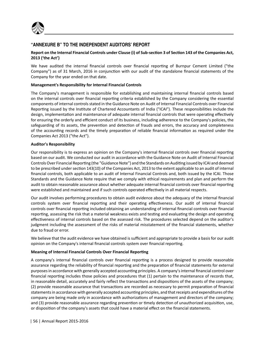

## **"ANNEXURE B" TO THE INDEPENDENT AUDITORS' REPORT**

### Report on the Internal Financial Controls under Clause (i) of Sub-section 3 of Section 143 of the Companies Act, **2013 ('the Act')**

We have audited the internal financial controls over financial reporting of Burnpur Cement Limited ("the Company") as of 31 March, 2016 in conjunction with our audit of the standalone financial statements of the Company for the year ended on that date.

#### **Management's Responsibility for Internal Financial Controls**

The Company's management is responsible for establishing and maintaining internal financial controls based on the internal controls over financial reporting criteria established by the Company considering the essential components of internal controls stated in the Guidance Note on Audit of Internal Financial Controls over Financial Reporting issued by the Institute of Chartered Accountants of India ("ICAI"). These responsibilities include the design, implementation and maintenance of adequate internal financial controls that were operating effectively for ensuring the orderly and efficient conduct of its business, including adherence to the Company's policies, the safeguarding of its assets, the prevention and detection of frauds and errors, the accuracy and completeness of the accounting records and the timely preparation of reliable financial information as required under the Companies Act 2013 ("the Act").

#### **Auditor's Responsibility**

Our responsibility is to express an opinion on the Company's internal financial controls over financial reporting based on our audit. We conducted our audit in accordance with the Guidance Note on Audit of Internal Financial Controls Over Financial Reporting (the "Guidance Note") and the Standards on Auditing issued by ICAI and deemed to be prescribed under section 143(10) of the Companies Act, 2013 to the extent applicable to an audit of internal financial controls, both applicable to an audit of Internal Financial Controls and, both issued by the ICAI. Those Standards and the Guidance Note require that we comply with ethical requirements and plan and perform the audit to obtain reasonable assurance about whether adequate internal financial controls over financial reporting were established and maintained and if such controls operated effectively in all material respects.

Our audit involves performing procedures to obtain audit evidence about the adequacy of the internal financial controls system over financial reporting and their operating effectiveness. Our audit of internal financial controls over financial reporting included obtaining an understanding of internal financial controls over financial reporting, assessing the risk that a material weakness exists and testing and evaluating the design and operating effectiveness of internal controls based on the assessed risk. The procedures selected depend on the auditor's judgment including the assessment of the risks of material misstatement of the financial statements, whether due to fraud or error.

We believe that the audit evidence we have obtained is sufficient and appropriate to provide a basis for our audit opinion on the Company's internal financial controls system over financial reporting.

#### **Meaning of Internal Financial Controls Over Financial Reporting**

A company's internal financial controls over financial reporting is a process designed to provide reasonable assurance regarding the reliability of financial reporting and the preparation of financial statements for external purposes in accordance with generally accepted accounting principles. A company's internal financial control over financial reporting includes those policies and procedures that (1) pertain to the maintenance of records that, in reasonable detail, accurately and fairly reflect the transactions and dispositions of the assets of the company; (2) provide reasonable assurance that transactions are recorded as necessary to permit preparation of financial statements in accordance with generally accepted accounting principles, and that receipts and expenditures of the company are being made only in accordance with authorizations of management and directors of the company; and (3) provide reasonable assurance regarding prevention or timely detection of unauthorized acquisition, use, or disposition of the company's assets that could have a material effect on the financial statements.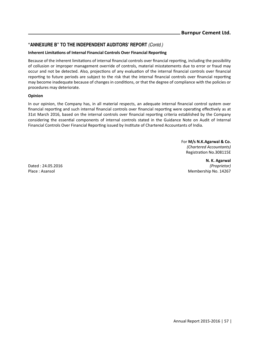## **"ANNEXURE B" TO THE INDEPENDENT AUDITORS' REPORT** *(Contd.)*

#### **Inherent Limitations of Internal Financial Controls Over Financial Reporting**

Because of the inherent limitations of internal financial controls over financial reporting, including the possibility of collusion or improper management override of controls, material misstatements due to error or fraud may occur and not be detected. Also, projections of any evaluation of the internal financial controls over financial reporting to future periods are subject to the risk that the internal financial controls over financial reporting may become inadequate because of changes in conditions, or that the degree of compliance with the policies or procedures may deteriorate.

#### **Opinion**

In our opinion, the Company has, in all material respects, an adequate internal financial control system over financial reporting and such internal financial controls over financial reporting were operating effectively as at 31st March 2016, based on the internal controls over financial reporting criteria established by the Company considering the essential components of internal controls stated in the Guidance Note on Audit of Internal Financial Controls Over Financial Reporting issued by Institute of Chartered Accountants of India.

> For **M/s N.K.Agarwal & Co.** *(Chartered Accountants)* RegistraƟon No.308115E

**N. K. Agarwal** Dated : 24.05.2016 *(Proprietor)*  Membership No. 14267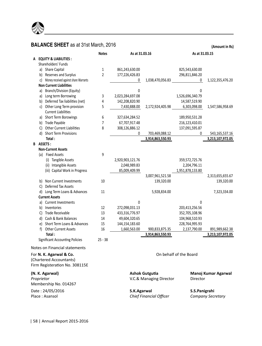

# **BALANCE SHEET** as at 31st March, 2016

**(Amount in Rs)**

|   |                                                                                      |                                | <b>Notes</b> | As at 31.03.16   |                                                  | As at 31.03.15         |                          |
|---|--------------------------------------------------------------------------------------|--------------------------------|--------------|------------------|--------------------------------------------------|------------------------|--------------------------|
| А | <b>EQUITY &amp; LIABILITIES:</b>                                                     |                                |              |                  |                                                  |                        |                          |
|   | Shareholders' Funds                                                                  |                                |              |                  |                                                  |                        |                          |
|   | a) Share Capital                                                                     |                                | 1            | 861,243,630.00   |                                                  | 825,543,630.00         |                          |
|   | b) Reserves and Surplus                                                              |                                | 2            | 177,226,426.83   |                                                  | 296,811,846.20         |                          |
|   | c) Money received against share Warrants                                             |                                |              | 0                | 1,038,470,056.83                                 | 0                      | 1,122,355,476.20         |
|   | <b>Non Current Liabilities</b>                                                       |                                |              |                  |                                                  |                        |                          |
|   | a) Branch/Division (Equity)                                                          |                                |              | 0                |                                                  | 0                      |                          |
|   | a) Long term Borrowing                                                               |                                | 3            | 2,023,284,697.08 |                                                  | 1,526,696,340.79       |                          |
|   | b) Deferred Tax liabilities (net)                                                    |                                | 4            | 142,208,820.90   |                                                  | 14,587,519.90          |                          |
|   | c) Other Long Term provision<br><b>Current Liabilities</b>                           |                                | 5            | 7,430,888.00     | 2,172,924,405.98                                 | 6,303,098.00           | 1,547,586,958.69         |
|   |                                                                                      |                                |              |                  |                                                  |                        |                          |
|   | a) Short Term Borowings                                                              |                                | 6<br>7       | 327,634,284.52   |                                                  | 189,950,531.28         |                          |
|   | b) Trade Payable                                                                     |                                | 8            | 67,707,917.48    |                                                  | 216,123,410.01         |                          |
|   | C) Other Current Liabilities<br>d) Short Term Provisions                             |                                |              | 308,126,886.12   |                                                  | 137,091,595.87         |                          |
|   | Total:                                                                               |                                |              | 0                | 703,469,088.12<br>3,914,863,550.93               | 0                      | 543,165,537.16           |
|   | B ASSETS:                                                                            |                                |              |                  |                                                  |                        | 3,213,107,972.05         |
|   | <b>Non-Current Assets</b>                                                            |                                |              |                  |                                                  |                        |                          |
|   | (a) Fixed Assets                                                                     |                                | 9            |                  |                                                  |                        |                          |
|   | (i) Tangible Assets                                                                  |                                |              | 2,920,903,121.76 |                                                  | 359,572,725.76         |                          |
|   | (ii) Intangible Assets                                                               |                                |              | 2,048,989.83     |                                                  | 2,204,796.11           |                          |
|   |                                                                                      | (iii) Capital Work in Progress |              | 85,009,409.99    |                                                  | 1,951,878,133.80       |                          |
|   |                                                                                      |                                |              |                  | 3,007,961,521.58                                 |                        | 2,313,655,655.67         |
|   | b) Non Current Investments                                                           |                                | 10           |                  | 139,320.00                                       |                        | 139,320.00               |
|   | C) Deferred Tax Assets                                                               |                                |              |                  |                                                  |                        |                          |
|   | d) Long Term Loans & Advances                                                        |                                | 11           |                  | 5,928,834.00                                     |                        | 7,323,334.00             |
|   | <b>Current Assets</b>                                                                |                                |              |                  |                                                  |                        |                          |
|   | a) Current Investments                                                               |                                |              | $\theta$         |                                                  | $\mathbf{0}$           |                          |
|   | b) Inventories                                                                       |                                | 12           | 272,098,031.13   |                                                  | 203,413,256.56         |                          |
|   | C) Trade Receivable                                                                  |                                | 13           | 433,316,776.97   |                                                  | 352,705,108.96         |                          |
|   | d) Cash & Bank Balances                                                              |                                | 14           | 49,604,320.65    |                                                  | 104,968,510.93         |                          |
|   | e) Short Term Loans & Advances                                                       |                                | 15           | 144,154,183.60   |                                                  | 228,764,995.93         |                          |
|   | f) Other Current Assets                                                              |                                | 16           | 1,660,563.00     | 900,833,875.35                                   | 2,137,790.00           | 891,989,662.38           |
|   | Total:                                                                               |                                |              |                  | 3,914,863,550.93                                 |                        | 3,213,107,972.05         |
|   | <b>Significant Accounting Policies</b>                                               |                                | $25 - 38$    |                  |                                                  |                        |                          |
|   | Notes on Financial statements                                                        |                                |              |                  |                                                  |                        |                          |
|   | For N. K. Agarwal & Co.<br>(Chartered Accountants)<br>Firm Registeration No. 308115E |                                |              |                  |                                                  | On behalf of the Board |                          |
|   | (N. K. Agarwal)<br>Proprietor<br>Membership No. 014267                               |                                |              |                  | <b>Ashok Gutgutia</b><br>V.C.& Managing Director | Director               | Manoj Kumar Agarwal      |
|   | Date: 24/05/2016<br>Place: Asansol                                                   |                                |              | S.K.Agarwal      | <b>Chief Financial Officer</b>                   | S.S.Panigrahi          | <b>Company Secretary</b> |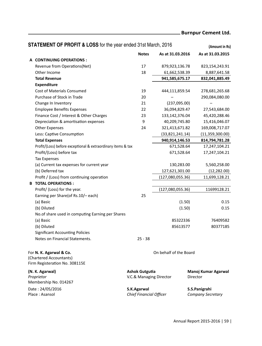# **Burnpur Cement Ltd.**

| <b>STATEMENT OF PROFIT &amp; LOSS</b> for the year ended 31st March, 2016 |                                                  |                        | (Amount in Rs)                     |
|---------------------------------------------------------------------------|--------------------------------------------------|------------------------|------------------------------------|
|                                                                           | <b>Notes</b>                                     | As at 31.03.2016       | As at 31.03.2015                   |
| A CONTINUING OPERATIONS:                                                  |                                                  |                        |                                    |
| Revenue from Operations (Net)                                             | 17                                               | 879,923,136.78         | 823,154,243.91                     |
| Other Income                                                              | 18                                               | 61,662,538.39          | 8,887,641.58                       |
| <b>Total Revenue</b>                                                      |                                                  | 941,585,675.17         | 832,041,885.49                     |
| <b>Expenditure</b>                                                        |                                                  |                        |                                    |
| <b>Cost of Materials Consumed</b>                                         | 19                                               | 444,111,859.54         | 278,681,265.68                     |
| Purchase of Stock in Trade                                                | 20                                               |                        | 290,084,080.00                     |
| Change In Inventory                                                       | 21                                               | (237,095.00)           |                                    |
| <b>Employee Benefits Expenses</b>                                         | 22                                               | 36,094,829.47          | 27,543,684.00                      |
| Finance Cost / Interest & Other Charges                                   | 23                                               | 133, 142, 376.04       | 45,420,288.46                      |
| Depreciation & amortisation expenses                                      | 9                                                | 40,209,745.80          | 15,416,046.07                      |
| <b>Other Expenses</b>                                                     | 24                                               | 321,413,671.82         | 169,008,717.07                     |
| Less: Captive Consumption                                                 |                                                  | (33,821,241.14)        | (11,359,300.00)                    |
| <b>Total Expenses</b>                                                     |                                                  | 940,914,146.53         | 814,794,781.28                     |
| Profit/(Loss) before exceptional & extraordinary items & tax              |                                                  | 671,528.64             | 17,247,104.21                      |
| Profit/(Loss) before tax                                                  |                                                  | 671,528.64             | 17,247,104.21                      |
| <b>Tax Expenses</b>                                                       |                                                  |                        |                                    |
| (a) Current tax expenses for current year                                 |                                                  | 130,283.00             | 5,560,258.00                       |
| (b) Deferred tax                                                          |                                                  | 127,621,301.00         | (12, 282.00)                       |
| Profit / (Loss) from continuing operation                                 |                                                  | (127,080,055.36)       | 11,699,128.21                      |
| <b>B TOTAL OPERATIONS:</b>                                                |                                                  |                        |                                    |
| Profit/ (Loss) for the year.                                              |                                                  | (127,080,055.36)       | 11699128.21                        |
| Earning per Share(of Rs.10/- each)                                        | 25                                               |                        |                                    |
| (a) Basic                                                                 |                                                  | (1.50)                 | 0.15                               |
| (b) Diluted                                                               |                                                  | (1.50)                 | 0.15                               |
| No. of share used in computing Earning per Shares                         |                                                  |                        |                                    |
| (a) Basic                                                                 |                                                  | 85322336               | 76409582                           |
| (b) Diluted                                                               |                                                  | 85613577               | 80377185                           |
| <b>Significant Accounting Policies</b>                                    |                                                  |                        |                                    |
| Notes on Financial Statements.                                            | $25 - 38$                                        |                        |                                    |
| For N. K. Agarwal & Co.                                                   |                                                  | On behalf of the Board |                                    |
| (Chartered Accountants)<br>Firm Registeration No. 308115E                 |                                                  |                        |                                    |
| (N. K. Agarwal)<br>Proprietor<br>Membership No. 014267                    | <b>Ashok Gutgutia</b><br>V.C.& Managing Director |                        | Manoj Kumar Agarwal<br>Director    |
| Date: 24/05/2016<br>Place: Asansol                                        | S.K.Agarwal<br>Chief Financial Officer           |                        | S.S.Panigrahi<br>Company Secretary |

Annual Report 2015-2016 | 59 |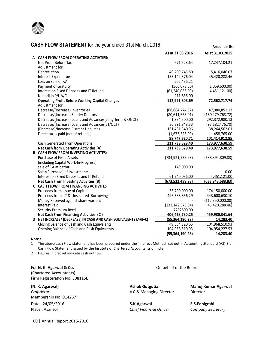

|   | <b>CASH FLOW STATEMENT</b> for the year ended 31st March, 2016 |                    | (Amount in Rs)     |
|---|----------------------------------------------------------------|--------------------|--------------------|
|   |                                                                | As at 31.03.2016   | As at 31.03.2015   |
|   | A CASH FLOW FROM OPERATING ACTIVTIES:                          |                    |                    |
|   | Net Profit Before Tax                                          | 671,528.64         | 17,247,104.21      |
|   | Adjustment for:                                                |                    |                    |
|   | Depreciation                                                   | 40,209,745.80      | 15,416,046.07      |
|   | Interest Expenditue                                            | 133,142,376.04     | 45,420,288.46      |
|   | Loss on sale of F.A                                            | 562,436.21         |                    |
|   | <b>Payment of Gratuity</b>                                     | (566,078.00)       | (1,069,600.00)     |
|   | Interest on Fixed Deposits and IT Refund                       | (61, 240, 036.00)  | (4,451,121.00)     |
|   | Net adj in P/L A/C                                             | 211,836.00         |                    |
|   | <b>Operating Profit Before Working Capital Changes</b>         | 112,991,808.69     | 72,562,717.74      |
|   | Adjustment for:                                                |                    |                    |
|   | Decrease/(Increase) Inventories                                | (68, 684, 774.57)  | 47,980,851.13      |
|   | Decrease/(Increase) Sundry Debtors                             | (80,611,668.01)    | (180, 479, 768.72) |
|   | Decrease/(Increase) Loans and Advances(Long Term & ONCT)       | 1,394,500.00       | 292,372,980.13     |
|   | Decrease/(Increase) Loans and Advances(ST/OCT)                 | 86,891,848.33      | (97, 182, 476.70)  |
|   | (Decrease)/Increase Current Liabilities                        | 161,431,340.96     | 38,264,562.01      |
|   | Direct taxes paid (net of refunds)                             | (1,673,526.00)     | 458,765.00         |
|   |                                                                | 98,747,720.71      | 101,414,912.85     |
|   | <b>Cash Generated From Operations</b>                          | 211,739,529.40     | 173,977,630.59     |
|   | Net Cash from Operating Activities (A)                         | 211,739,529.40     | 173,977,630.59     |
|   | <b>B CASH FLOW FROM INVESTING ACTIVITES:</b>                   |                    |                    |
|   | <b>Purchase of Fixed Assets</b>                                | (734, 921, 535.93) | (638, 394, 809.83) |
|   | (including Capital Work-In-Progress)                           |                    |                    |
|   | sale of F.A at patratu                                         | 149,000.00         |                    |
|   | Sale/(Purchase) of Investments                                 |                    | 0.00               |
|   | Interest on Fixed Deposits and IT Refund                       | 61,240,036.00      | 4,451,121.00       |
|   | Net Cash From Investing Activities (B)                         | (673,532,499.93)   | (633,943,688.83)   |
|   | <b>C CASH FLOW FROM FINANCING ACTIVITES</b>                    |                    |                    |
|   | Proceeds from Issue of Capital                                 | 35,700,000.00      | 174,150,000.00     |
|   | Proceeds from LT & Unsecured Borrowings                        | 496,588,356.29     | 443,600,630.10     |
|   | Money Received against share warrant                           |                    | (112, 350, 000.00) |
|   | <b>Interest Paid</b>                                           | (133, 142, 376.04) | (45, 420, 288.46)  |
|   | Security Premium Recd.                                         | 7282800.00         |                    |
|   | Net Cash From Financing Activities (C)                         | 406,428,780.25     | 459,980,341.64     |
| D | NET INCREASE/ (DECREASE) IN CASH AND CASH EQUIVALENTS (A+B+C)  | (55, 364, 190.28)  | 14,283.40          |
|   | Closing Balance of Cash and Cash Equivalents                   | 49,604,320.65      | 104,968,510.93     |
|   | Opening Balance of Cash and Cash Equivalents                   | 104,968,510.93     | 104,954,227.53     |
|   |                                                                | (55, 364, 190.28)  | 14,283.40          |

#### **Note :**

1 The above cash Flow statement has been prepared under the "Indirect Method" set out in Accounting Standard (AS)-3 on Cash Flow Statement issued by the Institute of Chartered Accountants of India.

2 Figures In bracket indicate cash outflow.

#### For **N. K. Agarwal & Co.** Co. **Co.** Combehalf of the Board

(Chartered Accountants) Firm Registeration No. 308115E

Membership No. 014267 Date : 24/05/2016 **S.K.Agarwal S.S.Panigrahi** Place : Asansol *Chief Financial Officer Company Secretary*

**(N. K. Agarwal) Ashok Gutgutia Manoj Kumar Agarwal**<br>**Proprietor Agarwal Proprietor Director Director Director Director Proprietor V.C.& Managing Director** 

| 60 | Annual Report 2015-2016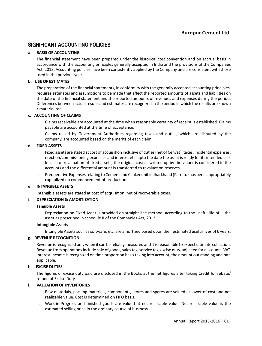## **SIGNIFICANT ACCOUNTING POLICIES**

### **a. BASIS OF ACCOUNTING**

The financial statement have been prepared under the historical cost convention and on accrual basis in accordance with the accounting principles generally accepted in India and the provisions of the Companies Act, 2013. Accounting policies have been consistently applied by the Company and are consistent with those used in the previous year.

#### **b. USE OF ESTIMATES**

The preparation of the financial statements, in conformity with the generally accepted accounting principles, requires estimates and assumptions to be made that affect the reported amounts of assets and liabilities on the date of the financial statement and the reported amounts of revenues and expenses during the period. Differences between actual results and estimates are recognized in the period in which the results are known / materialized.

#### **c. ACCOUNTING OF CLAIMS**

- i. Claims receivable are accounted at the time when reasonable certainty of receipt is established. Claims payable are accounted at the time of acceptance.
- ii. Claims raised by Government Authorities regarding taxes and duties, which are disputed by the company, are accounted based on the merits of each claim.

#### **d. FIXED ASSETS**

- i. Fixed assets are stated at cost of acquisition inclusive of duties (net of Cenvat), taxes, incidental expenses, erection/commissioning expenses and interest etc. upto the date the asset is ready for its intended use. In case of revaluation of fixed assets, the original cost as written up by the valuer is considered in the accounts and the differential amount is transferred to revaluation reserves
- ii. Preoperative Expenses relating to Cement and Clinker unit in Jharkhand (Patratu) has been appropriately capitalized on commencement of production.

#### **e. INTANGIBLE ASSETS**

Intangible assets are stated at cost of acquisition, net of recoverable taxes.

#### **f. DEPRECIATION & AMORTIZATION**

#### **Tangible Assets**

i. Depreciation on Fixed Asset is provided on straight line method, according to the useful life of the asset as prescribed in schedule II of the Companies Act, 2013.

#### **Intangible Assets**

ii Intangible Assets such as software, etc. are amortized based upon their estimated useful lives of 6 years.

#### **g. REVENUE RECOGNITION**

Revenue is recognized only when it can be reliably measured and it is reasonable to expect ultimate collection. Revenue from operaƟons include sale of goods, sales tax, service tax, excise duty, adjusted for discounts, VAT. Interest income is recognized on time proportion basis taking into account, the amount outstanding and rate applicable.

#### **h. EXCISE DUTIES**

The figures of excise duty paid are disclosed in the Books at the net figures after taking Credit for rebate/ refund of Excise Duty.

#### **i. VALUATION OF INVENTORIES**

- i. Raw materials, packing materials, components, stores and spares are valued at lower of cost and net realizable value. Cost is determined on FIFO basis.
- ii. Work-in-Progress and finished goods are valued at net realizable value. Net realizable value is the estimated selling price in the ordinary course of business.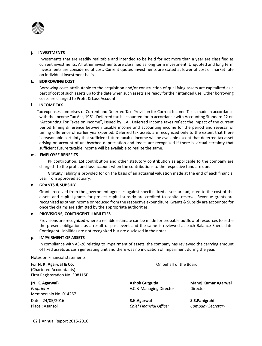

#### **j. INVESTMENTS**

 Investments that are readily realizable and intended to be held for not more than a year are classified as current investments. All other investments are classified as long term investment. Unquoted and long term investments are considered at cost. Current quoted investments are stated at lower of cost or market rate on individual investment basis.

#### **k. BORROWING COST**

Borrowing costs attributable to the acquisition and/or construction of qualifying assets are capitalized as a part of cost of such assets up to the date when such assets are ready for their intended use. Other borrowing costs are charged to Profit & Loss Account.

#### **l. INCOME TAX**

 Tax expenses comprises of Current and Deferred Tax. Provision for Current Income Tax is made in accordance with the Income Tax Act, 1961. Deferred tax is accounted for in accordance with Accounting Standard 22 on "Accounting For Taxes on Income", issued by ICAI. Deferred Income taxes reflect the impact of the current period timing difference between taxable income and accounting income for the period and reversal of timing difference of earlier years/period. Deferred tax assets are recognized only to the extent that there is reasonable certainty that sufficient future taxable income will be available except that deferred tax asset arising on account of unabsorbed depreciation and losses are recognized if there is virtual certainty that sufficient future taxable income will be available to realize the same.

#### **m. EMPLOYEE BENEFITS**

PF contribution, ESI contribution and other statutory contribution as applicable to the company are charged to the profit and loss account when the contributions to the respective fund are due.

ii. Gratuity liability is provided for on the basis of an actuarial valuation made at the end of each financial year from approved actuary.

#### **n. GRANTS & SUBSIDY**

 Grants received from the government agencies against specific fixed assets are adjusted to the cost of the assets and capital grants for project capital subsidy are credited to capital reserve. Revenue grants are recognized as other income or reduced from the respective expenditure. Grants & Subsidy are accounted for once the claims are admitted by the appropriate authorities.

#### **o. PROVISIONS, CONTINGENT LIABILITIES**

Provisions are recognized where a reliable estimate can be made for probable outflow of resources to settle the present obligations as a result of past event and the same is reviewed at each Balance Sheet date. Contingent Liabilities are not recognized but are disclosed in the notes.

#### **p. IMPAIRMENT OF ASSETS**

In compliance with AS-28 relating to impairment of assets, the company has reviewed the carrying amount of fixed assets as cash generating unit and there was no indication of impairment during the year.

Notes on Financial statements

For **N. K. Agarwal & Co.** On behalf of the Board (Chartered Accountants) Firm Registeration No. 308115E

Membership No. 014267 Date : 24/05/2016 **S.K.Agarwal S.S.Panigrahi**

*Proprietor* V.C.& Managing Director Director

Place : Asansol *Chief Financial Officer Company Secretary*

**(N. K. Agarwal) Ashok GutguƟa Manoj Kumar Agarwal**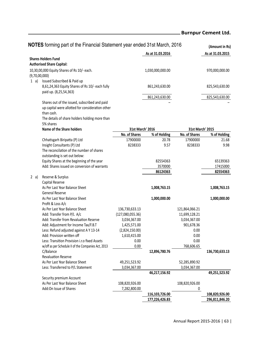# **Burnpur Cement Ltd.**

|               | NOTES forming part of the Financial Statement year ended 31st March, 2016                                       |                  |                  |                  | (Amount in Rs)   |
|---------------|-----------------------------------------------------------------------------------------------------------------|------------------|------------------|------------------|------------------|
|               |                                                                                                                 |                  | As at 31.03.2016 |                  | As at 31.03.2015 |
|               | <b>Shares Holders Fund</b>                                                                                      |                  |                  |                  |                  |
|               | <b>Authorised Share Capital:</b>                                                                                |                  |                  |                  |                  |
| (9,70,00,000) | 10,30,00,000 Equity Shares of Rs 10/- each.                                                                     |                  | 1,030,000,000.00 |                  | 970,000,000.00   |
| 1 a)          | Issued Subscribed & Paid up<br>8,61,24,363 Equity Shares of Rs 10/- each fully                                  |                  | 861,243,630.00   |                  | 825,543,630.00   |
|               | paid up. (8,25,54,363)                                                                                          |                  | 861,243,630.00   |                  | 825,543,630.00   |
|               | Shares out of the issued, subscribed and paid<br>up capital were allotted for consideration other<br>than cash. |                  |                  |                  |                  |
|               | The details of share holders holding more than<br>5% shares                                                     |                  |                  |                  |                  |
|               | <b>Name of the Share holders</b>                                                                                | 31st March' 2016 |                  | 31st March' 2015 |                  |
|               |                                                                                                                 | No. of Shares    | % of Holding     | No. of Shares    | % of Holding     |
|               | Chhatisgarh Biripatta (P) Ltd                                                                                   | 17900000         | 20.78            | 17900000         | 21.68            |
|               | Insight Consultants (P) Ltd                                                                                     | 8238333          | 9.57             | 8238333          | 9.98             |
|               | The reconcilation of the number of shares<br>outstanding is set out below:                                      |                  |                  |                  |                  |
|               | Equity Shares at the beginning of the year                                                                      |                  | 82554363         |                  | 65139363         |
|               | Add: Shares issued on conversion of warrants                                                                    |                  | 3570000          |                  | 17415000         |
|               |                                                                                                                 |                  | 86124363         |                  | 82554363         |
| 2 a)          | Reserve & Surplus                                                                                               |                  |                  |                  |                  |
|               | Capital Reserve                                                                                                 |                  |                  |                  |                  |
|               | As Per Last Year Balance Sheet                                                                                  |                  | 1,008,763.15     |                  | 1,008,763.15     |
|               | General Reserve                                                                                                 |                  |                  |                  |                  |
|               | As Per Last Year Balance Sheet<br>Profit & Loss A/c                                                             |                  | 1,000,000.00     |                  | 1,000,000.00     |
|               | As Per Last Year Balance Sheet                                                                                  | 136,730,633.13   |                  | 121,864,066.21   |                  |
|               | Add: Transfer from P/L A/c                                                                                      | (127,080,055.36) |                  | 11,699,128.21    |                  |
|               | Add: Transfer from Revaluation Reserve                                                                          | 3,034,367.00     |                  | 3,034,367.00     |                  |
|               | Add: Adjustment for Income Tax/F.B.T                                                                            | 1,425,571.00     |                  | 901,678.36       |                  |
|               | Less: Refund adjusted against A Y 13-14                                                                         | (2,824,150.00)   |                  | 0.00             |                  |
|               | Add: Provision written off                                                                                      | 1,610,415.00     |                  | 0.00             |                  |
|               | Less: Transition Provision i.r.o fixed Assets                                                                   | 0.00             |                  | 0.00             |                  |
|               | w/off as per Schedule II of the Companies Act, 2013                                                             | 0.00             |                  | 768,606.65       |                  |
|               | C/Balance<br><b>Revaluation Reserve</b>                                                                         |                  | 12,896,780.76    |                  | 136,730,633.13   |
|               | As Per Last Year Balance Sheet                                                                                  | 49,251,523.92    |                  | 52,285,890.92    |                  |
|               | Less: Transferred to P/L Statement                                                                              | 3,034,367.00     |                  | 3,034,367.00     |                  |
|               |                                                                                                                 |                  | 46,217,156.92    |                  | 49,251,523.92    |
|               | Security premium Account                                                                                        |                  |                  |                  |                  |
|               | As Per Last Year Balance Sheet                                                                                  | 108,820,926.00   |                  | 108,820,926.00   |                  |
|               | Add:On Issue of Shares                                                                                          | 7,282,800.00     |                  | 0                |                  |
|               |                                                                                                                 |                  | 116,103,726.00   |                  | 108,820,926.00   |
|               |                                                                                                                 |                  | 177,226,426.83   |                  | 296,811,846.20   |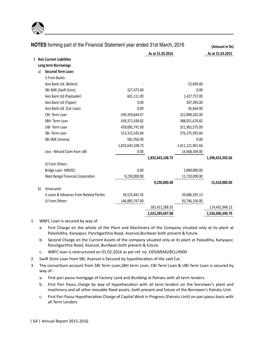

|   |    | NOTES forming part of the Financial Statement year ended 31st March, 2016 |                  |                  |                  | (Amount in Rs)   |
|---|----|---------------------------------------------------------------------------|------------------|------------------|------------------|------------------|
|   |    |                                                                           |                  | As at 31.03.2016 |                  | As at 31.03.2015 |
| 3 |    | <b>Non Current Liabilities</b>                                            |                  |                  |                  |                  |
|   |    | Long term Borrowings                                                      |                  |                  |                  |                  |
|   | a) | <b>Secured Term Loan:</b>                                                 |                  |                  |                  |                  |
|   |    | i) From Banks:                                                            |                  |                  |                  |                  |
|   |    | Axis Bank Ltd. (Bolero)                                                   |                  |                  | 52,699.00        |                  |
|   |    | SBI-SME (Swift Dzire)                                                     | 327,472.00       |                  | 0.00             |                  |
|   |    | Axis Bank Ltd (Payloader)                                                 | 601,111.00       |                  | 1,427,757.00     |                  |
|   |    | Axis Bank Ltd (Tipper)                                                    | 0.00             |                  | 307,395.00       |                  |
|   |    | Axis Bank Ltd (Car Loan)                                                  | 0.00             |                  | 45,664.00        |                  |
|   |    | CBI-Term Loan                                                             | 439,359,644.07   |                  | 322,898,202.00   |                  |
|   |    | SBH-Term Loan                                                             | 439,371,638.82   |                  | 388,051,676.82   |                  |
|   |    | UBI-Term Loan                                                             | 439,085,741.00   |                  | 321,962,575.00   |                  |
|   |    | SBI-Term Loan                                                             | 513,315,545.84   |                  | 376,375,992.84   |                  |
|   |    | SBI SME (Innova)                                                          | 581,956.00       |                  | 0.00             |                  |
|   |    |                                                                           | 1,832,643,108.73 |                  | 1,411,121,961.66 |                  |
|   |    | Less: Refund Claim from UBI                                               | 0.00             |                  | 14,468,569.00    |                  |
|   |    |                                                                           |                  | 1,832,643,108.73 |                  | 1,396,653,392.66 |
|   |    | ii) From Others:                                                          |                  |                  |                  |                  |
|   |    | Bridge Loan - WBIDCL                                                      | 0.00             |                  | 3,890,000.00     |                  |
|   |    | West Bengal Financial Corporation                                         | 9,230,000.00     |                  | 11,720,000.00    |                  |
|   |    |                                                                           |                  | 9,230,000.00     |                  | 15,610,000.00    |
|   | b) | Unsecured:                                                                |                  |                  |                  |                  |
|   |    | i) Loans & Advances From Related Parties                                  | 34,525,841.35    |                  | 20,686,592.13    |                  |
|   |    | ii) From Others                                                           | 146,885,747.00   |                  | 93,746,356.00    |                  |
|   |    |                                                                           |                  | 181,411,588.35   |                  | 114,432,948.13   |
|   |    |                                                                           |                  | 2,023,284,697.08 |                  | 1,526,696,340.79 |

#### 1 WBFC Loan is secured by way of

- a. First Charge on the whole of the Plant and Machinery of the Company situated only at its plant at Palashdiha, Kanyapur, Panchgachhia Road, Asansol,Burdwan both present & future.
- b. Second Charge on the Current Assets of the company situated only at its plant at Palasdiha, Kanyapur, Panchgachhia Road, Asansol, Burdwan both present & future.
- c. WBFC loan is restructured on 01.02.2016 as per ref. no. ODGM(M)/BCL/4900
- 2 Swift Dzire Loan from SBI, Asansol is Secured by hypothecation of the said Car.
- 3 The consortium account from SBI Term Loan,SBH term Loan, CBI Term Loan & UBI Term Loan is secured by way of:
	- a. First pari passu mortgage of Factory Land and Biuilding at Patratu with all term lenders.
	- b. First Pari Passu charge by way of hypothecation with all term lenders on the borrower's plant and machinery and all other movable fixed assets, both present and future of the Borrower's Patratu Unit.
	- c. First Pari Passu Hypothecation Charge of Capital Work in Progress (Patratu Unit) on pari passu basis with all Term Lenders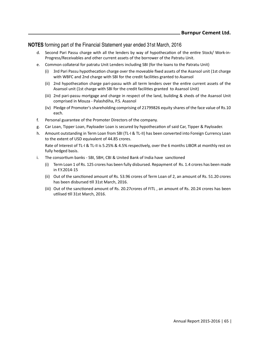## **NOTES** forming part of the Financial Statement year ended 31st March, 2016

- d. Second Pari Passu charge with all the lenders by way of hypothecation of the entire Stock/ Work-in-Progress/Receivables and other current assets of the borrower of the Patratu Unit.
- e. Common collateral for patratu Unit Lenders including SBI (for the loans to the Patratu Unit)
	- (i) 3rd Pari Passu hypothecation charge over the moveable fixed assets of the Asansol unit (1st charge with WBFC and 2nd charge with SBI for the credit facilities granted to Asansol
	- (ii) 2nd hypothecation charge pari-passu with all term lenders over the entire current assets of the Asansol unit (1st charge with SBI for the credit facilities granted to Asansol Unit)
	- (iii) 2nd pari-passu mortgage and charge in respect of the land, building & sheds of the Asansol Unit comprised in Mouza - Palashdiha, P.S. Asasnol
	- (iv) Pledge of Promoter's shareholding comprising of 21799826 equity shares of the face value of Rs.10 each.
- f. Personal guarantee of the Promoter Directors of the company.
- g. Car Loan, Tipper Loan, Payloader Loan is secured by hypothecation of said Car, Tipper & Payloader.
- h. Amount outstanding in Term Loan from SBI (TL-I & TL-II) has been converted into Foreign Currency Loan to the extent of USD equivalent of 44.85 crores.

Rate of Interest of TL-I & TL-II is 5.25% & 4.5% respectively, over the 6 months LIBOR at monthly rest on fully hedged basis.

- i. The consortium banks SBI, SBH, CBI & United Bank of India have sanctioned
	- (i) Term Loan 1 of Rs. 125 crores has been fully disbursed. Repayment of Rs. 1.4 crores has been made in F.Y.2014-15
	- (ii) Out of the sanctioned amount of Rs. 53.96 crores of Term Loan of 2, an amount of Rs. 51.20 crores has been disbursed till 31st March, 2016.
	- (iii) Out of the sanctioned amount of Rs. 20.27 crores of FITL, an amount of Rs. 20.24 crores has been utilised till 31st March, 2016.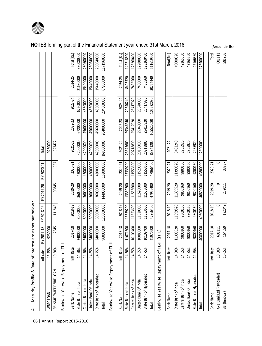|                                              | Intt rate  | FY 2017-18 | FY 2018-19 | FY 2019-20 | FY 2020-21 | Total     |           |           |          |             |
|----------------------------------------------|------------|------------|------------|------------|------------|-----------|-----------|-----------|----------|-------------|
| WBFC LOAN                                    | 13.75%     | 9230000    |            |            |            | 9230000   |           |           |          |             |
| SBI-SME SWIFT DZIRE LOA                      | 10.60%     | 112845     | 111845     | 100845     | 1937       | 327472    |           |           |          |             |
| Bankwise Yearwise Repayment of TL-           |            |            |            |            |            |           |           |           |          |             |
| <b>Bank Name</b>                             | Intt. Rate | 2017-18    | 2018-19    | 2019-20    | 2020-21    | 2021-22   | 2022-23   | 2023-24   | 2024-25  | Total (Rs.) |
| State Bank of India                          | 14.50%     | 24000000   | 30000000   | 36000000   | 42000000   | 42000000  | 67200000  | 67200000  | 21680000 | 330080000   |
| Central Bank of India                        | 14.70%     | 24000000   | 30000000   | 36000000   | 42000000   | 42000000  | 45600000  | 45600000  | 15400000 | 280600000   |
| United Bank Of India                         | 14.85%     | 24000000   | 30000000   | 36000000   | 42000000   | 42000000  | 45600000  | 45600000  | 15440000 | 280640000   |
| State Bank of Hyderabad                      | 14.75%     | 24000000   | 30000000   | 36000000   | 42000000   | 42000000  | 45600000  | 45600000  | 15440000 | 280640000   |
| Total                                        |            | 96000000   | 120000000  | 144000000  | 168000000  | 168000000 | 204000000 | 204000000 | 67960000 | 1171960000  |
| Bankwise Yearwise Repayment of TL-I          |            |            |            |            |            |           |           |           |          |             |
| <b>Bank Name</b>                             | Intt. Rate | 2017-18    | 2018-19    | 2019-20    | 2020-21    | 2021-22   | 2022-23   | 2023-24   | 2024-25  | Total (Rs.) |
| State Bank of India                          | 14.50%     | 11671800   | 13339200   | 13339200   | 13339200   | 23343600  | 29346240  | 29346240  | 8493320  | 142218800   |
| Central Bank of India                        | 14.65%     | 10109400   | 11553600   | 11553600   | 11553600   | 20218800  | 25417920  | 25417920  | 7435560  | 123260400   |
| United Bank Of India                         | 14.85%     | 10080000   | 11520000   | 11520000   | 11520000   | 20160000  | 25340000  | 25340000  | 7400000  | 122880000   |
| State Bank of Hyderabad                      | 14.75%     | 10109400   | 11553600   | 11553600   | 11553600   | 20218800  | 25417920  | 25417920  | 7435560  | 123260400   |
| Total                                        |            | 41970600   | 47966400   | 47966400   | 47966400   | 83941200  | 105522080 | 105522080 | 30764440 | 511619600   |
| Bankwise Yearwise Repayment of TL-III (FITL) |            |            |            |            |            |           |           |           |          |             |
| <b>Bank Name</b>                             | Intt. Rate | 2017-18    | 2018-19    | 2019-20    | 2020-21    | 2021-22   |           |           |          | Total(Rs.)  |
| State Bank of India                          | 14.50%     | 11399520   | 11399520   | 11399520   | 11399520   | 3402240   |           |           |          | 49000320    |
| Central Bank of India                        | 14.65%     | 9800160    | 9800160    | 9800160    | 9800160    | 2965920   |           |           |          | 42166560    |
| United Bank Of India                         | 14.85%     | 9800160    | 9800160    | 9800160    | 9800160    | 2965920   |           |           |          | 42166560    |
| State Bank of Hyderabad                      | 14.75%     | 9800160    | 9800160    | 9800160    | 9800160    | 2965920   |           |           |          | 42166560    |
| Total                                        |            | 40800000   | 40800000   | 40800000   | 40800000   | 12300000  |           |           |          | 175500000   |
| <b>Bank Name</b>                             | Intt. Rate | 2017-18    | 2018-19    | 2019-20    | 2020-21    |           |           |           |          | Total       |
| Axis Bank Ltd (Payloader)                    | 10.50%     | 601111     | 0          | $\circ$    | $\circ$    |           |           |           |          | 601111      |
| SBI (Innova                                  | 10.05%     | 164059     | 182049     | 202011     | 33837      |           |           |           |          | 581956      |

**NOTES** forming part of the Financial Statement year ended 31st March, 2016 (Amount in Rs)

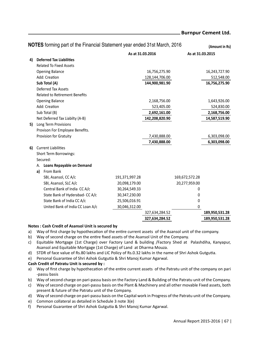|    |    | NOTES forming part of the Financial Statement year ended 31st March, 2016 |                |                  |                  | (Amount in Rs) |
|----|----|---------------------------------------------------------------------------|----------------|------------------|------------------|----------------|
|    |    |                                                                           |                | As at 31.03.2016 | As at 31.03.2015 |                |
| 4) |    | <b>Deferred Tax Liabilities</b>                                           |                |                  |                  |                |
|    |    | <b>Related To Fixed Assets</b>                                            |                |                  |                  |                |
|    |    | <b>Opening Balance</b>                                                    |                | 16,756,275.90    |                  | 16,243,727.90  |
|    |    | Add: Creation                                                             |                | 128,144,706.00   |                  | 512,548.00     |
|    |    | Sub Total (A)                                                             |                | 144,900,981.90   |                  | 16,756,275.90  |
|    |    | <b>Deferred Tax Assets</b>                                                |                |                  |                  |                |
|    |    | <b>Related to Retirement Benefits</b>                                     |                |                  |                  |                |
|    |    | <b>Opening Balance</b>                                                    |                | 2,168,756.00     |                  | 1,643,926.00   |
|    |    | Add: Creation                                                             |                | 523,405.00       |                  | 524,830.00     |
|    |    | Sub Total (B)                                                             |                | 2,692,161.00     |                  | 2,168,756.00   |
|    |    | Net Deferred Tax Liabilty (A-B)                                           |                | 142,208,820.90   |                  | 14,587,519.90  |
| 5) |    | Long Term Provisions                                                      |                |                  |                  |                |
|    |    | Provison For Employee Benefits.                                           |                |                  |                  |                |
|    |    | Provision for Gratuity                                                    |                | 7,430,888.00     |                  | 6,303,098.00   |
|    |    |                                                                           |                | 7,430,888.00     |                  | 6,303,098.00   |
| 6) |    | <b>Current Liabilities</b>                                                |                |                  |                  |                |
|    |    | Short Term Borrowings:                                                    |                |                  |                  |                |
|    |    | Secured:                                                                  |                |                  |                  |                |
|    |    | A. Loans Repayable on Demand                                              |                |                  |                  |                |
|    | a) | From Bank                                                                 |                |                  |                  |                |
|    |    | SBI, Asansol, CC A/c                                                      | 191,371,997.28 |                  | 169,672,572.28   |                |
|    |    | SBI, Asansol, SLC A/c                                                     | 20,098,179.00  |                  | 20,277,959.00    |                |
|    |    | Central Bank of India CC A/c                                              | 30,264,549.33  |                  | 0                |                |
|    |    | State Bank of Hyderabad- CC A/c                                           | 30,347,230.00  |                  | 0                |                |
|    |    | State Bank of India CC A/c                                                | 25,506,016.91  |                  | 0                |                |
|    |    | United Bank of India CC Loan A/c                                          | 30,046,312.00  |                  | $\mathbf 0$      |                |
|    |    |                                                                           |                | 327,634,284.52   |                  | 189,950,531.28 |
|    |    |                                                                           |                | 327,634,284.52   |                  | 189,950,531.28 |

## **Notes : Cash Credit of Asansol Unit is secured by**

- a) Way of first charge by hypothecation of the entire current assets of the Asansol unit of the company.
- b) Way of second charge on the entire fixed assets of the Asansol Unit of the Company.
- c) Equitable Mortgage (1st Charge) over Factory Land & building /Factory Shed at Palashdiha, Kanyapur, Asansol and Equitable Mortgage (1st Charge) of Land at Dharma Mouza.
- d) STDR of face value of Rs.80 lakhs and LIC Policy of Rs.0.32 lakhs in the name of Shri Ashok Gutgutia.
- e) Personal Guarantee of Shri Ashok Gutgutia & Shri Manoj Kumar Agarwal.

#### **Cash Credit of Patratu Unit is secured by :**

- a) Way of first charge by hypothecation of the entire current assets of the Patratu unit of the company on pari -passu basis
- b) Way of second charge on pari-passu basis on the Factory Land & Building of the Patratu unit of the Company.
- c) Way of second charge on pari-passu basis on the Plant & Machinery and all other movable Fixed assets, both present & future of the Patratu unit of the Company.
- d) Way of second charge on pari-passu basis on the Capital work in Progress of the Patratu unit of the Company.
- e) Common collateral as detailed in Schedule 3 note 3(e)
- f) Personal Guarantee of Shri Ashok Gutgutia & Shri Manoj Kumar Agarwal.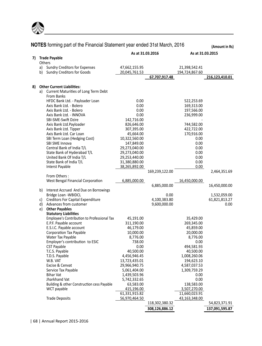

|    |    |                                             | As at 31.03.2016 |                | As at 31.03.2015 |                |
|----|----|---------------------------------------------|------------------|----------------|------------------|----------------|
|    |    | 7) Trade Payable                            |                  |                |                  |                |
|    |    | Others                                      |                  |                |                  |                |
|    |    | a) Sundry Creditors for Expenses            | 47,662,155.95    |                | 21,398,542.41    |                |
|    |    | b) Sundry Creditors for Goods               | 20,045,761.53    |                | 194,724,867.60   |                |
|    |    |                                             |                  | 67,707,917.48  |                  | 216,123,410.01 |
|    |    |                                             |                  |                |                  |                |
| 8) |    | <b>Other Current Liabilities:</b>           |                  |                |                  |                |
|    |    | a) Current Maturities of Long Term Debt     |                  |                |                  |                |
|    |    | <b>From Banks</b>                           |                  |                |                  |                |
|    |    | HFDC Bank Ltd. - Payloader Loan             | 0.00             |                | 522,253.69       |                |
|    |    | Axis Bank Ltd. - Bolero                     | 0.00             |                | 169,313.00       |                |
|    |    | Axis Bank Ltd. - Bolero                     | 0.00             |                | 197,566.00       |                |
|    |    | Axis Bank Ltd. - INNOVA                     | 0.00             |                | 236,999.00       |                |
|    |    | SBI-SME-Swift Dzire                         | 142,716.00       |                |                  |                |
|    |    | Axis Bank Ltd.Payloader                     | 826,646.00       |                | 744,582.00       |                |
|    |    | Axis Bank Ltd. Tipper                       | 307,395.00       |                | 422,722.00       |                |
|    |    | Axis Bank Ltd. Car Loan                     | 45,664.00        |                | 170,916.00       |                |
|    |    | SBI Term Loan (Hedging Cost)                | 10,322,560.00    |                | 0.00             |                |
|    |    | SBI SME Innova                              | 147,849.00       |                | 0.00             |                |
|    |    | Central Bank of India T/L                   | 29,273,040.00    |                | 0.00             |                |
|    |    | State Bank of Hyderabad T/L                 | 29,273,040.00    |                | 0.00             |                |
|    |    | United Bank Of India T/L                    | 29,253,440.00    |                | 0.00             |                |
|    |    | State Bank of India T/L                     | 31,380,880.00    |                | 0.00             |                |
|    |    | Interst Payable                             | 38,265,892.00    |                | 0.00             |                |
|    |    |                                             |                  | 169,239,122.00 |                  | 2,464,351.69   |
|    |    | From Others:                                |                  |                |                  |                |
|    |    | West Bengal Financial Corporation           | 6,885,000.00     |                | 16,450,000.00    |                |
|    |    |                                             |                  | 6,885,000.00   |                  | 16,450,000.00  |
|    | b) | Interest Accrued And Due on Borrowings      |                  |                |                  |                |
|    |    | Bridge Loan - WBIDCL                        |                  | 0.00           |                  | 1,532,059.00   |
|    | C) | <b>Creditors For Capital Expenditure</b>    |                  | 4,100,383.80   |                  | 61,821,813.27  |
|    | d) | Advances from customer                      |                  | 9,600,000.00   |                  | 0.00           |
|    | e) | <b>Other Payables</b>                       |                  |                |                  |                |
|    |    | <b>Statutory Liabilities</b>                |                  |                |                  |                |
|    |    | Employee's Contribution to Professional Tax | 45,191.00        |                | 35,429.00        |                |
|    |    | E.P.F. Payable account                      | 311,190.00       |                | 269,345.00       |                |
|    |    | E.S.I.C. Payable account                    | 46,179.00        |                | 45,859.00        |                |
|    |    | Corporation Tax Payable                     | 10,000.00        |                | 20,000.00        |                |
|    |    | Water Tax Payable                           | 8,776.00         |                | 8,776.00         |                |
|    |    | Employer's contribution to ESIC             | 738.00           |                | 0.00             |                |
|    |    | <b>CST Payable</b>                          | 0.00             |                | 494,581.93       |                |
|    |    | T.C.S. Payable                              | 40,500.00        |                | 40,500.00        |                |
|    |    | T.D.S. Payable                              | 4,456,946.45     |                | 1,008,260.06     |                |
|    |    | W.B. VAT                                    | 13,723,435.01    |                | 194,623.10       |                |
|    |    | Excise & Cenvat                             | 29,966,940.75    |                | 4,587,037.53     |                |
|    |    | Service Tax Payable                         | 5,061,404.00     |                | 1,309,759.29     |                |
|    |    | <b>Bihar Vat</b>                            | 1,439,503.96     |                | 0.00             |                |
|    |    | Jharkhand Vat                               | 5,742,332.65     |                | 0.00             |                |
|    |    | Building & other Construction cess Payable  | 63,583.00        |                | 138,583.00       |                |
|    |    | WCT payable                                 | 415,196.00       |                | 3,507,270.00     |                |
|    |    |                                             | 61,331,915.82    |                | 11,660,023.91    |                |
|    |    | <b>Trade Deposits</b>                       | 56,970,464.50    |                | 43,163,348.00    |                |
|    |    |                                             |                  | 118,302,380.32 |                  | 54,823,371.91  |
|    |    |                                             |                  | 308,126,886.12 |                  | 137,091,595.87 |
|    |    |                                             |                  |                |                  |                |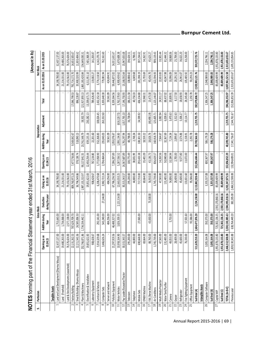|                     | NOTES forming pa                            | rt of the Financial Statement year ended 31st March, 2016 |                         |                                 |                                   |                           |                         |               |                |                                                  | (Amount in Rs)                 |
|---------------------|---------------------------------------------|-----------------------------------------------------------|-------------------------|---------------------------------|-----------------------------------|---------------------------|-------------------------|---------------|----------------|--------------------------------------------------|--------------------------------|
|                     | Particulars                                 |                                                           | Gross Block             |                                 |                                   |                           | Depreciation            |               |                | Net Block                                        |                                |
|                     |                                             | Opening as on<br>01.04.15                                 | Addition during<br>year | during the year<br>Deduction    | Closing as on<br>31.03.16         | Opening as on<br>01.04.15 | Addition during<br>year | Adjustment    | Total          | As on 31.03.2016                                 | As on 31.03.2015               |
|                     | <b>Tangible Assets</b>                      |                                                           |                         |                                 |                                   |                           |                         |               |                |                                                  |                                |
|                     | (Dharma Mouza)<br>Land and Land Development | 32,437,137.00                                             | 1,753,643.00            |                                 | 34,190,780.00                     |                           |                         |               |                | 34,190,780.00                                    | 32,437,137.00                  |
|                     | Land (Freehold)                             | 19,480,263.00                                             | 1,734,068.00            |                                 | 21,214,331.00                     |                           |                         |               |                | 21,214,331.00                                    | 19,480,263.00                  |
|                     | easehold)<br>Land & Site Developments (L    | 76,576,424.00                                             | 2,577,138.00            |                                 | 79,153,562.00                     |                           |                         |               |                | 79,153,562.00                                    | 76,576,424.00                  |
|                     | Factory Building                            | 22,131,262.53                                             | 787,629,709.70          |                                 | 809,760,972.23                    | 1,477,756.86              | 9,569,042.67            |               | 17,046,799.53  | 792,714,172.70                                   | 14,653,505.67                  |
|                     | Shed & Building-Dharma Mouza                | 12,211,543.36                                             | 24,585,006.50           |                                 | 36,796,549.86                     | 378,138.74                | 518,090.13              |               | 896,228.87     | 35,900,320.99                                    | 11,833,404.62                  |
|                     | Plant & Machinery                           | 252,766,871.86                                            | 1,734,334,442.11        |                                 | 1,987,101,313.97                  | 98,117,841.55             | 23,761,548.79           | 38,502.79     | 121,917,893.13 | 865,183,420.84                                   | 154,649,030.31                 |
|                     | Electrification & Installation              | 19,851,622.83                                             |                         |                                 | 19,851,622.83                     | 12,450,254.44             | 659,135.16              | 230,282.13    | 13,339,671.73  | 6,511,951.10                                     | 7,401,368.39                   |
|                     | Laboratry Equipmen                          | 908,428.67                                                |                         |                                 | 908,428.67                        | 767,224.80                | 22,201.60               |               | 789,426.40     | 119,002.27                                       | 141,203.87                     |
|                     | Furniture & Fixtures                        | 5,914,329.68                                              | 292,141.00              |                                 | 6,206,470.68                      | 1,772,058.90              | 552,268.83              | 108,024.45    | 2,432,352.18   | 3,774,118.50                                     | 4,142,270.78                   |
| ∞                   | Computer Sets                               | 3,466,626.24                                              | 543,240.00              | 27,144.00                       | 3,982,722.24                      | 2,704,464.64              | 235,843.03              | 263,332.63    | 3,203,640.30   | 779,081.94                                       | 762,161.60                     |
|                     | Server and network                          |                                                           | 484,256.00              |                                 | 484,256.00                        |                           | 59,561.09               |               | 59,561.09      | 424,694.91                                       |                                |
| $\mathfrak{a}$      | Pollution Equipment                         | 21,297,919.56                                             | 46,488,317.02           |                                 | 67,786,236.58                     | 7,286,287.89              | 1,053,076.67            |               | 8,339,364.56   | 59,446,872.02                                    | 14,011,631.67                  |
| $\Xi$               | Motor Vehicles                              | 10,958,164.90                                             | 3,826,359.35            | 2,121,514.00                    | 12,663,010.25                     | 5,287,556.52              | 1,093,134.83            | (618, 120.72) | 5,762,570.63   | 6,900,439.62                                     | 5,670,608.38                   |
| $\mathfrak{u}$      | Pay Loader/Excavator/Tractor                | 30,315,343.57                                             |                         |                                 | 30,315,343.57                     | 14,367,687.89             | 1,761,297.94            | 1,017,765.10  | 17,146,750.93  | 13,168,592.64                                    | 15,947,655.68                  |
| 13                  | Television                                  | 295,200.00                                                |                         |                                 | 295,200.00                        | 100,775.49                | 48,798.05               | 36,738.04     | 186, 311.58    | 108,888.42                                       | 194,424.51                     |
| $\sharp$            | Telephone                                   | 44,800.00                                                 |                         |                                 | 44,800.00                         | 38,001.99                 | 2,748.34                |               | 40,750.33      | 4,049.68                                         | 6,798.01                       |
| $\overline{15}$     | Mobile Sets                                 | 590,668.00                                                | 27,065.00               |                                 | 717,733.00                        | 293,433.38                | 108,301.50              | 34,599.92     | 436,334.80     | 281,398.19                                       | 397,234.62                     |
| $\frac{16}{2}$      | EPABX Machine                               | 69,664.00                                                 |                         |                                 | 69,664.00                         | 35,401.09                 | 18,559.22               |               | 53,960.31      | 15,703.69                                        | 34,262.91                      |
| IJ                  | FAX /Xerox Machine                          | 88,760.00                                                 | 43,650.00               | 75,500.00                       | 56,910.00                         | 43,136.73                 | 18,826.76               | (48, 490.19)  | 13,473.30      | 43,436.70                                        | 45,623.27                      |
| $\mathfrak{A}$      | Air Conditions                              | 1,745,739.00                                              |                         |                                 | 1,745,739.00                      | 836,619.57                | 160,918.79              | 125,605.71    | 1,123,144.07   | 622,594.93                                       | 909,119.43                     |
| 19                  | Multi Media Projector                       | 47,565.00                                                 |                         |                                 | 47,565.00                         | 14,263.56                 | 7,564.67                | 3,082.94      | 24,911.17      | 22,653.83                                        | 33,301.44                      |
| $\approx$           | Water Tank/Purifier                         | 131,485.00                                                |                         |                                 | 131,485.00                        | 50,040.68                 | 32,367.69               | 6,028.65      | 88,437.02      | 43,047.98                                        | 81,444.32                      |
| 21                  | Camera                                      | 49,053.00                                                 | 5,753.00                |                                 | 54,806.00                         | 10,184.94                 | 7,154.34                | 3,470.63      | 20,809.91      | 33,996.09                                        | 38,868.06                      |
| 22                  | Geyser                                      | 28,409.00                                                 |                         |                                 | 28,409.00                         | 2,705.00                  | 2,099.87                | 3,312.63      | 8,117.50       | 20,291.50                                        | 25,704.00                      |
| 33                  | Refrigerator                                | 45,600.00                                                 |                         |                                 | 45,600.00                         | 9,577.80                  | 3,574.86                | 5,506.27      | 18,658.93      | 26,941.07                                        | 36,022.20                      |
| $\frac{1}{2}$       | Fire Fighting Equipment                     | 76,330.00                                                 | 57,501.60               |                                 | 133,831.60                        | 13,072.00                 | 5,158.91                | 10,114.77     | 28,345.68      | 105,485.92                                       | 63,258.00                      |
| 25                  | Office Equipment                            |                                                           | 95,586.00               |                                 | 95,586.00                         |                           | 2,292.78                |               | 2,292.78       | 93,293.23                                        |                                |
|                     | SubTotal (A)                                | 511,629,210.20                                            | 2,604,477,876.28        | 2,224,158.00                    | 3,113,882,928.48                  | 152,056,484.44            | 39,703,566.53           | 1,219,755.75  | 192,979,806.72 | 2,920,903,121.76                                 | 359,572,725.76                 |
|                     | <b>Intangible Assets</b>                    |                                                           |                         |                                 |                                   |                           |                         |               |                |                                                  |                                |
| 26                  | Computer Software                           | 3,005,164.08                                              | 350,373.00              |                                 | 3,355,537.08                      | 800,367.97                | 506,179.28              |               | 1,306,547.25   | 2,048,989.83                                     | 2,204,796.11                   |
|                     | SubTotal (B)                                | 3,005,164.08                                              | 350,373.00              |                                 | 3,355,537.08                      | 800,367.97                | 506,179.28              |               | 1,306,547.25   | 2,048,989.83                                     | 2,204,796.11                   |
| $\overline{\Omega}$ | Capital WIP                                 | 1,951,878,133.80                                          | 725, 302, 136.35        | 2,592,170,860.16                | 85,009,409.99                     |                           |                         |               |                | 85,009,409.99                                    | 1,951,878,133.80               |
|                     | SubTotal (C)                                | 1,951,878,133.80                                          |                         | 725,302,136.35 2,592,170,860.16 | 85,009,409.99                     |                           |                         |               |                |                                                  | 85,009,409.99 1,951,878,133.80 |
|                     | TOTAL (A+B+C)                               | 2,466,512,508.08                                          | 3,330,130,385.63        |                                 | 2,594,395,018.16 3,202,247,875.55 | 152,856,852.39            | 40,209,745.80           | 1,219,755.75  | 194,286,353.97 | 3,007,961,521.58 2,313,655,655.67                |                                |
|                     | Previous year                               | 1,828,130,343.88                                          | 638,764,449.20          |                                 | 382,285.00 2,466,512,508.08       | 132,994,489.01            | 17,341,756.07           | 2,544,761.67  |                | 152,856,852.39 2,313,655,655.67 1,695,135,854.85 |                                |

Annual Report 2015-2016 | 69 |

# **Burnpur Cement Ltd.**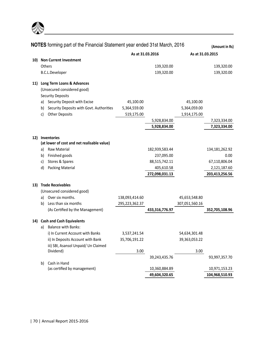

|     |    | <b>NOTES</b> forming part of the Financial Statement year ended 31st March, 2016 |                  |                |                  | (Amount in Rs) |
|-----|----|----------------------------------------------------------------------------------|------------------|----------------|------------------|----------------|
|     |    |                                                                                  | As at 31.03.2016 |                | As at 31.03.2015 |                |
| 10) |    | <b>Non Current Investment</b>                                                    |                  |                |                  |                |
|     |    | Others                                                                           |                  | 139,320.00     |                  | 139,320.00     |
|     |    | <b>B.C.L.Developer</b>                                                           |                  | 139,320.00     |                  | 139,320.00     |
|     |    | 11) Long Term Loans & Advances                                                   |                  |                |                  |                |
|     |    | (Unsecured considered good)                                                      |                  |                |                  |                |
|     |    | <b>Security Deposits</b>                                                         |                  |                |                  |                |
|     |    | a) Security Deposit with Excise                                                  | 45,100.00        |                | 45,100.00        |                |
|     |    | b) Security Deposits with Govt. Authorities                                      | 5,364,559.00     |                | 5,364,059.00     |                |
|     | c) | <b>Other Deposits</b>                                                            | 519,175.00       |                | 1,914,175.00     |                |
|     |    |                                                                                  |                  | 5,928,834.00   |                  | 7,323,334.00   |
|     |    |                                                                                  |                  | 5,928,834.00   |                  | 7,323,334.00   |
| 12) |    | Inventories                                                                      |                  |                |                  |                |
|     |    | (at lower of cost and net realisable value)                                      |                  |                |                  |                |
|     | a) | <b>Raw Material</b>                                                              |                  | 182,939,583.44 |                  | 134,181,262.92 |
|     | b) | Finished goods                                                                   |                  | 237,095.00     |                  | 0.00           |
|     | c) | Stores & Spares                                                                  |                  | 88,515,742.11  |                  | 67,110,806.04  |
|     | d) | <b>Packing Material</b>                                                          |                  | 405,610.58     |                  | 2,121,187.60   |
|     |    |                                                                                  |                  | 272,098,031.13 |                  | 203,413,256.56 |
|     |    | 13) Trade Receivables                                                            |                  |                |                  |                |
|     |    | (Unsecured considered good)                                                      |                  |                |                  |                |
|     | a) | Over six months.                                                                 | 138,093,414.60   |                | 45,653,548.80    |                |
|     | b) | Less than six months                                                             | 295,223,362.37   |                | 307,051,560.16   |                |
|     |    | (As Certified by the Management)                                                 |                  | 433,316,776.97 |                  | 352,705,108.96 |
|     |    | 14) Cash and Cash Equivalents                                                    |                  |                |                  |                |
|     | a) | <b>Balance with Banks:</b>                                                       |                  |                |                  |                |
|     |    | i) In Current Account with Banks                                                 | 3,537,241.54     |                | 54,634,301.48    |                |
|     |    | ii) In Deposits Account with Bank                                                | 35,706,191.22    |                | 39,363,053.22    |                |
|     |    | iii) SBI, Asansol Unpaid/ Un Claimed                                             |                  |                |                  |                |
|     |    | Dividend)                                                                        | 3.00             |                | 3.00             |                |
|     |    |                                                                                  |                  | 39,243,435.76  |                  | 93,997,357.70  |
|     | b) | Cash in Hand                                                                     |                  |                |                  |                |
|     |    | (as certified by management)                                                     |                  | 10,360,884.89  |                  | 10,971,153.23  |
|     |    |                                                                                  |                  | 49,604,320.65  |                  | 104,968,510.93 |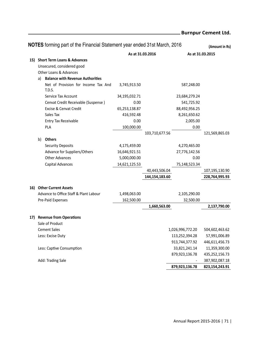|     |    | NOTES forming part of the Financial Statement year ended 31st March, 2016 |                  |                |                  | (Amount in Rs) |
|-----|----|---------------------------------------------------------------------------|------------------|----------------|------------------|----------------|
|     |    |                                                                           | As at 31.03.2016 |                | As at 31.03.2015 |                |
|     |    | 15) Short Term Loans & Advances                                           |                  |                |                  |                |
|     |    | Unsecured, considered good                                                |                  |                |                  |                |
|     |    | <b>Other Loans &amp; Advances</b>                                         |                  |                |                  |                |
|     |    | a) Balance with Revenue Authorities                                       |                  |                |                  |                |
|     |    | Net of Provision for Income Tax And<br>T.D.S.                             | 3,745,913.50     |                | 587,248.00       |                |
|     |    | Service Tax Account                                                       | 34,195,032.71    |                | 23,684,279.24    |                |
|     |    | Cenvat Credit Receivable (Suspense)                                       | 0.00             |                | 541,725.92       |                |
|     |    | Excise & Cenvat Credit                                                    | 65,253,138.87    |                | 88,492,956.25    |                |
|     |    | Sales Tax                                                                 | 416,592.48       |                | 8,261,650.62     |                |
|     |    | <b>Entry Tax Receivable</b>                                               | 0.00             |                | 2,005.00         |                |
|     |    | PLA                                                                       | 100,000.00       |                | 0.00             |                |
|     |    |                                                                           |                  | 103,710,677.56 |                  | 121,569,865.03 |
|     | b) | <b>Others</b>                                                             |                  |                |                  |                |
|     |    | <b>Security Deposits</b>                                                  | 4,175,459.00     |                | 4,270,465.00     |                |
|     |    | Advance for Suppliers/Others                                              | 16,646,921.51    |                | 27,776,142.56    |                |
|     |    | <b>Other Advances</b>                                                     | 5,000,000.00     |                | 0.00             |                |
|     |    | Capital Advances                                                          | 14,621,125.53    |                | 75,148,523.34    |                |
|     |    |                                                                           |                  | 40,443,506.04  |                  | 107,195,130.90 |
|     |    |                                                                           |                  | 144,154,183.60 |                  | 228,764,995.93 |
| 16) |    | <b>Other Current Assets</b>                                               |                  |                |                  |                |
|     |    | Advance to Office Staff & Plant Labour                                    | 1,498,063.00     |                | 2,105,290.00     |                |
|     |    | Pre-Paid Expenses                                                         | 162,500.00       |                | 32,500.00        |                |
|     |    |                                                                           |                  | 1,660,563.00   |                  | 2,137,790.00   |
|     |    | 17) Revenue from Operations                                               |                  |                |                  |                |
|     |    | Sale of Product                                                           |                  |                |                  |                |
|     |    | <b>Cement Sales</b>                                                       |                  |                | 1,026,996,772.20 | 504,602,463.62 |
|     |    | Less: Excise Duty                                                         |                  |                | 113,252,394.28   | 57,991,006.89  |
|     |    |                                                                           |                  |                | 913,744,377.92   | 446,611,456.73 |
|     |    | Less: Captive Consumption                                                 |                  |                | 33,821,241.14    | 11,359,300.00  |
|     |    |                                                                           |                  |                | 879,923,136.78   | 435,252,156.73 |
|     |    | Add: Trading Sale                                                         |                  |                |                  | 387,902,087.18 |
|     |    |                                                                           |                  |                | 879,923,136.78   | 823,154,243.91 |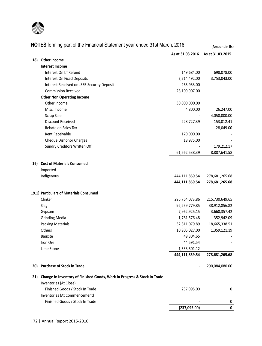

|     | NOTES forming part of the Financial Statement year ended 31st March, 2016    |                  | (Amount in Rs)   |
|-----|------------------------------------------------------------------------------|------------------|------------------|
|     |                                                                              | As at 31.03.2016 | As at 31.03.2015 |
| 18) | <b>Other Income</b>                                                          |                  |                  |
|     | <b>Interest Income</b>                                                       |                  |                  |
|     | Interest On I.T. Refund                                                      | 149,684.00       | 698,078.00       |
|     | Interest On Fixed Deposits                                                   | 2,714,492.00     | 3,753,043.00     |
|     | Interest Received on JSEB Security Deposit                                   | 265,953.00       |                  |
|     | <b>Commission Received</b>                                                   | 28,109,907.00    |                  |
|     | <b>Other Non Operating Income</b>                                            |                  |                  |
|     | Other Income                                                                 | 30,000,000.00    |                  |
|     | Misc. Income                                                                 | 4,800.00         | 26,247.00        |
|     | Scrap Sale                                                                   |                  | 4,050,000.00     |
|     | <b>Discount Received</b>                                                     | 228,727.39       | 153,012.41       |
|     | Rebate on Sales Tax                                                          |                  | 28,049.00        |
|     | Rent Receivable                                                              | 170,000.00       |                  |
|     | Cheque Dishonor Charges                                                      | 18,975.00        |                  |
|     | Sundry Creditors Written Off                                                 |                  | 179,212.17       |
|     |                                                                              | 61,662,538.39    | 8,887,641.58     |
| 19) | <b>Cost of Materials Consumed</b>                                            |                  |                  |
|     | Imported                                                                     |                  |                  |
|     | Indigenous                                                                   | 444,111,859.54   | 278,681,265.68   |
|     |                                                                              | 444,111,859.54   | 278,681,265.68   |
|     | 19.1) Particulars of Materials Consumed                                      |                  |                  |
|     | Clinker                                                                      | 296,764,073.86   | 215,730,649.65   |
|     | Slag                                                                         | 92,259,779.85    | 38,912,856.82    |
|     | Gypsum                                                                       | 7,962,925.15     | 3,660,357.42     |
|     | <b>Grinding Media</b>                                                        | 1,781,576.48     | 352,942.09       |
|     | <b>Packing Materials</b>                                                     | 32,811,079.89    | 18,665,338.51    |
|     | Others                                                                       | 10,905,027.00    | 1,359,121.19     |
|     | <b>Bauxite</b>                                                               | 49,304.65        |                  |
|     | Iron Ore                                                                     | 44,591.54        |                  |
|     | Lime Stone                                                                   | 1,533,501.12     |                  |
|     |                                                                              | 444,111,859.54   | 278,681,265.68   |
|     | 20) Purchase of Stock in Trade                                               |                  | 290,084,080.00   |
|     | 21) Change In Inventory of Finished Goods, Work In Progress & Stock In Trade |                  |                  |
|     | Inventories (At Close)                                                       |                  |                  |
|     | Finished Goods / Stock In Trade                                              | 237,095.00       | 0                |
|     | Inventories (At Commencement)                                                |                  |                  |
|     | Finished Goods / Stock In Trade                                              |                  | 0                |
|     |                                                                              | (237,095.00)     | 0                |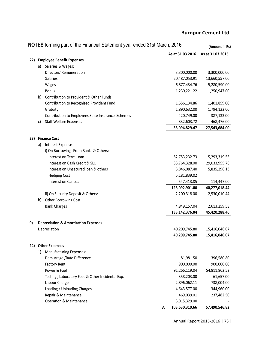|    |    | NOTES forming part of the Financial Statement year ended 31st March, 2016 |                  | (Amount in Rs)   |
|----|----|---------------------------------------------------------------------------|------------------|------------------|
|    |    |                                                                           | As at 31.03.2016 | As at 31.03.2015 |
|    |    | 22) Employee Benefit Expenses                                             |                  |                  |
|    |    | a) Salaries & Wages:                                                      |                  |                  |
|    |    | Directors' Remuneration                                                   | 3,300,000.00     | 3,300,000.00     |
|    |    | Salaries                                                                  | 20,487,053.91    | 13,660,557.00    |
|    |    | Wages                                                                     | 6,877,434.76     | 5,280,590.00     |
|    |    | <b>Bonus</b>                                                              | 1,230,221.22     | 1,250,947.00     |
|    | b) | Contribution to Provident & Other Funds                                   |                  |                  |
|    |    | Contribution to Recognised Provident Fund                                 | 1,556,134.86     | 1,401,859.00     |
|    |    | Gratuity                                                                  | 1,890,632.00     | 1,794,122.00     |
|    |    | Contribution to Employees State Insurance Schemes                         | 420,749.00       | 387,133.00       |
|    | c) | <b>Staff Welfare Expenses</b>                                             | 332,603.72       | 468,476.00       |
|    |    |                                                                           | 36,094,829.47    | 27,543,684.00    |
|    |    | 23) Finance Cost                                                          |                  |                  |
|    | a) | Interest Expense                                                          |                  |                  |
|    |    | i) On Borrowings From Banks & Others:                                     |                  |                  |
|    |    | Interest on Term Loan                                                     | 82,753,232.73    | 5,293,319.55     |
|    |    | Interest on Cash Credit & SLC                                             | 33,764,328.00    | 29,033,955.76    |
|    |    | Interest on Unsecured Ioan & others                                       | 3,846,087.40     | 5,835,296.13     |
|    |    | <b>Hedging Cost</b>                                                       | 5,181,839.02     |                  |
|    |    | Interest on Car Loan                                                      | 547,413.85       | 114,447.00       |
|    |    |                                                                           | 126,092,901.00   | 40,277,018.44    |
|    |    | ii) On Security Deposit & Others:                                         | 2,200,318.00     | 2,530,010.44     |
|    | b) | Other Borrowing Cost:                                                     |                  |                  |
|    |    | <b>Bank Charges</b>                                                       | 4,849,157.04     | 2,613,259.58     |
|    |    |                                                                           | 133,142,376.04   | 45,420,288.46    |
| 9) |    | <b>Depreciation &amp; Amortization Expenses</b>                           |                  |                  |
|    |    | Depreciation                                                              | 40,209,745.80    | 15,416,046.07    |
|    |    |                                                                           | 40,209,745.80    | 15,416,046.07    |
|    |    | 24) Other Expenses                                                        |                  |                  |
|    | 1) | <b>Manufacturing Expenses:</b>                                            |                  |                  |
|    |    | Demurrage / Rate Difference                                               | 81,981.50        | 396,580.80       |
|    |    | Factory Rent                                                              | 900.000.00       | 900,000.00       |
|    |    | Power & Fuel                                                              | 91,266,119.04    | 54,811,862.52    |
|    |    | Testing, Laboratory Fees & Other Incidental Exp.                          | 358,203.00       | 61,657.00        |
|    |    | Labour Charges                                                            | 2,896,062.11     | 738,004.00       |
|    |    | Loading / Unloading Charges                                               | 4,643,577.00     | 344,960.00       |
|    |    | Repair & Maintenance                                                      | 469,039.01       | 237,482.50       |
|    |    | Operation & Maintenance                                                   | 3,015,329.00     |                  |
|    |    | А                                                                         | 103,630,310.66   | 57,490,546.82    |

Annual Report 2015-2016 | 73 |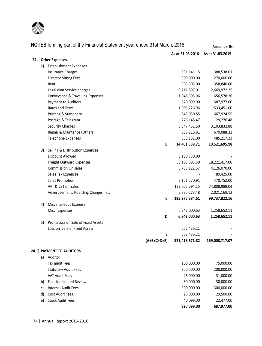

| NOTES forming part of the Financial Statement year ended 31st March, 2016 |    |                                       |   | (Amount in Rs)   |                  |
|---------------------------------------------------------------------------|----|---------------------------------------|---|------------------|------------------|
|                                                                           |    |                                       |   | As at 31.03.2016 | As at 31.03.2015 |
| 24)                                                                       |    | <b>Other Expenses</b>                 |   |                  |                  |
|                                                                           | 2) | <b>Establishment Expenses</b>         |   |                  |                  |
|                                                                           |    | <b>Insurance Charges</b>              |   | 591,141.15       | 388,538.01       |
|                                                                           |    | <b>Director Sitting Fees</b>          |   | 300,000.00       | 270,000.00       |
|                                                                           |    | Rent                                  |   | 909,303.00       | 358,840.00       |
|                                                                           |    | Legal cum Service charges             |   | 3,211,897.01     | 2,669,972.25     |
|                                                                           |    | Conveyance & Travelling Expenses      |   | 1,048,395.96     | 656,578.26       |
|                                                                           |    | Payment to Auditors                   |   | 820,099.00       | 687,977.00       |
|                                                                           |    | Rates and Taxes                       |   | 1,005,726.96     | 533,451.00       |
|                                                                           |    | Printing & Stationery                 |   | 845,030.85       | 667,924.55       |
|                                                                           |    | Postage & Telegram                    |   | 276,145.47       | 29,276.48        |
|                                                                           |    | <b>Security Charges</b>               |   | 3,847,451.50     | 3,103,832.88     |
|                                                                           |    | Repair & Maintance (Others)           |   | 988,216.81       | 670,088.32       |
|                                                                           |    | Telephone Expenses                    |   | 558,132.00       | 485,217.23       |
|                                                                           |    |                                       | В | 14,401,539.71    | 10,521,695.98    |
|                                                                           | 3) | Selling & Distribution Expenses       |   |                  |                  |
|                                                                           |    | Discount Allowed                      |   | 8,190,730.00     |                  |
|                                                                           |    | <b>Freight Outward Expenses</b>       |   | 53,105,393.50    | 18,221,417.00    |
|                                                                           |    | <b>Commission On sales</b>            |   | 6,788,122.57     | 4,126,070.00     |
|                                                                           |    | Sales Tax Expenses                    |   |                  | 89,425.00        |
|                                                                           |    | Sales Promotion                       |   | 3,151,570.91     | 470,752.00       |
|                                                                           |    | VAT & CST on Sales                    |   | 122,005,294.15   | 74,808,989.04    |
|                                                                           |    | Advertisement, Hoarding Charges, etc. |   | 2,735,273.48     | 2,021,169.12     |
|                                                                           |    |                                       | C | 195,976,384.61   | 99,737,822.16    |
|                                                                           | 4) | Miscellaneous Expense                 |   |                  |                  |
|                                                                           |    | Misc. Expenses                        |   | 6,843,000.63     | 1,258,652.11     |
|                                                                           |    |                                       | D | 6,843,000.63     | 1,258,652.11     |
|                                                                           | 5) | Profit/Loss on Sale of Fixed Assets   |   |                  |                  |
|                                                                           |    | Loss on Sale of Fixed Assets          |   | 562,436.21       |                  |
|                                                                           |    |                                       | E | 562,436.21       |                  |
|                                                                           |    | $(A+B+C+D+E)$                         |   | 321,413,671.82   | 169,008,717.07   |
|                                                                           |    | 24.1) PAYMENT TO AUDITORS             |   |                  |                  |
|                                                                           | a) | Auditor                               |   |                  |                  |
|                                                                           |    | Tax audit Fees                        |   | 100,000.00       | 75,000.00        |
|                                                                           |    | <b>Statutory Audit Fees</b>           |   | 300,000.00       | 200,000.00       |
|                                                                           |    | VAT Audit Fees                        |   | 25,000.00        | 31,000.00        |
|                                                                           | b) | Fees for Limited Review               |   | 30,000.00        | 30,000.00        |
|                                                                           | c) | Internal Audit Fees                   |   | 300,000.00       | 300,000.00       |
|                                                                           | d) | <b>Cost Audit Fees</b>                |   | 25,000.00        | 29,500.00        |
|                                                                           | e) | <b>Stock Audit Fees</b>               |   | 40,099.00        | 22,477.00        |
|                                                                           |    |                                       |   | 820,099.00       | 687,977.00       |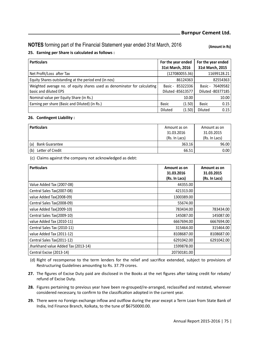## **NOTES** forming part of the Financial Statement year ended 31st March, 2016 [Amount in Rs]

### **25. Earning per Share is calculated as follows :**

| <b>Particulars</b>                                                        | For the year ended<br>31st March, 2016 |                | For the year ended<br>31st March, 2015 |
|---------------------------------------------------------------------------|----------------------------------------|----------------|----------------------------------------|
| Net Profit/Loss after Tax                                                 | (127080055.36)                         |                | 11699128.21                            |
| Equity Shares outstanding at the period end (in nos)                      | 86124363                               |                | 82554363                               |
| Weighted average no. of equity shares used as denominator for calculating | Basic - 85322336                       |                | Basic - 76409582                       |
| basic and diluted EPS                                                     | Diluted -85613577                      |                | Diluted -80377185                      |
| Nominal value per Equity Share (in Rs.)                                   | 10.00                                  |                | 10.00                                  |
| Earning per share (Basic and Diluted) (in Rs.)                            | <b>Basic</b><br>(1.50)                 | <b>Basic</b>   | 0.15                                   |
|                                                                           | Diluted<br>(1.50)                      | <b>Diluted</b> | 0.15                                   |

#### **26. ConƟngent Liability :**

| <b>Particulars</b>           | Amount as on<br>31.03.2016<br>(Rs. In Lacs) | Amount as on<br>31.03.2015<br>(Rs. In Lacs) |  |
|------------------------------|---------------------------------------------|---------------------------------------------|--|
| (a)<br><b>Bank Guarantee</b> | 363.16                                      | 96.00                                       |  |
| (b)<br>Letter of Credit      | 66.51                                       | 0.00                                        |  |

(c) Claims against the company not acknowledged as debt:

| <b>Particulars</b>                  | Amount as on<br>31.03.2016 | Amount as on<br>31.03.2015 |
|-------------------------------------|----------------------------|----------------------------|
|                                     | (Rs. In Lacs)              | (Rs. In Lacs)              |
| Value Added Tax (2007-08)           | 44355.00                   |                            |
| Central Sales Tax(2007-08)          | 421313.00                  |                            |
| value Added Tax(2008-09)            | 1300389.00                 |                            |
| Central Sales Tax(2008-09)          | 55674.00                   |                            |
| value Added Tax(2009-10)            | 783434.00                  | 783434.00                  |
| Central Sales Tax(2009-10)          | 145087.00                  | 145087.00                  |
| value Added Tax (2010-11)           | 6667694.00                 | 6667694.00                 |
| Central Sales Tax (2010-11)         | 315464.00                  | 315464.00                  |
| value Added Tax (2011-12)           | 8108687.00                 | 8108687.00                 |
| Central Sales Tax(2011-12)          | 6291042.00                 | 6291042.00                 |
| Jharkhand value Added Tax (2013-14) | 1599878.00                 |                            |
| Central Excise (2013-14)            | 20730181.00                |                            |

 (d) Right of recompense to the term lenders for the relief and sacrifice extended, subject to provisions of Restructuring Guidelines amounting to Rs. 37.79 crores.

- 27. The figures of Excise Duty paid are disclosed in the Books at the net figures after taking credit for rebate/ refund of Excise Duty.
- **28.** Figures pertaining to previous year have been re-grouped/re-arranged, reclassified and restated, wherever considered necessary, to confirm to the classification adopted in the current year.
- 29. There were no Foreign exchange inflow and outflow during the year except a Term Loan from State Bank of India, Ind Finance Branch, Kolkata, to the tune of \$6750000.00.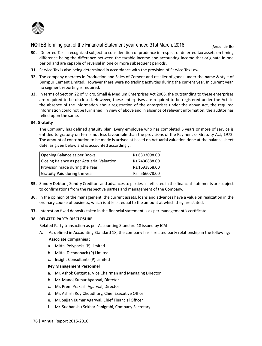

# **NOTES** forming part of the Financial Statement year ended 31st March, 2016 (Amount in Rs)

- **30.** Deferred Tax is recognized subject to consideration of prudence in respect of deferred tax assets on timing difference being the difference between the taxable income and accounting income that originate in one period and are capable of reversal in one or more subsequent periods.
- **31.** Service Tax is also being determined in accordance with the provision of Service Tax Law.
- **32.** The company operates in Production and Sales of Cement and reseller of goods under the name & style of Burnpur Cement Limited. However there were no trading activities during the current year. In current year, no segment reporting is required.
- **33.** In terms of Section 22 of Micro, Small & Medium Enterprises Act 2006, the outstanding to these enterprises are required to be disclosed. However, these enterprises are required to be registered under the Act. In the absence of the information about registration of the enterprises under the above Act, the required information could not be furnished. In view of above and in absence of relevant information, the auditor has relied upon the same.

#### **34. Gratuity**

 The Company has defined gratuity plan. Every employee who has completed 5 years or more of service is entitled to gratuity on terms not less favourable than the provisions of the Payment of Gratuity Act, 1972. The amount of contribution to be made is arrived at based on Actuarial valuation done at the balance sheet date, as given below and is accounted accordingly:

| Opening Balance as per Books               | Rs.6303098.00 |
|--------------------------------------------|---------------|
| Closing Balance as per Actuarial Valuation | Rs.7430888.00 |
| Provision made during the Year             | Rs.1693868.00 |
| Gratuity Paid during the year              | Rs. 566078.00 |

- **35.** Sundry Debtors, Sundry Creditors and advances to parties as reflected in the financial statements are subject to confirmations from the respective parties and management of the Company.
- **36.** In the opinion of the management, the current assets, loans and advances have a value on realization in the ordinary course of business, which is at least equal to the amount at which they are stated.
- **37.** Interest on fixed deposits taken in the financial statement is as per management's certificate.

#### **38. RELATED PARTY DISCLOSURE**

Related Party transaction as per Accounting Standard 18 issued by ICAI

A. As defined in Accounting Standard 18, the company has a related party relationship in the following:

### **Associate Companies :**

- a. Mittal Polypacks (P) Limited.
- b. Mittal Technopack (P) Limited
- c. Insight Consultants (P) Limited

#### **Key Management Personnel**

- a. Mr. Ashok Gutgutia, Vice Chairman and Managing Director
- b. Mr. Manoj Kumar Agarwal, Director
- c. Mr. Prem Prakash Agarwal, Director
- d. Mr. Ashish Roy Choudhury, Chief Executive Officer
- e. Mr. Sajjan Kumar Agarwal, Chief Financial Officer
- f. Mr. Sudhanshu Sekhar Panigrahi, Company Secretary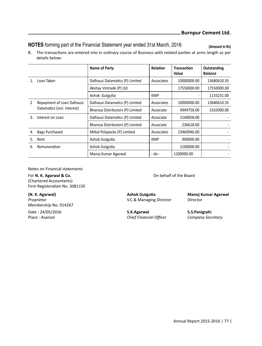# **NOTES** forming part of the Financial Statement year ended 31st March, 2016 (Amount in Rs)

B. The transactions are entered into in ordinary course of Business with related parties at arms length as per details below:

|               |                                                           | Name of Party                    | <b>Relation</b> | Transaction<br>Value | Outstanding<br><b>Balance</b> |
|---------------|-----------------------------------------------------------|----------------------------------|-----------------|----------------------|-------------------------------|
|               | Loan Taken                                                | Dalhausi Datamatics (P) Limited  | Associates      | 10000000.00          | 13680610.35                   |
|               |                                                           | Akshay Vintrade (P) Ltd          |                 | 17550000.00          | 17550000.00                   |
|               |                                                           | Ashok Gutgutia                   | <b>KMP</b>      |                      | 1133231.00                    |
| $\mathcal{P}$ | Repayment of Loan Dalhausi<br>Datamatics (incl. interest) | Dalhausi Datamatics (P) Limited  | Associates      | 10000000.00          | 13680610.35                   |
|               |                                                           | Bharosa Distributors (P) Limited | Associate       | 4949758.00           | 2162000.00                    |
| 3.            | Interest on Loan                                          | Dalhausi Datamatics (P) Limited  | Associate       | 1140058.00           |                               |
|               |                                                           | Bharosa Distributors (P) Limited | Associate       | 236618.00            |                               |
| 4.            | Bags Purchased                                            | Mittal Polypacks (P) Limited     | Associates      | 23460946.00          |                               |
| 5.            | Rent                                                      | Ashok Gutgutia                   | <b>KMP</b>      | 900000.00            |                               |
| 6.            | Remuneration                                              | Ashok Gutgutia                   |                 | 2100000.00           |                               |
|               |                                                           | Manoj Kumar Agarwal              | - do -          | 1200000.00           |                               |

Notes on Financial statements

For **N. K. Agarwal & Co.** Co. **Co.** Combehalf of the Board (Chartered Accountants) Firm Registeration No. 308115E

**(N. K. Agarwal) Ashok GutguƟa Manoj Kumar Agarwal Proprietor Director V.C.& Managing Director Director** Membership No. 014267

Date : 24/05/2016 **S.K.Agarwal S.S.Panigrahi**

Place : Asansol *Chief Financial Officer Company Secretary*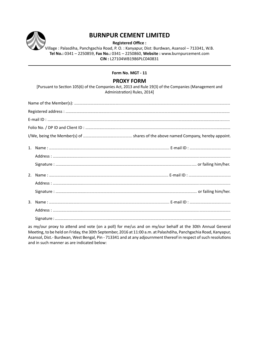

# **BURNPUR CEMENT LIMITED**

**Registered Office :** 

Village : Palasdiha, Panchgachia Road, P. O. : Kanyapur, Dist: Burdwan, Asansol – 713341, W.B. **Tel No.:** 0341 – 2250859, **Fax No.:** 0341 – 2250860, **Website :** www.burnpurcement.com **CIN :** L27104WB1986PLC040831

#### **Form No. MGT - 11**

### **PROXY FORM**

[Pursuant to Section 105(6) of the Companies Act, 2013 and Rule 19(3) of the Companies (Management and Administration) Rules, 2014]

| $E\text{-mail ID}: \textit{\textbf{mail ID}}: \textit{\textbf{m}}: \textit{\textbf{m}}: \textit{\textbf{m}}: \textit{\textbf{m}}: \textit{\textbf{m}}: \textit{\textbf{m}}: \textit{\textbf{m}}: \textit{\textbf{m}}: \textit{\textbf{m}}: \textit{\textbf{m}}: \textit{\textbf{m}}: \textit{\textbf{m}}: \textit{\textbf{m}}: \textit{\textbf{m}}: \textit{\textbf{m}}: \textit{\textbf{m}}: \textit{\textbf{m}}: \textit{\textbf{m}}: \textit{\textbf{m}}: \textit{\textbf{m}}: \$ |  |  |  |  |  |  |
|--------------------------------------------------------------------------------------------------------------------------------------------------------------------------------------------------------------------------------------------------------------------------------------------------------------------------------------------------------------------------------------------------------------------------------------------------------------------------------------|--|--|--|--|--|--|
|                                                                                                                                                                                                                                                                                                                                                                                                                                                                                      |  |  |  |  |  |  |
|                                                                                                                                                                                                                                                                                                                                                                                                                                                                                      |  |  |  |  |  |  |
|                                                                                                                                                                                                                                                                                                                                                                                                                                                                                      |  |  |  |  |  |  |
|                                                                                                                                                                                                                                                                                                                                                                                                                                                                                      |  |  |  |  |  |  |
|                                                                                                                                                                                                                                                                                                                                                                                                                                                                                      |  |  |  |  |  |  |
|                                                                                                                                                                                                                                                                                                                                                                                                                                                                                      |  |  |  |  |  |  |
|                                                                                                                                                                                                                                                                                                                                                                                                                                                                                      |  |  |  |  |  |  |
|                                                                                                                                                                                                                                                                                                                                                                                                                                                                                      |  |  |  |  |  |  |
|                                                                                                                                                                                                                                                                                                                                                                                                                                                                                      |  |  |  |  |  |  |
|                                                                                                                                                                                                                                                                                                                                                                                                                                                                                      |  |  |  |  |  |  |
|                                                                                                                                                                                                                                                                                                                                                                                                                                                                                      |  |  |  |  |  |  |

as my/our proxy to attend and vote (on a poll) for me/us and on my/our behalf at the 30th Annual General Meeting, to be held on Friday, the 30th September, 2016 at 11:00 a.m. at Palashdiha, Panchgachia Road, Kanyapur, Asansol, Dist.- Burdwan, West Bengal, Pin - 713341 and at any adjournment thereof in respect of such resolutions and in such manner as are indicated below: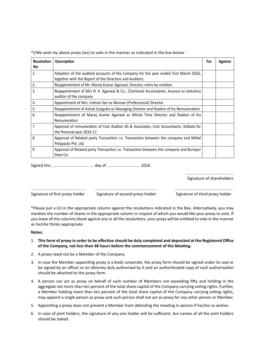| <b>Resolution</b><br>No. | <b>Description</b>                                                                                                                             | For | <b>Against</b> |
|--------------------------|------------------------------------------------------------------------------------------------------------------------------------------------|-----|----------------|
| 1.                       | Adoption of the audited accounts of the Company for the year ended 31st March 2016,<br>together with the Report of the Directors and Auditors. |     |                |
| 2.                       | Reappointment of Mr. Manoj Kumar Agarwal, Director, retire by rotation                                                                         |     |                |
| 3.                       | Reappointment of M/s N. K. Agarwal & Co., Chartered Accountants, Asansol as statutory<br>auditor of the company                                |     |                |
| 4.                       | Appointment of Mrs. Indrani Sen as Woman (Professional) Director                                                                               |     |                |
| 5.                       | Reappointment of Ashok Gutgutia as Managing Director and fixation of his Remuneration                                                          |     |                |
| 6.                       | Reappointment of Manoj Kumar Agarwal as Whole Time Director and fixation of his<br>Remuneration                                                |     |                |
| 7                        | Approval of remuneration of Cost Auditor AS & Associates, Cost Accountants, Kolkata for<br>the financial year 2016-17.                         |     |                |
| 8                        | Approval of Related party Transaction i.e. Transaction between the company and Mittal<br>Polypacks Pvt. Ltd.                                   |     |                |
| q                        | Approval of Related party Transaction i.e. Transaction between the company and Burnpur<br>Steel Co.                                            |     |                |

\*I/We wish my above proxy (ies) to vote in the manner as indicated in the box below :

Signed this .......................................... day of ................................. 2016.

Signature of shareholders

Signature of first proxy holder Signature of second proxy holder Signature of third proxy holder

\*Please put a (√) in the appropriate column against the resolutions indicated in the Box. Alternatively, you may mention the number of shares in the appropriate column in respect of which you would like your proxy to vote. If you leave all the columns blank against any or all the resolutions, your proxy will be entitled to vote in the manner as he/she thinks appropriate.

....................................................... .............................................................. ...........................................................

#### **Notes:**

- 1. This form of proxy in order to be effective should be duly completed and deposited at the Registered Office of the Company, not less than 48 hours before the commencement of the Meeting.
- 2. A proxy need not be a Member of the Company.
- 3. In case the Member appointing proxy is a body corporate, the proxy form should be signed under its seal or be signed by an officer or an attorney duly authorised by it and an authenticated copy of such authorisation should be attached to the proxy form.
- 4. A person can act as proxy on behalf of such number of Members not exceeding fifty and holding in the aggregate not more than ten percent of the total share capital of the Company carrying voting rights. Further, a Member holding more than ten percent of the total share capital of the Company carrying voting rights, may appoint a single person as proxy and such person shall not act as proxy for any other person or Member.
- 5. Appointing a proxy does not prevent a Member from attending the meeting in person if he/she so wishes.
- 6. In case of joint holders, the signature of any one holder will be sufficient, but names of all the joint holders should be stated.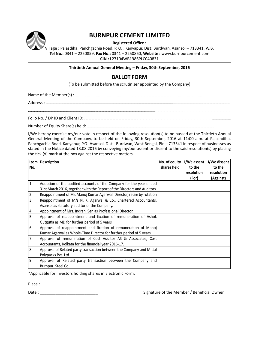

# **BURNPUR CEMENT LIMITED**

**Registered Office :** 

Village : Palasdiha, Panchgachia Road, P. O. : Kanyapur, Dist: Burdwan, Asansol – 713341, W.B. **Tel No.:** 0341 – 2250859, **Fax No.:** 0341 – 2250860, **Website :** www.burnpurcement.com **CIN :** L27104WB1986PLC040831

#### **ThirƟeth Annual General MeeƟng – Friday, 30th September, 2016**

## **BALLOT FORM**

(To be submitted before the scrutinizer appointed by the Company)

Name of the Member(s) : ……………………………………………................................................………………………………….........................

Address : ........................................................................................................................................................................................

.......................................................................................................................................................................................................... Folio No. / DP ID and Client ID: ..................................................................................................................................................

Number of Equity Share(s) held: ...............................................................................................................................................

I/We hereby exercise my/our vote in respect of the following resolution(s) to be passed at the Thirtieth Annual General Meeting of the Company, to be held on Friday, 30th September, 2016 at 11:00 a.m. at Palashdiha, Panchgachia Road, Kanyapur, P.O.-Asansol, Dist.- Burdwan, West Bengal, Pin – 713341 in respect of businesses as stated in the Notice dated 13.08.2016 by conveying my/our assent or dissent to the said resolution(s) by placing the tick  $(v)$  mark at the box against the respective matters.

|     | Item   Description                                                       | No. of equity | I/We assent       | I/We dissent |
|-----|--------------------------------------------------------------------------|---------------|-------------------|--------------|
| No. |                                                                          | shares held   | to the            | to the       |
|     |                                                                          |               | <b>resolution</b> | resolution   |
|     |                                                                          |               | (For)             | (Against)    |
| 1.  | Adoption of the audited accounts of the Company for the year ended       |               |                   |              |
|     | 31st March 2016, together with the Report of the Directors and Auditors. |               |                   |              |
| 2.  | Reappointment of Mr. Manoj Kumar Agarwal, Director, retire by rotation   |               |                   |              |
| 3.  | Reappointment of M/s N. K. Agarwal & Co., Chartered Accountants,         |               |                   |              |
|     | Asansol as statutory auditor of the Company.                             |               |                   |              |
| 4.  | Appointment of Mrs. Indrani Sen as Professional Director.                |               |                   |              |
| 5.  | Approval of reappointment and fixation of remuneration of Ashok          |               |                   |              |
|     | Gutgutia as MD for further period of 5 years                             |               |                   |              |
| 6.  | Approval of reappointment and fixation of remuneration of Manoj          |               |                   |              |
|     | Kumar Agarwal as Whole-Time Director for further period of 5 years       |               |                   |              |
| 7.  | Approval of remuneration of Cost Auditor AS & Associates, Cost           |               |                   |              |
|     | Accountants, Kolkata for the financial year 2016-17.                     |               |                   |              |
| 8   | Approval of Related party transaction between the Company and Mittal     |               |                   |              |
|     | Polypacks Pvt. Ltd.                                                      |               |                   |              |
| 9   | Approval of Related party transaction between the Company and            |               |                   |              |
|     | Burnpur Steel Co.                                                        |               |                   |              |

\*Applicable for investors holding shares in Electronic Form.

Place : \_\_\_\_\_\_\_\_\_\_\_\_\_\_\_\_\_\_\_\_\_\_\_\_\_\_ \_\_\_\_\_\_\_\_\_\_\_\_\_\_\_\_\_\_\_\_\_\_\_\_\_\_\_\_\_\_\_\_\_\_\_\_\_

Date : \_\_\_\_\_\_\_\_\_\_\_\_\_\_\_\_\_\_\_\_\_\_\_\_\_\_ Signature of the Member / Beneficial Owner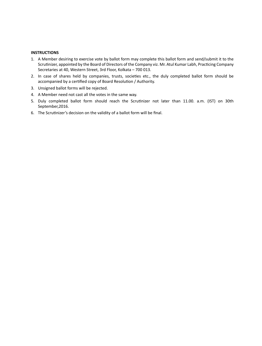#### **INSTRUCTIONS**

- 1. A Member desiring to exercise vote by ballot form may complete this ballot form and send/submit it to the Scrutinizer, appointed by the Board of Directors of the Company viz. Mr. Atul Kumar Labh, Practicing Company Secretaries at 40, Western Street, 3rd Floor, Kolkata – 700 013.
- 2. In case of shares held by companies, trusts, societies etc., the duly completed ballot form should be accompanied by a certified copy of Board Resolution / Authority.
- 3. Unsigned ballot forms will be rejected.
- 4. A Member need not cast all the votes in the same way.
- 5. Duly completed ballot form should reach the Scrutinizer not later than 11.00. a.m. (IST) on 30th September,2016.
- 6. The Scrutinizer's decision on the validity of a ballot form will be final.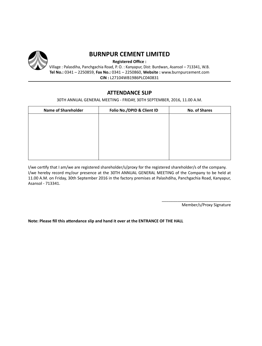

# **BURNPUR CEMENT LIMITED**

**Registered Office :** 

Village : Palasdiha, Panchgachia Road, P. O. : Kanyapur, Dist: Burdwan, Asansol – 713341, W.B. **Tel No.:** 0341 – 2250859, **Fax No.:** 0341 – 2250860, **Website :** www.burnpurcement.com **CIN :** L27104WB1986PLC040831

## **ATTENDANCE SLIP**

30TH ANNUAL GENERAL MEETING - FRIDAY, 30TH SEPTEMBER, 2016, 11.00 A.M.

| <b>Name of Shareholder</b> | Folio No./DPID & Client ID | <b>No. of Shares</b> |
|----------------------------|----------------------------|----------------------|
|                            |                            |                      |
|                            |                            |                      |
|                            |                            |                      |
|                            |                            |                      |
|                            |                            |                      |
|                            |                            |                      |

I/we certify that I am/we are registered shareholder/s/proxy for the registered shareholder/s of the company. I/we hereby record my/our presence at the 30TH ANNUAL GENERAL MEETING of the Company to be held at 11.00 A.M. on Friday, 30th September 2016 in the factory premises at Palashdiha, Panchgachia Road, Kanyapur, Asansol - 713341.

Member/s/Proxy Signature

\_\_\_\_\_\_\_\_\_\_\_\_\_\_\_\_\_\_\_\_\_\_\_\_\_\_\_\_\_\_\_

**Note: Please fill this attendance slip and hand it over at the ENTRANCE OF THE HALL**